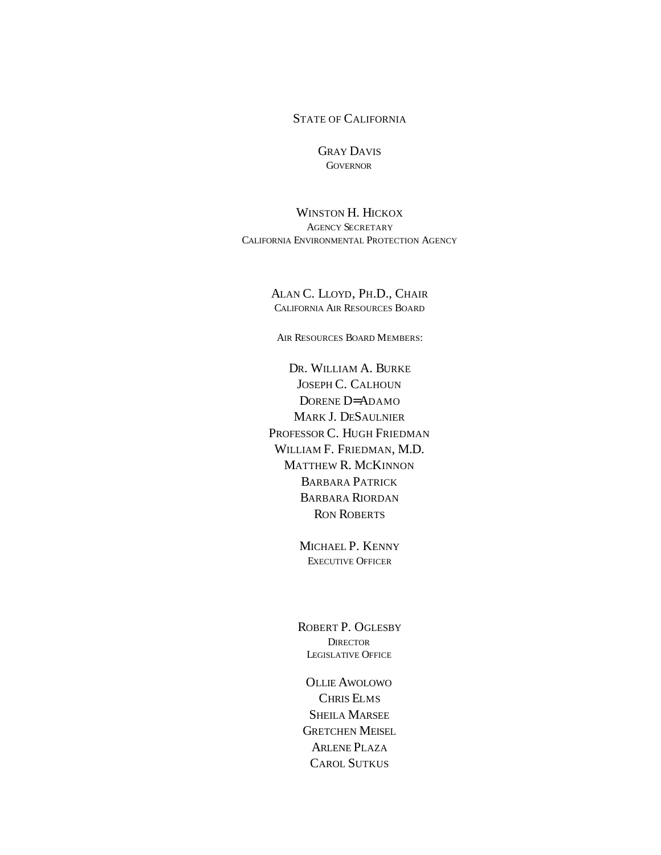#### STATE OF CALIFORNIA

#### GRAY DAVIS **GOVERNOR**

WINSTON H. HICKOX AGENCY SECRETARY CALIFORNIA ENVIRONMENTAL PROTECTION AGENCY

> ALAN C. LLOYD, PH.D., CHAIR CALIFORNIA AIR RESOURCES BOARD

AIR RESOURCES BOARD MEMBERS:

DR. WILLIAM A. BURKE JOSEPH C. CALHOUN DORENE D=ADAMO MARK J. DESAULNIER PROFESSOR C. HUGH FRIEDMAN WILLIAM F. FRIEDMAN, M.D. MATTHEW R. MCKINNON BARBARA PATRICK BARBARA RIORDAN RON ROBERTS

> MICHAEL P. KENNY EXECUTIVE OFFICER

ROBERT P. OGLESBY **DIRECTOR** LEGISLATIVE OFFICE

OLLIE AWOLOWO CHRIS ELMS SHEILA MARSEE **GRETCHEN MEISEL** ARLENE PLAZA CAROL SUTKUS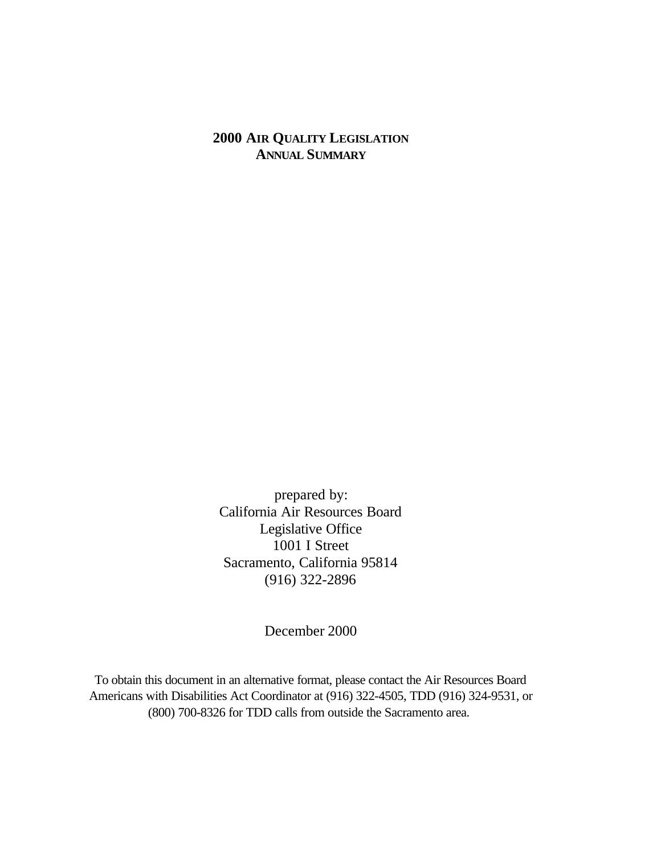### **2000 AIR QUALITY LEGISLATION ANNUAL SUMMARY**

prepared by: California Air Resources Board Legislative Office 1001 I Street Sacramento, California 95814 (916) 322-2896

December 2000

To obtain this document in an alternative format, please contact the Air Resources Board Americans with Disabilities Act Coordinator at (916) 322-4505, TDD (916) 324-9531, or (800) 700-8326 for TDD calls from outside the Sacramento area.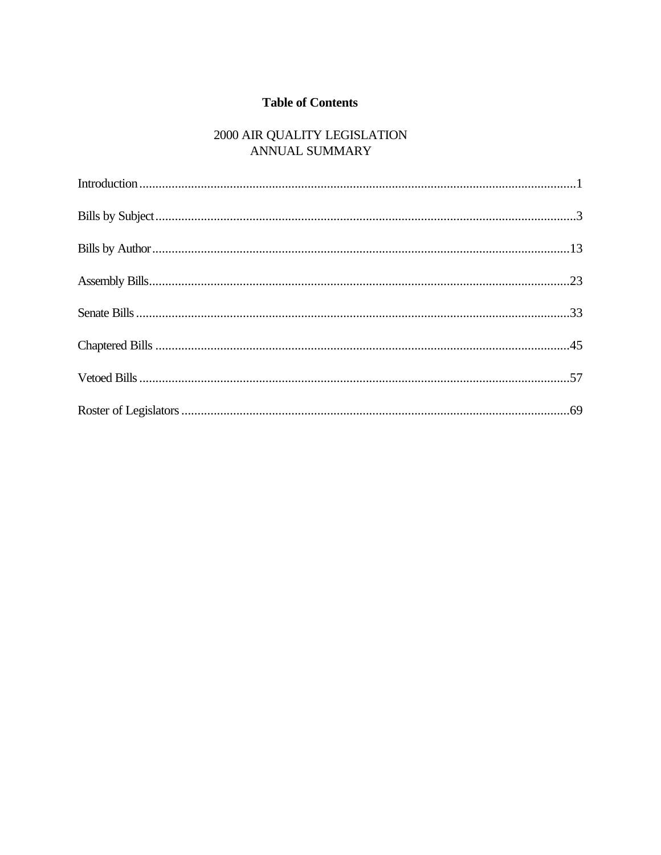### **Table of Contents**

## 2000 AIR QUALITY LEGISLATION ANNUAL SUMMARY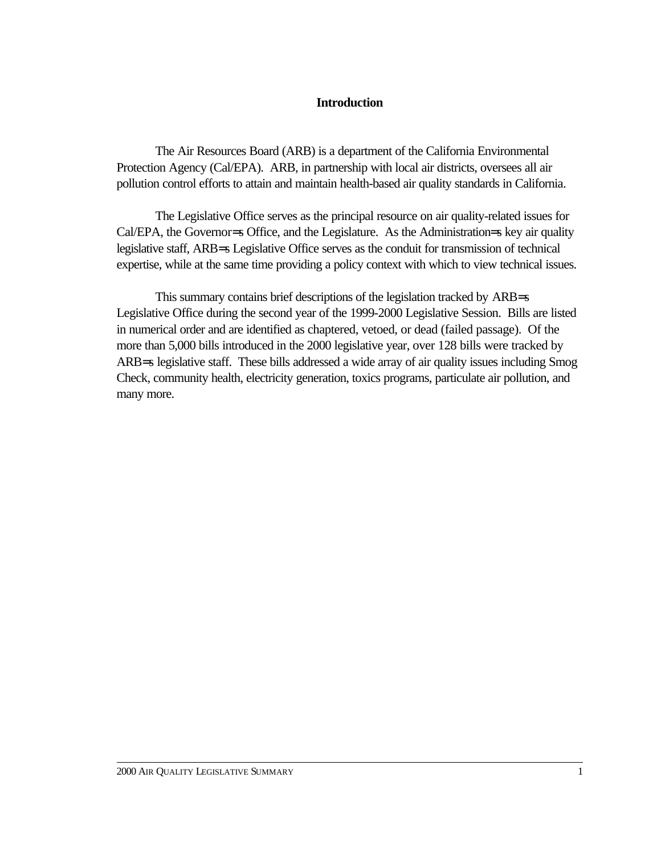#### **Introduction**

The Air Resources Board (ARB) is a department of the California Environmental Protection Agency (Cal/EPA). ARB, in partnership with local air districts, oversees all air pollution control efforts to attain and maintain health-based air quality standards in California.

The Legislative Office serves as the principal resource on air quality-related issues for Cal/EPA, the Governor=s Office, and the Legislature. As the Administration=s key air quality legislative staff, ARB=s Legislative Office serves as the conduit for transmission of technical expertise, while at the same time providing a policy context with which to view technical issues.

This summary contains brief descriptions of the legislation tracked by ARB=s Legislative Office during the second year of the 1999-2000 Legislative Session. Bills are listed in numerical order and are identified as chaptered, vetoed, or dead (failed passage). Of the more than 5,000 bills introduced in the 2000 legislative year, over 128 bills were tracked by ARB=s legislative staff. These bills addressed a wide array of air quality issues including Smog Check, community health, electricity generation, toxics programs, particulate air pollution, and many more.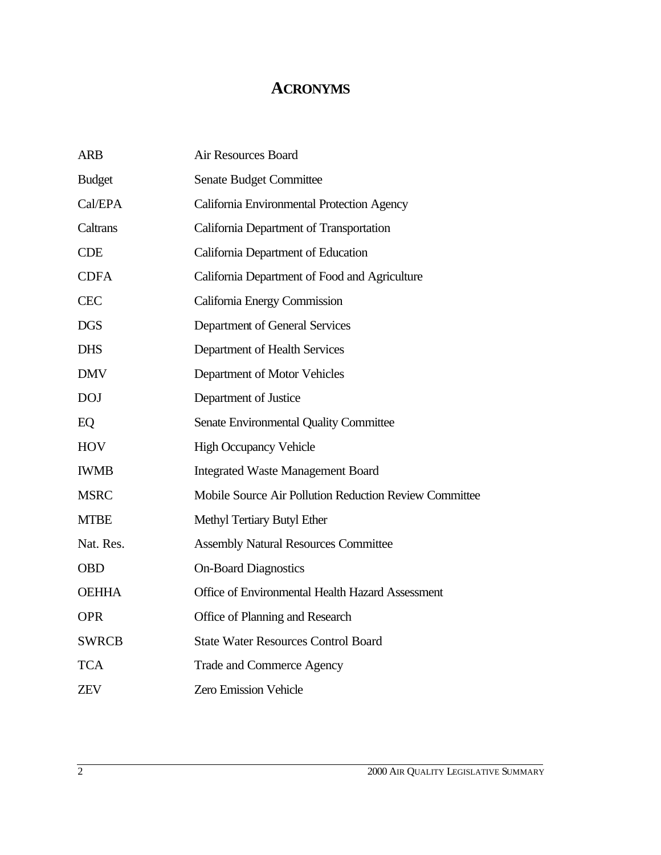## **ACRONYMS**

| <b>ARB</b>    | Air Resources Board                                    |
|---------------|--------------------------------------------------------|
| <b>Budget</b> | <b>Senate Budget Committee</b>                         |
| Cal/EPA       | California Environmental Protection Agency             |
| Caltrans      | California Department of Transportation                |
| <b>CDE</b>    | California Department of Education                     |
| <b>CDFA</b>   | California Department of Food and Agriculture          |
| <b>CEC</b>    | California Energy Commission                           |
| <b>DGS</b>    | Department of General Services                         |
| <b>DHS</b>    | Department of Health Services                          |
| <b>DMV</b>    | Department of Motor Vehicles                           |
| <b>DOJ</b>    | Department of Justice                                  |
| EQ            | Senate Environmental Quality Committee                 |
| <b>HOV</b>    | <b>High Occupancy Vehicle</b>                          |
| <b>IWMB</b>   | <b>Integrated Waste Management Board</b>               |
| <b>MSRC</b>   | Mobile Source Air Pollution Reduction Review Committee |
| <b>MTBE</b>   | Methyl Tertiary Butyl Ether                            |
| Nat. Res.     | <b>Assembly Natural Resources Committee</b>            |
| <b>OBD</b>    | <b>On-Board Diagnostics</b>                            |
| <b>OEHHA</b>  | Office of Environmental Health Hazard Assessment       |
| <b>OPR</b>    | Office of Planning and Research                        |
| <b>SWRCB</b>  | <b>State Water Resources Control Board</b>             |
| <b>TCA</b>    | <b>Trade and Commerce Agency</b>                       |
| ZEV           | <b>Zero Emission Vehicle</b>                           |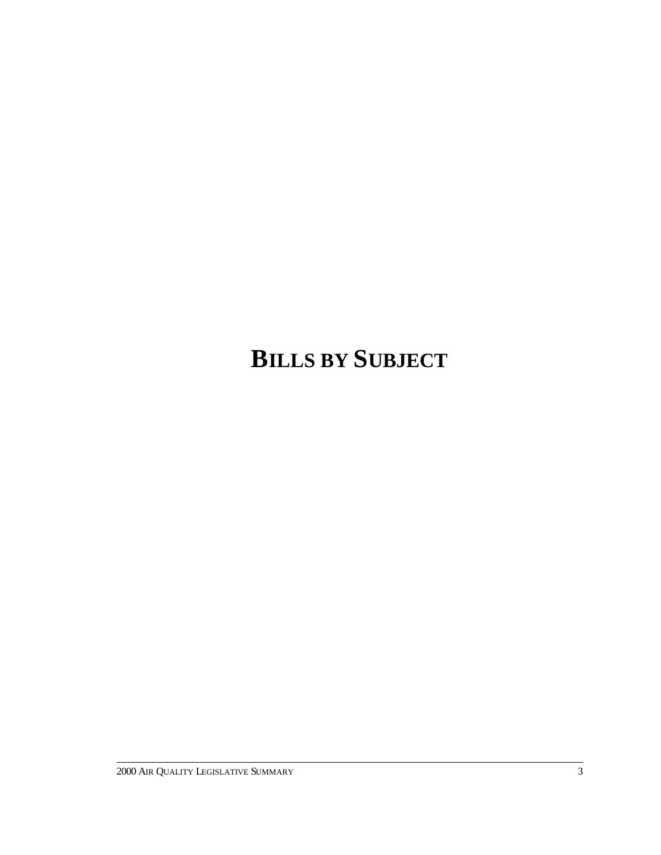# **BILLS BY SUBJECT**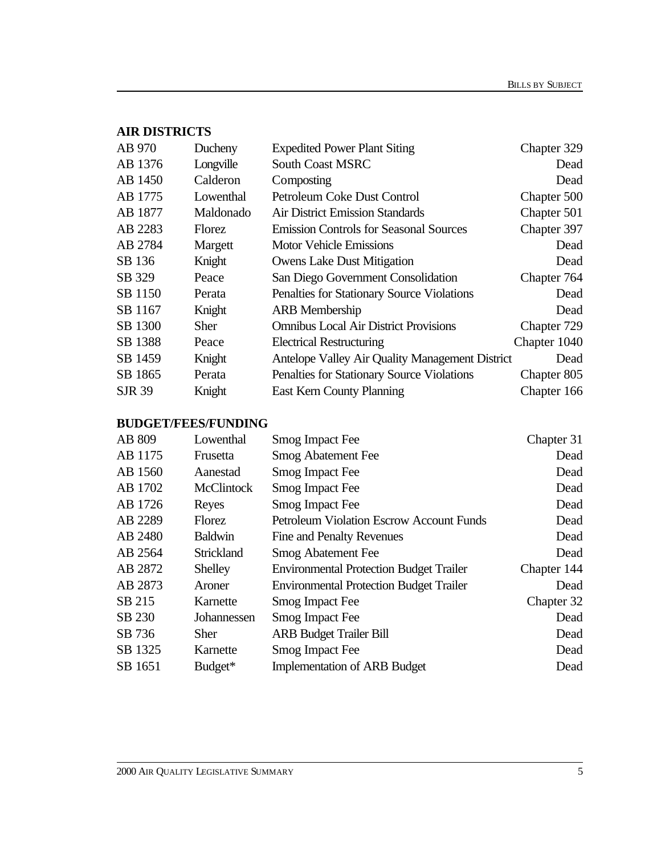#### **AIR DISTRICTS**

| AB 970        | Ducheny       | <b>Expedited Power Plant Siting</b>             | Chapter 329  |
|---------------|---------------|-------------------------------------------------|--------------|
| AB 1376       | Longville     | <b>South Coast MSRC</b>                         | Dead         |
| AB 1450       | Calderon      | Composting                                      | Dead         |
| AB 1775       | Lowenthal     | Petroleum Coke Dust Control                     | Chapter 500  |
| AB 1877       | Maldonado     | <b>Air District Emission Standards</b>          | Chapter 501  |
| AB 2283       | <b>Florez</b> | <b>Emission Controls for Seasonal Sources</b>   | Chapter 397  |
| AB 2784       | Margett       | <b>Motor Vehicle Emissions</b>                  | Dead         |
| SB 136        | Knight        | <b>Owens Lake Dust Mitigation</b>               | Dead         |
| SB 329        | Peace         | San Diego Government Consolidation              | Chapter 764  |
| SB 1150       | Perata        | Penalties for Stationary Source Violations      | Dead         |
| SB 1167       | Knight        | <b>ARB</b> Membership                           | Dead         |
| SB 1300       | Sher          | <b>Omnibus Local Air District Provisions</b>    | Chapter 729  |
| SB 1388       | Peace         | <b>Electrical Restructuring</b>                 | Chapter 1040 |
| SB 1459       | Knight        | Antelope Valley Air Quality Management District | Dead         |
| SB 1865       | Perata        | Penalties for Stationary Source Violations      | Chapter 805  |
| <b>SJR 39</b> | Knight        | East Kern County Planning                       | Chapter 166  |

#### **BUDGET/FEES/FUNDING**

| AB 809  | Lowenthal         | Smog Impact Fee                                 | Chapter 31  |
|---------|-------------------|-------------------------------------------------|-------------|
| AB 1175 | Frusetta          | <b>Smog Abatement Fee</b>                       | Dead        |
| AB 1560 | Aanestad          | Smog Impact Fee                                 | Dead        |
| AB 1702 | <b>McClintock</b> | Smog Impact Fee                                 | Dead        |
| AB 1726 | Reyes             | Smog Impact Fee                                 | Dead        |
| AB 2289 | Florez            | <b>Petroleum Violation Escrow Account Funds</b> | Dead        |
| AB 2480 | <b>Baldwin</b>    | Fine and Penalty Revenues                       | Dead        |
| AB 2564 | Strickland        | Smog Abatement Fee                              | Dead        |
| AB 2872 | Shelley           | <b>Environmental Protection Budget Trailer</b>  | Chapter 144 |
| AB 2873 | Aroner            | <b>Environmental Protection Budget Trailer</b>  | Dead        |
| SB 215  | Karnette          | <b>Smog Impact Fee</b>                          | Chapter 32  |
| SB 230  | Johannessen       | Smog Impact Fee                                 | Dead        |
| SB 736  | <b>Sher</b>       | <b>ARB Budget Trailer Bill</b>                  | Dead        |
| SB 1325 | Karnette          | Smog Impact Fee                                 | Dead        |
| SB 1651 | Budget*           | <b>Implementation of ARB Budget</b>             | Dead        |
|         |                   |                                                 |             |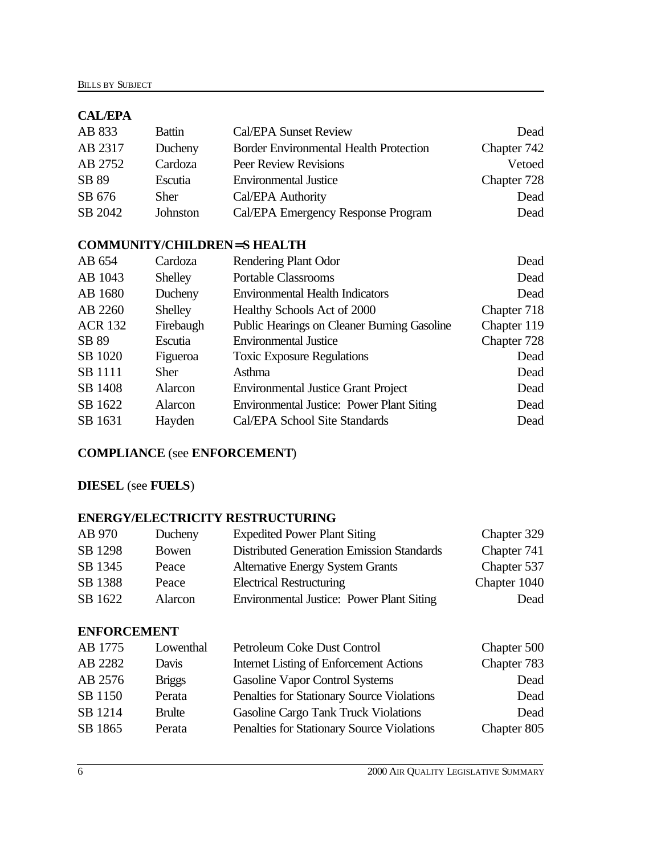#### **CAL/EPA**

| AB 833  | <b>Battin</b> | <b>Cal/EPA Sunset Review</b>                  | Dead        |
|---------|---------------|-----------------------------------------------|-------------|
| AB 2317 | Ducheny       | <b>Border Environmental Health Protection</b> | Chapter 742 |
| AB 2752 | Cardoza       | Peer Review Revisions                         | Vetoed      |
| SB 89   | Escutia       | <b>Environmental Justice</b>                  | Chapter 728 |
| SB 676  | Sher          | Cal/EPA Authority                             | Dead        |
| SB 2042 | Johnston      | Cal/EPA Emergency Response Program            | Dead        |

#### **COMMUNITY/CHILDREN=S HEALTH**

| AB 654         | Cardoza        | Rendering Plant Odor                             | Dead        |
|----------------|----------------|--------------------------------------------------|-------------|
| AB 1043        | Shelley        | <b>Portable Classrooms</b>                       | Dead        |
| AB 1680        | Ducheny        | <b>Environmental Health Indicators</b>           | Dead        |
| AB 2260        | <b>Shelley</b> | Healthy Schools Act of 2000                      | Chapter 718 |
| <b>ACR 132</b> | Firebaugh      | Public Hearings on Cleaner Burning Gasoline      | Chapter 119 |
| SB 89          | Escutia        | <b>Environmental Justice</b>                     | Chapter 728 |
| SB 1020        | Figueroa       | <b>Toxic Exposure Regulations</b>                | Dead        |
| <b>SB</b> 1111 | <b>Sher</b>    | Asthma                                           | Dead        |
| SB 1408        | Alarcon        | <b>Environmental Justice Grant Project</b>       | Dead        |
| SB 1622        | Alarcon        | <b>Environmental Justice: Power Plant Siting</b> | Dead        |
| SB 1631        | Hayden         | Cal/EPA School Site Standards                    | Dead        |
|                |                |                                                  |             |

#### **COMPLIANCE** (see **ENFORCEMENT**)

#### **DIESEL** (see **FUELS**)

#### **ENERGY/ELECTRICITY RESTRUCTURING**

| AB 970  | Ducheny | <b>Expedited Power Plant Siting</b>              | Chapter 329  |
|---------|---------|--------------------------------------------------|--------------|
| SB 1298 | Bowen   | <b>Distributed Generation Emission Standards</b> | Chapter 741  |
| SB 1345 | Peace   | <b>Alternative Energy System Grants</b>          | Chapter 537  |
| SB 1388 | Peace   | <b>Electrical Restructuring</b>                  | Chapter 1040 |
| SB 1622 | Alarcon | <b>Environmental Justice: Power Plant Siting</b> | Dead         |

## **ENFORCEMENT**

| Chapter 783<br>AB 2282<br>Internet Listing of Enforcement Actions<br>Davis     |      |
|--------------------------------------------------------------------------------|------|
| AB 2576<br><b>Gasoline Vapor Control Systems</b><br><b>Briggs</b>              | Dead |
| SB 1150<br>Penalties for Stationary Source Violations<br>Perata                | Dead |
| <b>Gasoline Cargo Tank Truck Violations</b><br>SB 1214<br><b>Brulte</b>        | Dead |
| SB 1865<br>Penalties for Stationary Source Violations<br>Chapter 805<br>Perata |      |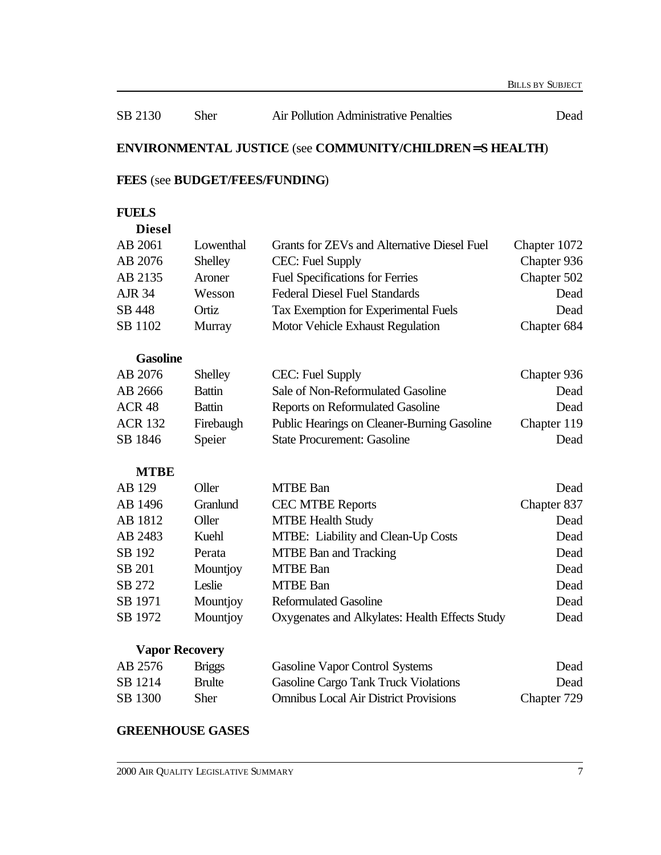|  | SB 2130 | Sher | <b>Air Pollution Administrative Penalties</b> | Dead |
|--|---------|------|-----------------------------------------------|------|
|--|---------|------|-----------------------------------------------|------|

### **ENVIRONMENTAL JUSTICE** (see **COMMUNITY/CHILDREN=S HEALTH**)

#### **FEES** (see **BUDGET/FEES/FUNDING**)

#### **FUELS**

**Diesel**

| AB 2061           | Lowenthal             | <b>Grants for ZEVs and Alternative Diesel Fuel</b> | Chapter 1072 |
|-------------------|-----------------------|----------------------------------------------------|--------------|
| AB 2076           | Shelley               | <b>CEC</b> : Fuel Supply                           | Chapter 936  |
| AB 2135           | Aroner                | <b>Fuel Specifications for Ferries</b>             | Chapter 502  |
| <b>AJR 34</b>     | Wesson                | <b>Federal Diesel Fuel Standards</b>               | Dead         |
| SB 448            | Ortiz                 | Tax Exemption for Experimental Fuels               | Dead         |
| SB 1102           | Murray                | Motor Vehicle Exhaust Regulation                   | Chapter 684  |
| <b>Gasoline</b>   |                       |                                                    |              |
| AB 2076           | Shelley               | CEC: Fuel Supply                                   | Chapter 936  |
| AB 2666           | <b>Battin</b>         | Sale of Non-Reformulated Gasoline                  | Dead         |
| ACR <sub>48</sub> | <b>Battin</b>         | <b>Reports on Reformulated Gasoline</b>            | Dead         |
| <b>ACR 132</b>    | Firebaugh             | Public Hearings on Cleaner-Burning Gasoline        | Chapter 119  |
| SB 1846           | Speier                | <b>State Procurement: Gasoline</b>                 | Dead         |
| <b>MTBE</b>       |                       |                                                    |              |
| AB 129            | Oller                 | <b>MTBE Ban</b>                                    | Dead         |
| AB 1496           | Granlund              | <b>CEC MTBE Reports</b>                            | Chapter 837  |
| AB 1812           | Oller                 | <b>MTBE Health Study</b>                           | Dead         |
| AB 2483           | Kuehl                 | MTBE: Liability and Clean-Up Costs                 | Dead         |
| SB 192            | Perata                | <b>MTBE Ban and Tracking</b>                       | Dead         |
| SB 201            | Mountjoy              | <b>MTBE Ban</b>                                    | Dead         |
| SB 272            | Leslie                | <b>MTBE Ban</b>                                    | Dead         |
| SB 1971           | Mountjoy              | <b>Reformulated Gasoline</b>                       | Dead         |
| SB 1972           | Mountjoy              | Oxygenates and Alkylates: Health Effects Study     | Dead         |
|                   | <b>Vapor Recovery</b> |                                                    |              |
| AB 2576           | <b>Briggs</b>         | Gasoline Vapor Control Systems                     | Dead         |
| SB 1214           | <b>Brulte</b>         | <b>Gasoline Cargo Tank Truck Violations</b>        | Dead         |
| SB 1300           | <b>Sher</b>           | <b>Omnibus Local Air District Provisions</b>       | Chapter 729  |

#### **GREENHOUSE GASES**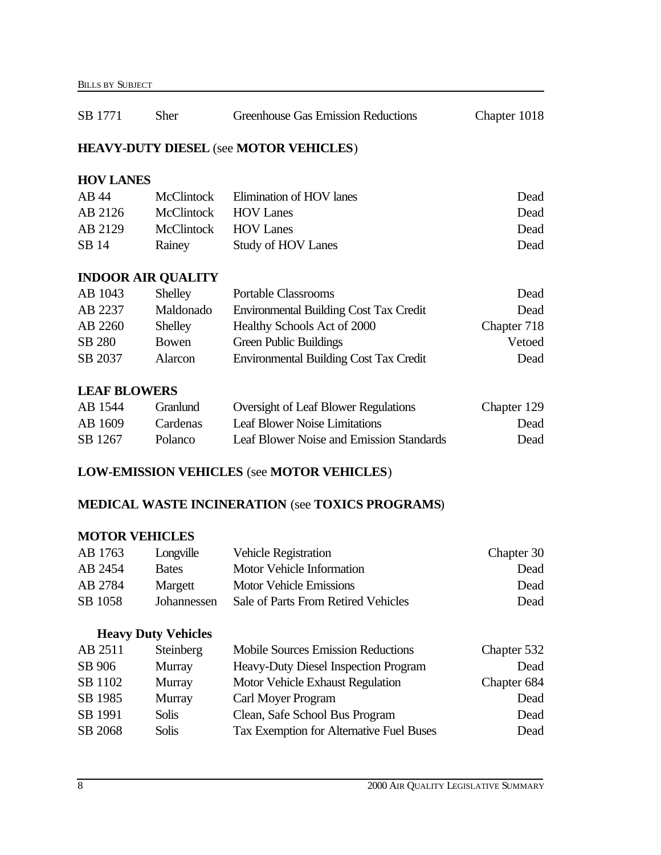| SB 1771                                           | <b>Sher</b>                                   | <b>Greenhouse Gas Emission Reductions</b>       | Chapter 1018 |  |  |
|---------------------------------------------------|-----------------------------------------------|-------------------------------------------------|--------------|--|--|
|                                                   | <b>HEAVY-DUTY DIESEL (see MOTOR VEHICLES)</b> |                                                 |              |  |  |
| <b>HOV LANES</b>                                  |                                               |                                                 |              |  |  |
| AB 44                                             | <b>McClintock</b>                             | Elimination of HOV lanes                        | Dead         |  |  |
| AB 2126                                           | McClintock                                    | <b>HOV Lanes</b>                                | Dead         |  |  |
| AB 2129                                           | McClintock                                    | <b>HOV Lanes</b>                                | Dead         |  |  |
| SB 14                                             | Rainey                                        | <b>Study of HOV Lanes</b>                       | Dead         |  |  |
|                                                   |                                               |                                                 |              |  |  |
| <b>INDOOR AIR QUALITY</b>                         |                                               |                                                 |              |  |  |
| AB 1043                                           | Shelley                                       | <b>Portable Classrooms</b>                      | Dead         |  |  |
| AB 2237                                           | Maldonado                                     | <b>Environmental Building Cost Tax Credit</b>   | Dead         |  |  |
| AB 2260                                           | Shelley                                       | Healthy Schools Act of 2000                     | Chapter 718  |  |  |
| SB 280                                            | <b>Bowen</b>                                  | <b>Green Public Buildings</b>                   | Vetoed       |  |  |
| SB 2037                                           | Alarcon                                       | <b>Environmental Building Cost Tax Credit</b>   | Dead         |  |  |
|                                                   |                                               |                                                 |              |  |  |
| <b>LEAF BLOWERS</b>                               |                                               |                                                 |              |  |  |
| AB 1544                                           | Granlund                                      | <b>Oversight of Leaf Blower Regulations</b>     | Chapter 129  |  |  |
| AB 1609                                           | Cardenas                                      | <b>Leaf Blower Noise Limitations</b>            | Dead         |  |  |
| SB 1267                                           | Polanco                                       | <b>Leaf Blower Noise and Emission Standards</b> | Dead         |  |  |
| <b>LOW-EMISSION VEHICLES (see MOTOR VEHICLES)</b> |                                               |                                                 |              |  |  |
| MEDICAL WASTE INCINERATION (see TOXICS PROGRAMS)  |                                               |                                                 |              |  |  |

## **MOTOR VEHICLES**

| AB 1763 | Longville    | Vehicle Registration                | Chapter 30 |
|---------|--------------|-------------------------------------|------------|
| AB 2454 | <b>Bates</b> | Motor Vehicle Information           | Dead       |
| AB 2784 | Margett      | Motor Vehicle Emissions             | Dead       |
| SB 1058 | Johannessen  | Sale of Parts From Retired Vehicles | Dead       |

## **Heavy Duty Vehicles**

| <b>Steinberg</b> | <b>Mobile Sources Emission Reductions</b>   | Chapter 532                              |
|------------------|---------------------------------------------|------------------------------------------|
| <b>Murray</b>    | <b>Heavy-Duty Diesel Inspection Program</b> | Dead                                     |
| Murray           | Motor Vehicle Exhaust Regulation            | Chapter 684                              |
| <b>Murray</b>    | <b>Carl Moyer Program</b>                   | Dead                                     |
| <b>Solis</b>     | Clean, Safe School Bus Program              | Dead                                     |
| <b>Solis</b>     |                                             | Dead                                     |
|                  |                                             | Tax Exemption for Alternative Fuel Buses |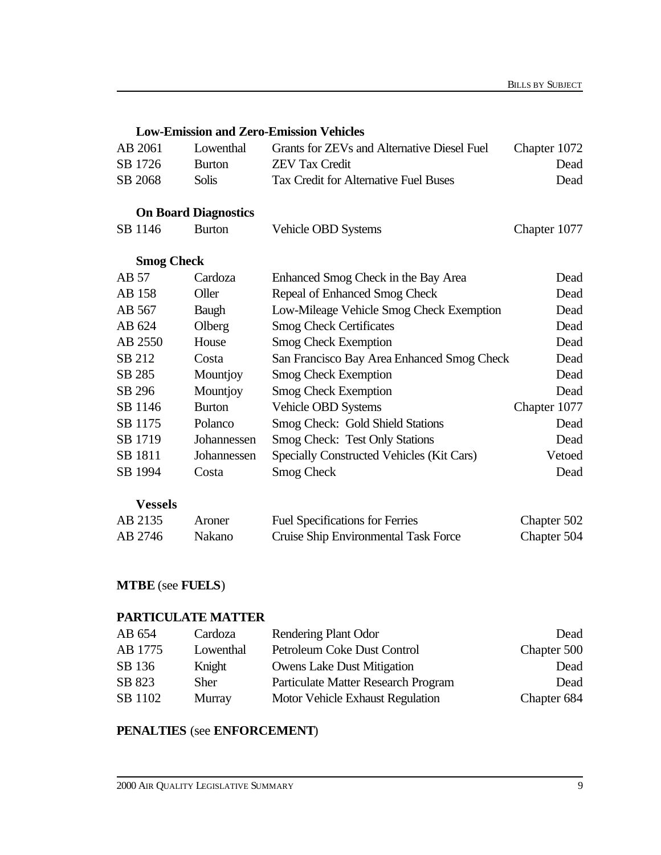### **Low-Emission and Zero-Emission Vehicles**

|       | AB 2061           | Lowenthal                   | <b>Grants for ZEVs and Alternative Diesel Fuel</b> | Chapter 1072 |
|-------|-------------------|-----------------------------|----------------------------------------------------|--------------|
|       | SB 1726           | <b>Burton</b>               | <b>ZEV Tax Credit</b>                              | Dead         |
|       | SB 2068           | Solis                       | Tax Credit for Alternative Fuel Buses              | Dead         |
|       |                   | <b>On Board Diagnostics</b> |                                                    |              |
|       | SB 1146           | <b>Burton</b>               | Vehicle OBD Systems                                | Chapter 1077 |
|       | <b>Smog Check</b> |                             |                                                    |              |
| AB 57 |                   | Cardoza                     | Enhanced Smog Check in the Bay Area                | Dead         |
|       | AB 158            | Oller                       | Repeal of Enhanced Smog Check                      | Dead         |
|       | AB 567            | Baugh                       | Low-Mileage Vehicle Smog Check Exemption           | Dead         |
|       | AB 624            | Olberg                      | <b>Smog Check Certificates</b>                     | Dead         |
|       | AB 2550           | House                       | <b>Smog Check Exemption</b>                        | Dead         |
|       | SB 212            | Costa                       | San Francisco Bay Area Enhanced Smog Check         | Dead         |
|       | SB 285            | Mountjoy                    | <b>Smog Check Exemption</b>                        | Dead         |
|       | SB 296            | Mountjoy                    | <b>Smog Check Exemption</b>                        | Dead         |
|       | SB 1146           | <b>Burton</b>               | Vehicle OBD Systems                                | Chapter 1077 |
|       | SB 1175           | Polanco                     | Smog Check: Gold Shield Stations                   | Dead         |
|       | SB 1719           | Johannessen                 | <b>Smog Check: Test Only Stations</b>              | Dead         |
|       | SB 1811           | Johannessen                 | Specially Constructed Vehicles (Kit Cars)          | Vetoed       |
|       | SB 1994           | Costa                       | <b>Smog Check</b>                                  | Dead         |
|       | <b>Vessels</b>    |                             |                                                    |              |

| AB 2135 | Aroner | <b>Fuel Specifications for Ferries</b>      | Chapter 502 |
|---------|--------|---------------------------------------------|-------------|
| AB 2746 | Nakano | <b>Cruise Ship Environmental Task Force</b> | Chapter 504 |

#### **MTBE** (see **FUELS**)

#### **PARTICULATE MATTER**

| AB 654  | Cardoza       | Rendering Plant Odor                | Dead        |
|---------|---------------|-------------------------------------|-------------|
| AB 1775 | Lowenthal     | Petroleum Coke Dust Control         | Chapter 500 |
| SB 136  | Knight        | <b>Owens Lake Dust Mitigation</b>   | Dead        |
| SB 823  | Sher          | Particulate Matter Research Program | Dead        |
| SB 1102 | <b>Murray</b> | Motor Vehicle Exhaust Regulation    | Chapter 684 |

#### **PENALTIES** (see **ENFORCEMENT**)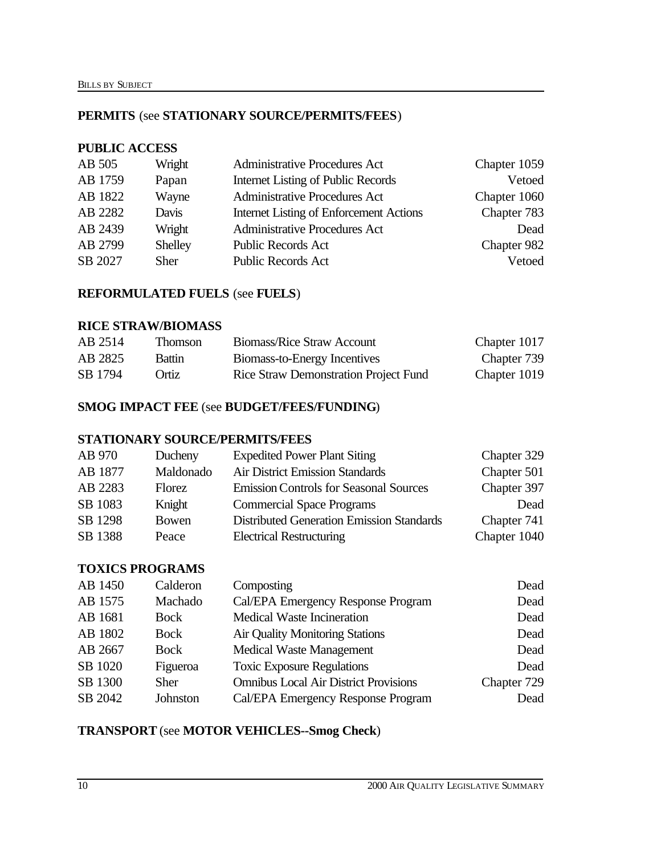#### **PERMITS** (see **STATIONARY SOURCE/PERMITS/FEES**)

#### **PUBLIC ACCESS**

| AB 505  | Wright  | <b>Administrative Procedures Act</b>    | Chapter 1059 |
|---------|---------|-----------------------------------------|--------------|
| AB 1759 | Papan   | Internet Listing of Public Records      | Vetoed       |
| AB 1822 | Wayne   | <b>Administrative Procedures Act</b>    | Chapter 1060 |
| AB 2282 | Davis   | Internet Listing of Enforcement Actions | Chapter 783  |
| AB 2439 | Wright  | <b>Administrative Procedures Act</b>    | Dead         |
| AB 2799 | Shelley | Public Records Act                      | Chapter 982  |
| SB 2027 | Sher    | <b>Public Records Act</b>               | Vetoed       |

#### **REFORMULATED FUELS** (see **FUELS**)

#### **RICE STRAW/BIOMASS**

| AB 2514 | Thomson       | <b>Biomass/Rice Straw Account</b>            | Chapter 1017 |
|---------|---------------|----------------------------------------------|--------------|
| AB 2825 | <b>Battin</b> | Biomass-to-Energy Incentives                 | Chapter 739  |
| SB 1794 | Ortiz         | <b>Rice Straw Demonstration Project Fund</b> | Chapter 1019 |

#### **SMOG IMPACT FEE** (see **BUDGET/FEES/FUNDING**)

#### **STATIONARY SOURCE/PERMITS/FEES**

| AB 970  | Ducheny   | <b>Expedited Power Plant Siting</b>              | Chapter 329  |
|---------|-----------|--------------------------------------------------|--------------|
| AB 1877 | Maldonado | <b>Air District Emission Standards</b>           | Chapter 501  |
| AB 2283 | Florez    | <b>Emission Controls for Seasonal Sources</b>    | Chapter 397  |
| SB 1083 | Knight    | <b>Commercial Space Programs</b>                 | Dead         |
| SB 1298 | Bowen     | <b>Distributed Generation Emission Standards</b> | Chapter 741  |
| SB 1388 | Peace     | <b>Electrical Restructuring</b>                  | Chapter 1040 |

#### **TOXICS PROGRAMS**

| AB 1450 | Calderon    | Composting                                   | Dead        |
|---------|-------------|----------------------------------------------|-------------|
| AB 1575 | Machado     | Cal/EPA Emergency Response Program           | Dead        |
| AB 1681 | Bock        | <b>Medical Waste Incineration</b>            | Dead        |
| AB 1802 | <b>Bock</b> | <b>Air Quality Monitoring Stations</b>       | Dead        |
| AB 2667 | <b>Bock</b> | <b>Medical Waste Management</b>              | Dead        |
| SB 1020 | Figueroa    | <b>Toxic Exposure Regulations</b>            | Dead        |
| SB 1300 | Sher        | <b>Omnibus Local Air District Provisions</b> | Chapter 729 |
| SB 2042 | Johnston    | Cal/EPA Emergency Response Program           | Dead        |

#### **TRANSPORT** (see **MOTOR VEHICLES--Smog Check**)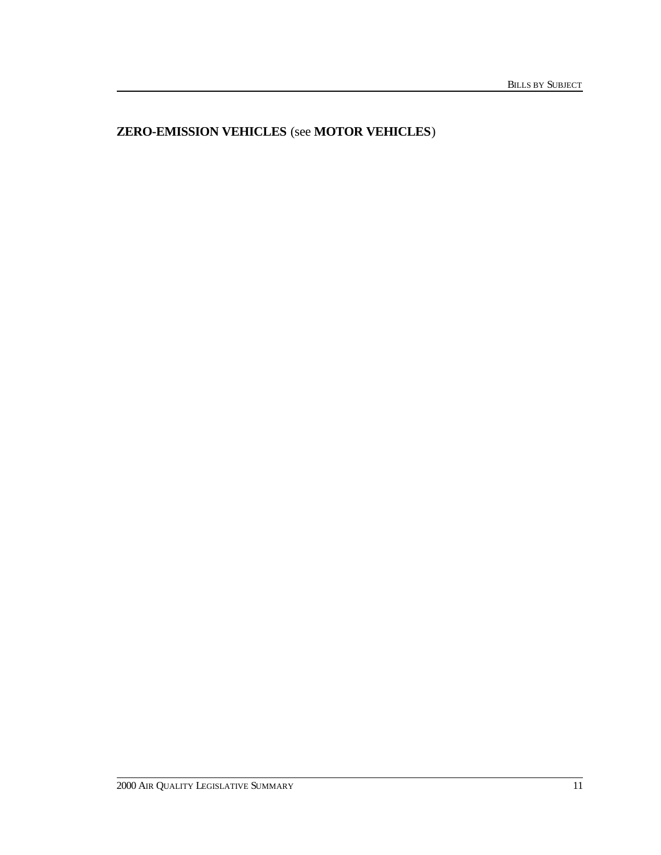**ZERO-EMISSION VEHICLES** (see **MOTOR VEHICLES**)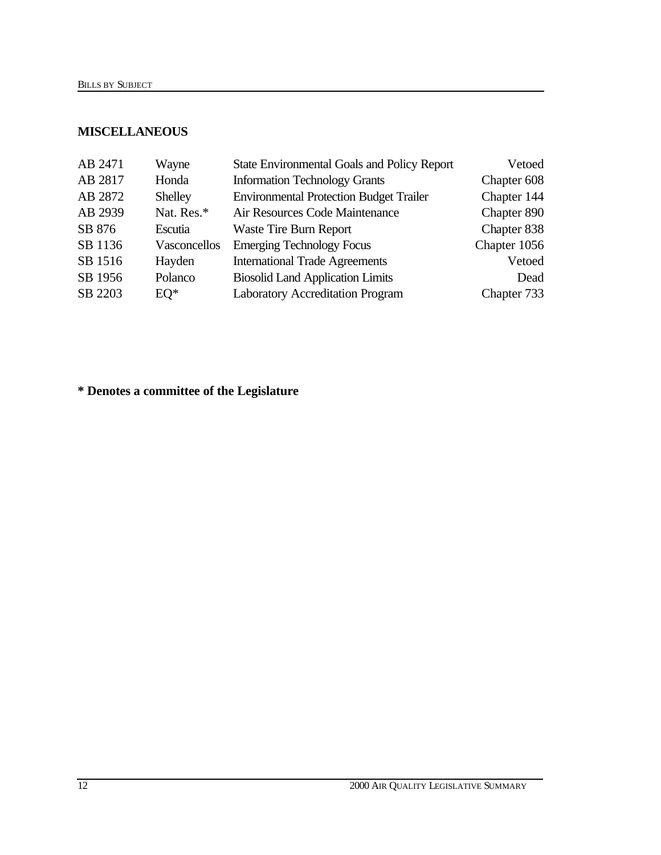#### **MISCELLANEOUS**

| AB 2817<br><b>Information Technology Grants</b><br>Honda<br>AB 2872<br><b>Environmental Protection Budget Trailer</b><br>Shelley<br>Nat. Res.*<br>AB 2939<br>Air Resources Code Maintenance<br>Waste Tire Burn Report<br>SB 876<br>Escutia<br><b>Emerging Technology Focus</b><br>SB 1136<br>Vasconcellos<br>SB 1516<br><b>International Trade Agreements</b><br>Hayden<br><b>Biosolid Land Application Limits</b><br>SB 1956<br>Polanco<br>SB 2203<br><b>Laboratory Accreditation Program</b><br>EO* | AB 2471 | Wayne | <b>State Environmental Goals and Policy Report</b> | Vetoed       |
|-------------------------------------------------------------------------------------------------------------------------------------------------------------------------------------------------------------------------------------------------------------------------------------------------------------------------------------------------------------------------------------------------------------------------------------------------------------------------------------------------------|---------|-------|----------------------------------------------------|--------------|
|                                                                                                                                                                                                                                                                                                                                                                                                                                                                                                       |         |       |                                                    | Chapter 608  |
|                                                                                                                                                                                                                                                                                                                                                                                                                                                                                                       |         |       |                                                    | Chapter 144  |
|                                                                                                                                                                                                                                                                                                                                                                                                                                                                                                       |         |       |                                                    | Chapter 890  |
|                                                                                                                                                                                                                                                                                                                                                                                                                                                                                                       |         |       |                                                    | Chapter 838  |
|                                                                                                                                                                                                                                                                                                                                                                                                                                                                                                       |         |       |                                                    | Chapter 1056 |
|                                                                                                                                                                                                                                                                                                                                                                                                                                                                                                       |         |       |                                                    | Vetoed       |
|                                                                                                                                                                                                                                                                                                                                                                                                                                                                                                       |         |       |                                                    | Dead         |
|                                                                                                                                                                                                                                                                                                                                                                                                                                                                                                       |         |       |                                                    | Chapter 733  |

**\* Denotes a committee of the Legislature**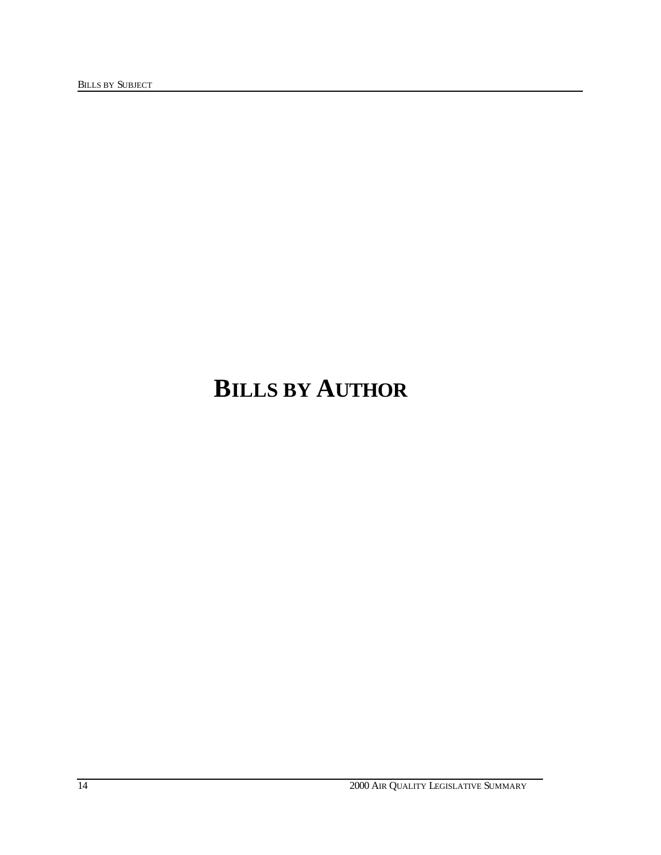BILLS BY SUBJECT

## **BILLS BY AUTHOR**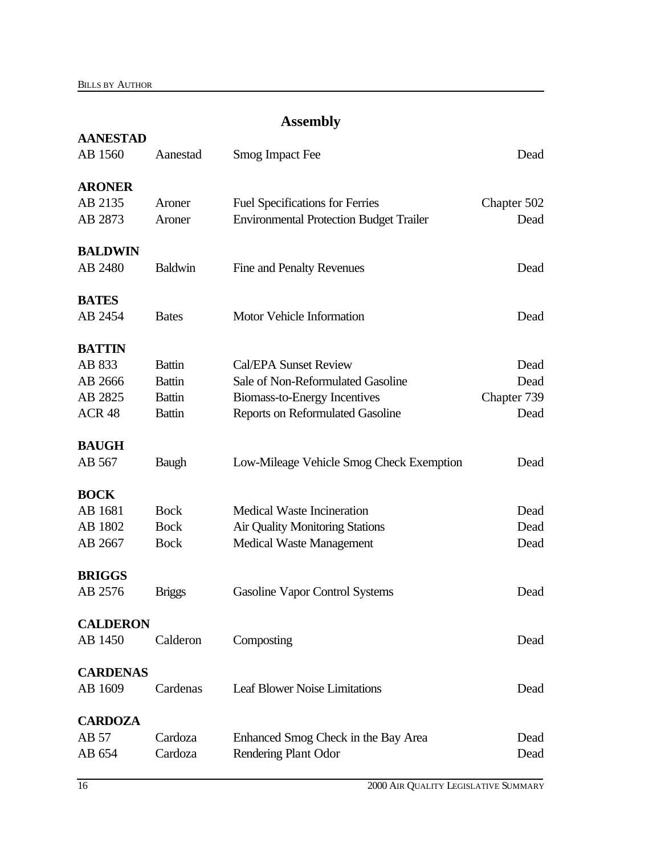BILLS BY AUTHOR

## **Assembly**

| <b>AANESTAD</b>         |                |                                                |             |
|-------------------------|----------------|------------------------------------------------|-------------|
| AB 1560                 | Aanestad       | Smog Impact Fee                                | Dead        |
|                         |                |                                                |             |
| <b>ARONER</b>           |                |                                                |             |
| AB 2135                 | Aroner         | <b>Fuel Specifications for Ferries</b>         | Chapter 502 |
| AB 2873                 | Aroner         | <b>Environmental Protection Budget Trailer</b> | Dead        |
| <b>BALDWIN</b>          |                |                                                |             |
| AB 2480                 | <b>Baldwin</b> | Fine and Penalty Revenues                      | Dead        |
| <b>BATES</b>            |                |                                                |             |
| AB 2454                 | <b>Bates</b>   | <b>Motor Vehicle Information</b>               | Dead        |
|                         |                |                                                |             |
| <b>BATTIN</b><br>AB 833 | <b>Battin</b>  | <b>Cal/EPA Sunset Review</b>                   | Dead        |
| AB 2666                 | <b>Battin</b>  | Sale of Non-Reformulated Gasoline              | Dead        |
| AB 2825                 | <b>Battin</b>  |                                                |             |
|                         |                | Biomass-to-Energy Incentives                   | Chapter 739 |
| ACR <sub>48</sub>       | <b>Battin</b>  | Reports on Reformulated Gasoline               | Dead        |
| <b>BAUGH</b>            |                |                                                |             |
| AB 567                  | Baugh          | Low-Mileage Vehicle Smog Check Exemption       | Dead        |
|                         |                |                                                |             |
| <b>BOCK</b>             |                |                                                |             |
| AB 1681                 | <b>Bock</b>    | <b>Medical Waste Incineration</b>              | Dead        |
| AB 1802                 | <b>Bock</b>    | Air Quality Monitoring Stations                | Dead        |
| AB 2667                 | <b>Bock</b>    | Medical Waste Management                       | Dead        |
| <b>BRIGGS</b>           |                |                                                |             |
| AB 2576                 | <b>Briggs</b>  | Gasoline Vapor Control Systems                 | Dead        |
| <b>CALDERON</b>         |                |                                                |             |
| AB 1450                 | Calderon       | Composting                                     | Dead        |
|                         |                |                                                |             |
| <b>CARDENAS</b>         |                |                                                |             |
| AB 1609                 | Cardenas       | <b>Leaf Blower Noise Limitations</b>           | Dead        |
| <b>CARDOZA</b>          |                |                                                |             |
| AB 57                   | Cardoza        |                                                |             |
| AB 654                  |                | Enhanced Smog Check in the Bay Area            | Dead        |
|                         | Cardoza        | Rendering Plant Odor                           | Dead        |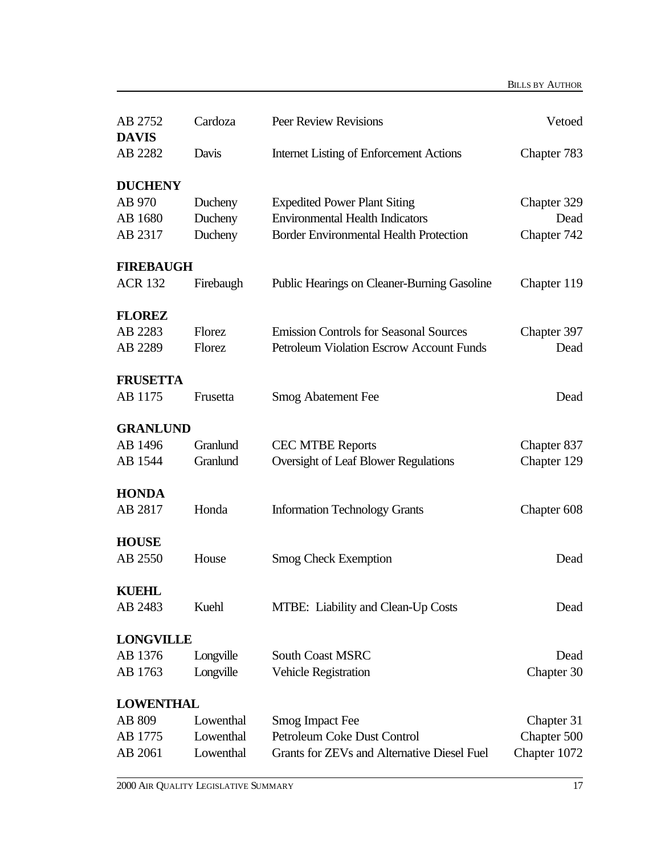| AB 2752<br><b>DAVIS</b> | Cardoza   | <b>Peer Review Revisions</b>                    | Vetoed       |
|-------------------------|-----------|-------------------------------------------------|--------------|
| AB 2282                 | Davis     | Internet Listing of Enforcement Actions         | Chapter 783  |
| <b>DUCHENY</b>          |           |                                                 |              |
| AB 970                  | Ducheny   | <b>Expedited Power Plant Siting</b>             | Chapter 329  |
| AB 1680                 | Ducheny   | <b>Environmental Health Indicators</b>          | Dead         |
| AB 2317                 | Ducheny   | Border Environmental Health Protection          | Chapter 742  |
| <b>FIREBAUGH</b>        |           |                                                 |              |
| <b>ACR 132</b>          | Firebaugh | Public Hearings on Cleaner-Burning Gasoline     | Chapter 119  |
| <b>FLOREZ</b>           |           |                                                 |              |
| AB 2283                 | Florez    | <b>Emission Controls for Seasonal Sources</b>   | Chapter 397  |
| AB 2289                 | Florez    | <b>Petroleum Violation Escrow Account Funds</b> | Dead         |
| <b>FRUSETTA</b>         |           |                                                 |              |
| AB 1175                 | Frusetta  | Smog Abatement Fee                              | Dead         |
| <b>GRANLUND</b>         |           |                                                 |              |
| AB 1496                 | Granlund  | <b>CEC MTBE Reports</b>                         | Chapter 837  |
| AB 1544                 | Granlund  | <b>Oversight of Leaf Blower Regulations</b>     | Chapter 129  |
| <b>HONDA</b>            |           |                                                 |              |
| AB 2817                 | Honda     | <b>Information Technology Grants</b>            | Chapter 608  |
| <b>HOUSE</b>            |           |                                                 |              |
| AB 2550                 | House     | <b>Smog Check Exemption</b>                     | Dead         |
| <b>KUEHL</b>            |           |                                                 |              |
| AB 2483                 | Kuehl     | MTBE: Liability and Clean-Up Costs              | Dead         |
| <b>LONGVILLE</b>        |           |                                                 |              |
| AB 1376                 | Longville | <b>South Coast MSRC</b>                         | Dead         |
| AB 1763                 | Longville | Vehicle Registration                            | Chapter 30   |
| <b>LOWENTHAL</b>        |           |                                                 |              |
| AB 809                  | Lowenthal | <b>Smog Impact Fee</b>                          | Chapter 31   |
| AB 1775                 | Lowenthal | Petroleum Coke Dust Control                     | Chapter 500  |
| AB 2061                 | Lowenthal | Grants for ZEVs and Alternative Diesel Fuel     | Chapter 1072 |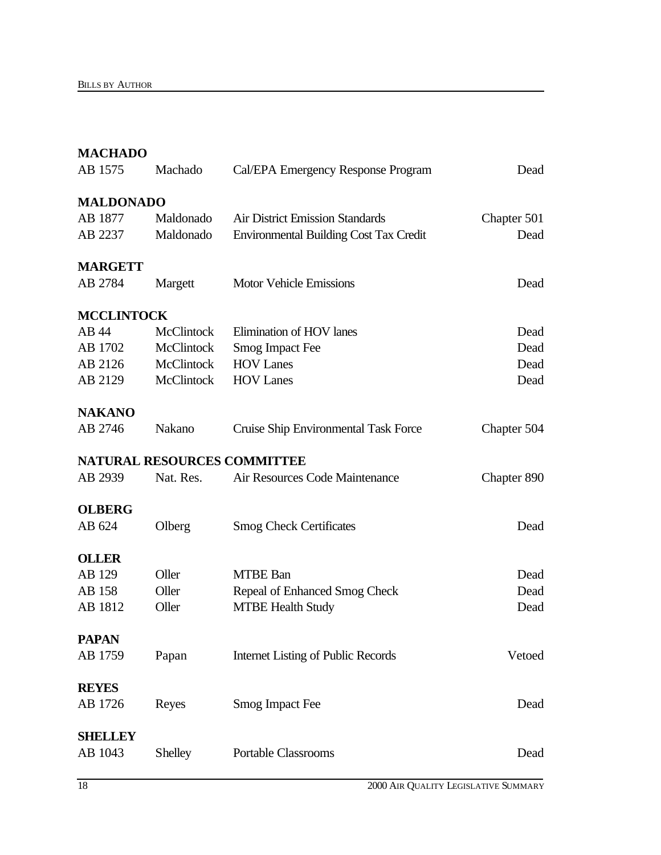#### **MACHADO**

| AB 1575           | Machado                            | Cal/EPA Emergency Response Program            | Dead        |
|-------------------|------------------------------------|-----------------------------------------------|-------------|
| <b>MALDONADO</b>  |                                    |                                               |             |
| AB 1877           | Maldonado                          | <b>Air District Emission Standards</b>        | Chapter 501 |
| AB 2237           | Maldonado                          | <b>Environmental Building Cost Tax Credit</b> | Dead        |
| <b>MARGETT</b>    |                                    |                                               |             |
| AB 2784           | Margett                            | <b>Motor Vehicle Emissions</b>                | Dead        |
| <b>MCCLINTOCK</b> |                                    |                                               |             |
| AB 44             | <b>McClintock</b>                  | Elimination of HOV lanes                      | Dead        |
| AB 1702           | <b>McClintock</b>                  | Smog Impact Fee                               | Dead        |
| AB 2126           | <b>McClintock</b>                  | <b>HOV Lanes</b>                              | Dead        |
| AB 2129           | McClintock                         | <b>HOV Lanes</b>                              | Dead        |
| <b>NAKANO</b>     |                                    |                                               |             |
| AB 2746           | Nakano                             | Cruise Ship Environmental Task Force          | Chapter 504 |
|                   | <b>NATURAL RESOURCES COMMITTEE</b> |                                               |             |
| AB 2939           | Nat. Res.                          | Air Resources Code Maintenance                | Chapter 890 |
| <b>OLBERG</b>     |                                    |                                               |             |
| AB 624            | Olberg                             | <b>Smog Check Certificates</b>                | Dead        |
| <b>OLLER</b>      |                                    |                                               |             |
| AB 129            | Oller                              | <b>MTBE Ban</b>                               | Dead        |
| AB 158            | Oller                              | Repeal of Enhanced Smog Check                 | Dead        |
| AB 1812           | Oller                              | <b>MTBE Health Study</b>                      | Dead        |
| <b>PAPAN</b>      |                                    |                                               |             |
| AB 1759           | Papan                              | <b>Internet Listing of Public Records</b>     | Vetoed      |
| <b>REYES</b>      |                                    |                                               |             |
| AB 1726           | Reyes                              | <b>Smog Impact Fee</b>                        | Dead        |
| <b>SHELLEY</b>    |                                    |                                               |             |
| AB 1043           | Shelley                            | <b>Portable Classrooms</b>                    | Dead        |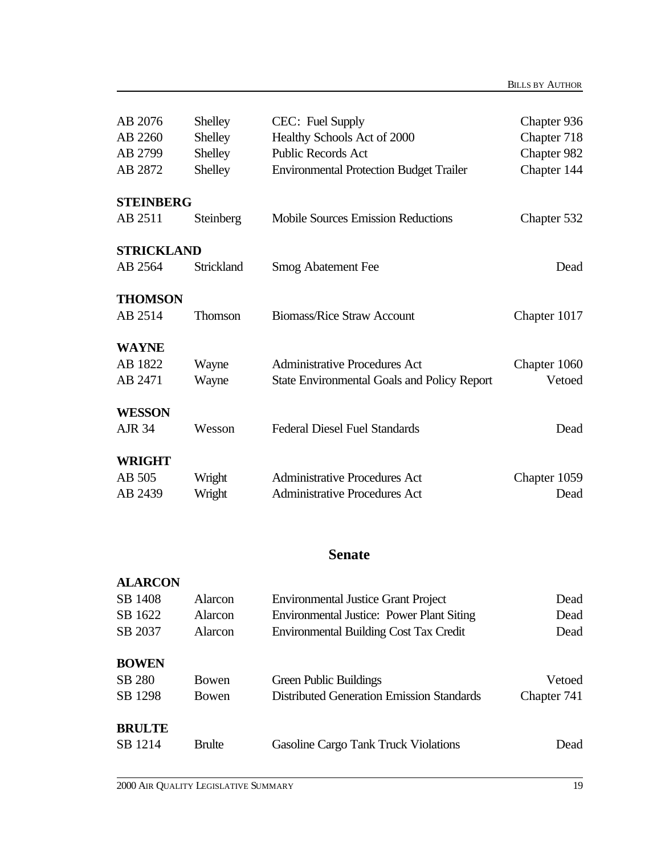| AB 2076           | Shelley        | CEC: Fuel Supply                                   | Chapter 936  |
|-------------------|----------------|----------------------------------------------------|--------------|
| AB 2260           | Shelley        | Healthy Schools Act of 2000                        | Chapter 718  |
| AB 2799           | Shelley        | <b>Public Records Act</b>                          | Chapter 982  |
| AB 2872           | Shelley        | <b>Environmental Protection Budget Trailer</b>     | Chapter 144  |
| <b>STEINBERG</b>  |                |                                                    |              |
| AB 2511           | Steinberg      | <b>Mobile Sources Emission Reductions</b>          | Chapter 532  |
| <b>STRICKLAND</b> |                |                                                    |              |
| AB 2564           | Strickland     | Smog Abatement Fee                                 | Dead         |
| <b>THOMSON</b>    |                |                                                    |              |
| AB 2514           | <b>Thomson</b> | <b>Biomass/Rice Straw Account</b>                  | Chapter 1017 |
| <b>WAYNE</b>      |                |                                                    |              |
| AB 1822           | Wayne          | <b>Administrative Procedures Act</b>               | Chapter 1060 |
| AB 2471           | Wayne          | <b>State Environmental Goals and Policy Report</b> | Vetoed       |
| <b>WESSON</b>     |                |                                                    |              |
| <b>AJR 34</b>     | Wesson         | <b>Federal Diesel Fuel Standards</b>               | Dead         |
| <b>WRIGHT</b>     |                |                                                    |              |
| AB 505            | Wright         | <b>Administrative Procedures Act</b>               | Chapter 1059 |
| AB 2439           | Wright         | <b>Administrative Procedures Act</b>               | Dead         |

## **Senate**

| <b>ALARCON</b> |                |                                                  |             |
|----------------|----------------|--------------------------------------------------|-------------|
| SB 1408        | <b>Alarcon</b> | <b>Environmental Justice Grant Project</b>       | Dead        |
| SB 1622        | Alarcon        | <b>Environmental Justice: Power Plant Siting</b> | Dead        |
| SB 2037        | <b>Alarcon</b> | <b>Environmental Building Cost Tax Credit</b>    | Dead        |
| <b>BOWEN</b>   |                |                                                  |             |
| SB 280         | Bowen          | <b>Green Public Buildings</b>                    | Vetoed      |
| SB 1298        | <b>Bowen</b>   | <b>Distributed Generation Emission Standards</b> | Chapter 741 |
| <b>BRULTE</b>  |                |                                                  |             |
| SB 1214        | <b>Brulte</b>  | Gasoline Cargo Tank Truck Violations             | Dead        |
|                |                |                                                  |             |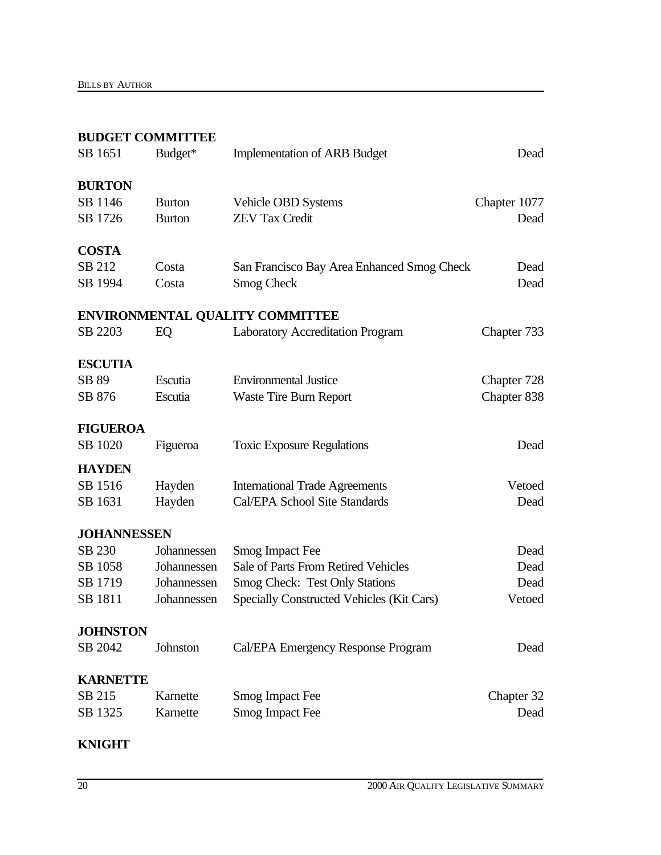#### **BUDGET COMMITTEE**

| SB 1651            | Budget*       | <b>Implementation of ARB Budget</b>        | Dead         |
|--------------------|---------------|--------------------------------------------|--------------|
| <b>BURTON</b>      |               |                                            |              |
| SB 1146            | <b>Burton</b> | Vehicle OBD Systems                        | Chapter 1077 |
| SB 1726            | <b>Burton</b> | <b>ZEV Tax Credit</b>                      | Dead         |
| <b>COSTA</b>       |               |                                            |              |
| SB 212             | Costa         | San Francisco Bay Area Enhanced Smog Check | Dead         |
| SB 1994            | Costa         | <b>Smog Check</b>                          | Dead         |
|                    |               | <b>ENVIRONMENTAL QUALITY COMMITTEE</b>     |              |
| SB 2203            | EQ            | <b>Laboratory Accreditation Program</b>    | Chapter 733  |
| <b>ESCUTIA</b>     |               |                                            |              |
| SB 89              | Escutia       | <b>Environmental Justice</b>               | Chapter 728  |
| SB 876             | Escutia       | Waste Tire Burn Report                     | Chapter 838  |
| <b>FIGUEROA</b>    |               |                                            |              |
| SB 1020            | Figueroa      | <b>Toxic Exposure Regulations</b>          | Dead         |
| <b>HAYDEN</b>      |               |                                            |              |
| SB 1516            | Hayden        | <b>International Trade Agreements</b>      | Vetoed       |
| SB 1631            | Hayden        | Cal/EPA School Site Standards              | Dead         |
| <b>JOHANNESSEN</b> |               |                                            |              |
| SB 230             | Johannessen   | Smog Impact Fee                            | Dead         |
| SB 1058            | Johannessen   | Sale of Parts From Retired Vehicles        | Dead         |
| SB 1719            | Johannessen   | <b>Smog Check: Test Only Stations</b>      | Dead         |
| SB 1811            | Johannessen   | Specially Constructed Vehicles (Kit Cars)  | Vetoed       |
| <b>JOHNSTON</b>    |               |                                            |              |
| SB 2042            | Johnston      | Cal/EPA Emergency Response Program         | Dead         |
| <b>KARNETTE</b>    |               |                                            |              |
| SB 215             | Karnette      | Smog Impact Fee                            | Chapter 32   |
| SB 1325            | Karnette      | <b>Smog Impact Fee</b>                     | Dead         |

## **KNIGHT**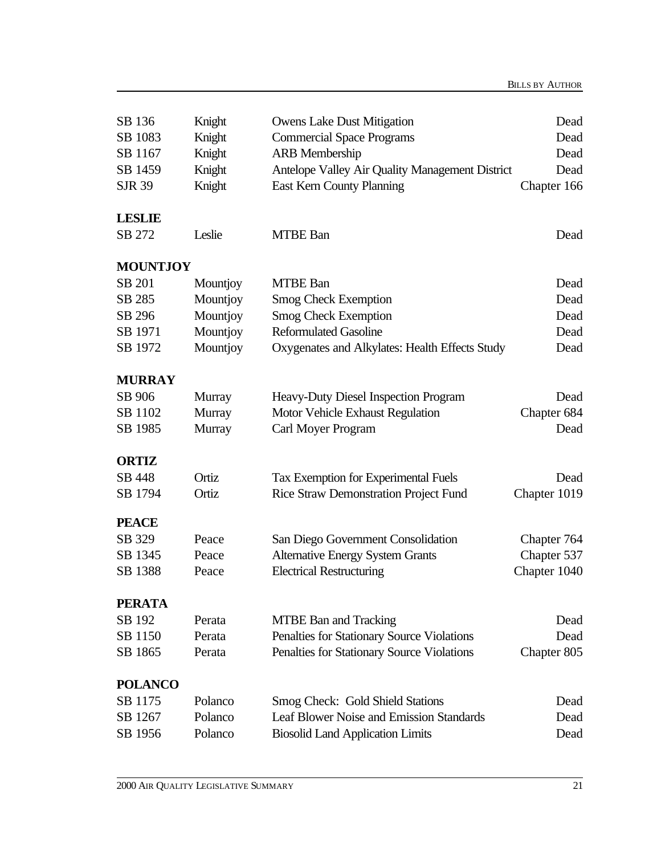| SB 136          | Knight        | <b>Owens Lake Dust Mitigation</b>               | Dead         |
|-----------------|---------------|-------------------------------------------------|--------------|
| SB 1083         | Knight        | <b>Commercial Space Programs</b>                | Dead         |
| SB 1167         | Knight        | <b>ARB</b> Membership                           | Dead         |
| SB 1459         | Knight        | Antelope Valley Air Quality Management District | Dead         |
| <b>SJR 39</b>   | Knight        | <b>East Kern County Planning</b>                | Chapter 166  |
| <b>LESLIE</b>   |               |                                                 |              |
| SB 272          | Leslie        | <b>MTBE Ban</b>                                 | Dead         |
| <b>MOUNTJOY</b> |               |                                                 |              |
| SB 201          | Mountjoy      | <b>MTBE Ban</b>                                 | Dead         |
| SB 285          | Mountjoy      | <b>Smog Check Exemption</b>                     | Dead         |
| SB 296          | Mountjoy      | <b>Smog Check Exemption</b>                     | Dead         |
| SB 1971         | Mountjoy      | <b>Reformulated Gasoline</b>                    | Dead         |
| SB 1972         | Mountjoy      | Oxygenates and Alkylates: Health Effects Study  | Dead         |
| <b>MURRAY</b>   |               |                                                 |              |
| SB 906          | <b>Murray</b> | <b>Heavy-Duty Diesel Inspection Program</b>     | Dead         |
| SB 1102         | <b>Murray</b> | Motor Vehicle Exhaust Regulation                | Chapter 684  |
| SB 1985         | <b>Murray</b> | Carl Moyer Program                              | Dead         |
| <b>ORTIZ</b>    |               |                                                 |              |
| SB 448          | Ortiz         | Tax Exemption for Experimental Fuels            | Dead         |
| SB 1794         | Ortiz         | <b>Rice Straw Demonstration Project Fund</b>    | Chapter 1019 |
| <b>PEACE</b>    |               |                                                 |              |
| SB 329          | Peace         | San Diego Government Consolidation              | Chapter 764  |
| SB 1345         | Peace         | <b>Alternative Energy System Grants</b>         | Chapter 537  |
| SB 1388         | Peace         | <b>Electrical Restructuring</b>                 | Chapter 1040 |
| <b>PERATA</b>   |               |                                                 |              |
| SB 192          | Perata        | <b>MTBE Ban and Tracking</b>                    | Dead         |
| SB 1150         | Perata        | Penalties for Stationary Source Violations      | Dead         |
| SB 1865         | Perata        | Penalties for Stationary Source Violations      | Chapter 805  |
| <b>POLANCO</b>  |               |                                                 |              |
| SB 1175         | Polanco       | Smog Check: Gold Shield Stations                | Dead         |
| SB 1267         | Polanco       | <b>Leaf Blower Noise and Emission Standards</b> | Dead         |
| SB 1956         | Polanco       | <b>Biosolid Land Application Limits</b>         | Dead         |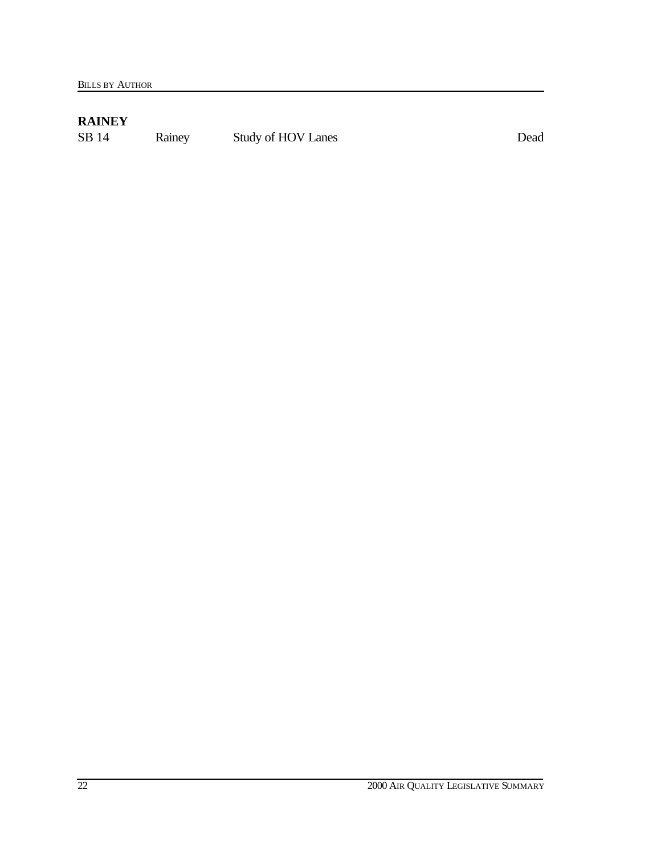# **RAINEY**

Rainey Study of HOV Lanes Dead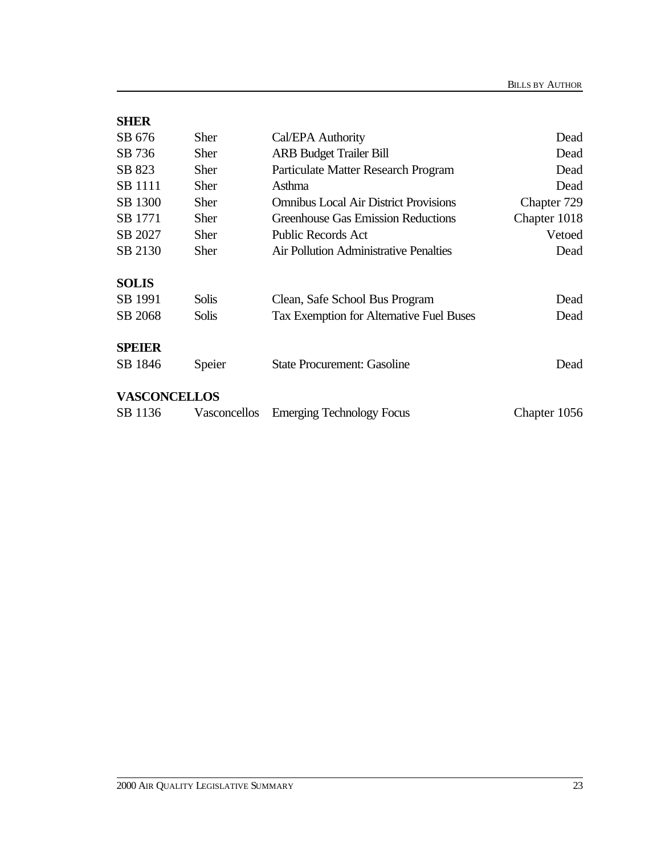#### **SHER**

| SB 676              | Sher         | Cal/EPA Authority                             | Dead         |
|---------------------|--------------|-----------------------------------------------|--------------|
| SB 736              | Sher         | <b>ARB Budget Trailer Bill</b>                | Dead         |
| SB 823              | Sher         | Particulate Matter Research Program           | Dead         |
| <b>SB</b> 1111      | Sher         | Asthma                                        | Dead         |
| SB 1300             | Sher         | <b>Omnibus Local Air District Provisions</b>  | Chapter 729  |
| SB 1771             | Sher         | <b>Greenhouse Gas Emission Reductions</b>     | Chapter 1018 |
| SB 2027             | Sher         | <b>Public Records Act</b>                     | Vetoed       |
| SB 2130             | <b>Sher</b>  | <b>Air Pollution Administrative Penalties</b> | Dead         |
|                     |              |                                               |              |
| <b>SOLIS</b>        |              |                                               |              |
| SB 1991             | <b>Solis</b> | Clean, Safe School Bus Program                | Dead         |
| SB 2068             | <b>Solis</b> | Tax Exemption for Alternative Fuel Buses      | Dead         |
|                     |              |                                               |              |
| <b>SPEIER</b>       |              |                                               |              |
| SB 1846             | Speier       | <b>State Procurement: Gasoline</b>            | Dead         |
|                     |              |                                               |              |
| <b>VASCONCELLOS</b> |              |                                               |              |
| SB 1136             | Vasconcellos | <b>Emerging Technology Focus</b>              | Chapter 1056 |
|                     |              |                                               |              |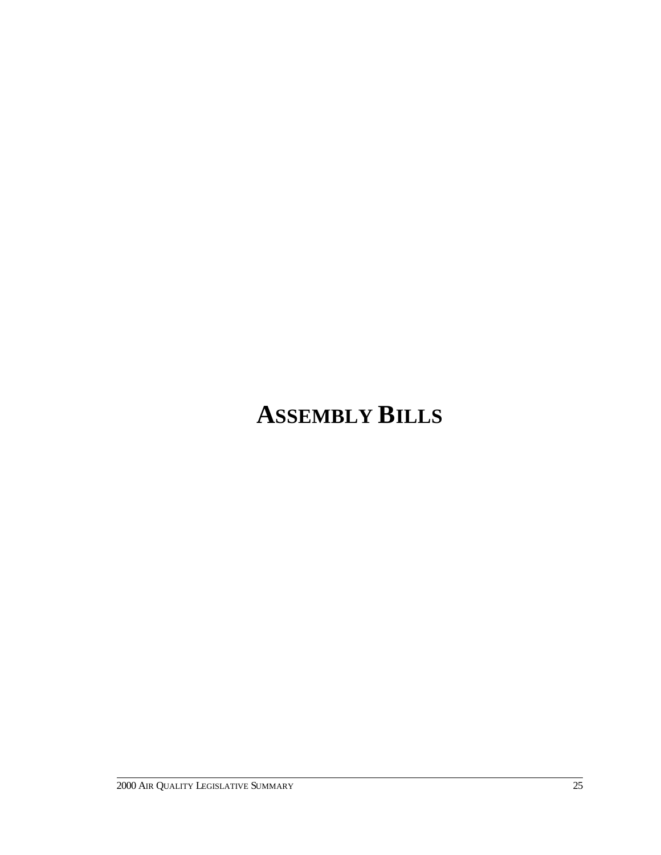# **ASSEMBLY BILLS**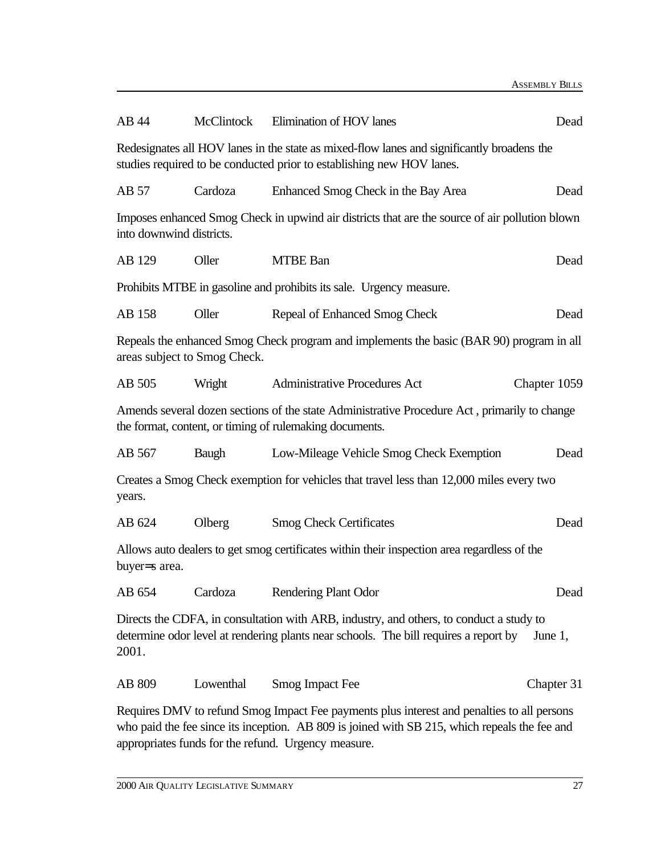| AB 44                    | McClintock                   | Elimination of HOV lanes                                                                                                                                                                                                                           | Dead         |
|--------------------------|------------------------------|----------------------------------------------------------------------------------------------------------------------------------------------------------------------------------------------------------------------------------------------------|--------------|
|                          |                              | Redesignates all HOV lanes in the state as mixed-flow lanes and significantly broadens the<br>studies required to be conducted prior to establishing new HOV lanes.                                                                                |              |
| AB 57                    | Cardoza                      | Enhanced Smog Check in the Bay Area                                                                                                                                                                                                                | Dead         |
| into downwind districts. |                              | Imposes enhanced Smog Check in upwind air districts that are the source of air pollution blown                                                                                                                                                     |              |
| AB 129                   | Oller                        | <b>MTBE Ban</b>                                                                                                                                                                                                                                    | Dead         |
|                          |                              | Prohibits MTBE in gasoline and prohibits its sale. Urgency measure.                                                                                                                                                                                |              |
| AB 158                   | Oller                        | Repeal of Enhanced Smog Check                                                                                                                                                                                                                      | Dead         |
|                          | areas subject to Smog Check. | Repeals the enhanced Smog Check program and implements the basic (BAR 90) program in all                                                                                                                                                           |              |
| AB 505                   | Wright                       | <b>Administrative Procedures Act</b>                                                                                                                                                                                                               | Chapter 1059 |
|                          |                              | Amends several dozen sections of the state Administrative Procedure Act, primarily to change<br>the format, content, or timing of rulemaking documents.                                                                                            |              |
| AB 567                   | Baugh                        | Low-Mileage Vehicle Smog Check Exemption                                                                                                                                                                                                           | Dead         |
| years.                   |                              | Creates a Smog Check exemption for vehicles that travel less than 12,000 miles every two                                                                                                                                                           |              |
| AB 624                   | Olberg                       | <b>Smog Check Certificates</b>                                                                                                                                                                                                                     | Dead         |
| buyer=s area.            |                              | Allows auto dealers to get smog certificates within their inspection area regardless of the                                                                                                                                                        |              |
| AB 654                   | Cardoza                      | Rendering Plant Odor                                                                                                                                                                                                                               | Dead         |
| 2001.                    |                              | Directs the CDFA, in consultation with ARB, industry, and others, to conduct a study to<br>determine odor level at rendering plants near schools. The bill requires a report by                                                                    | June 1,      |
| AB 809                   | Lowenthal                    | Smog Impact Fee                                                                                                                                                                                                                                    | Chapter 31   |
|                          |                              | Requires DMV to refund Smog Impact Fee payments plus interest and penalties to all persons<br>who paid the fee since its inception. AB 809 is joined with SB 215, which repeals the fee and<br>appropriates funds for the refund. Urgency measure. |              |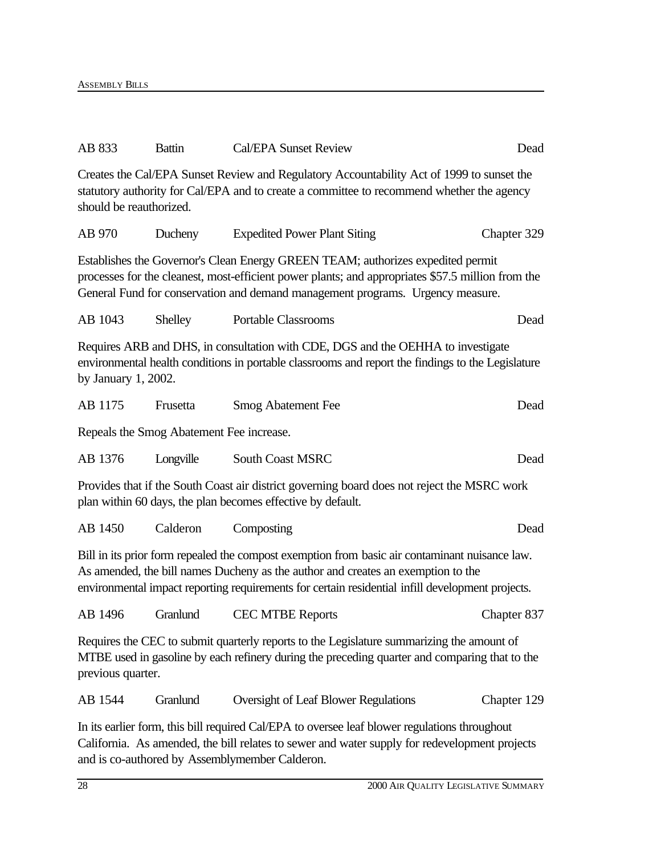| AB 833                  | <b>Battin</b>                            | <b>Cal/EPA Sunset Review</b>                                                                                                                                                                                                                                                           | Dead        |
|-------------------------|------------------------------------------|----------------------------------------------------------------------------------------------------------------------------------------------------------------------------------------------------------------------------------------------------------------------------------------|-------------|
| should be reauthorized. |                                          | Creates the Cal/EPA Sunset Review and Regulatory Accountability Act of 1999 to sunset the<br>statutory authority for Cal/EPA and to create a committee to recommend whether the agency                                                                                                 |             |
| AB 970                  | Ducheny                                  | <b>Expedited Power Plant Siting</b>                                                                                                                                                                                                                                                    | Chapter 329 |
|                         |                                          | Establishes the Governor's Clean Energy GREEN TEAM; authorizes expedited permit<br>processes for the cleanest, most-efficient power plants; and appropriates \$57.5 million from the<br>General Fund for conservation and demand management programs. Urgency measure.                 |             |
| AB 1043                 | Shelley                                  | <b>Portable Classrooms</b>                                                                                                                                                                                                                                                             | Dead        |
| by January 1, 2002.     |                                          | Requires ARB and DHS, in consultation with CDE, DGS and the OEHHA to investigate<br>environmental health conditions in portable classrooms and report the findings to the Legislature                                                                                                  |             |
| AB 1175                 | Frusetta                                 | Smog Abatement Fee                                                                                                                                                                                                                                                                     | Dead        |
|                         | Repeals the Smog Abatement Fee increase. |                                                                                                                                                                                                                                                                                        |             |
| AB 1376                 | Longville                                | <b>South Coast MSRC</b>                                                                                                                                                                                                                                                                | Dead        |
|                         |                                          | Provides that if the South Coast air district governing board does not reject the MSRC work<br>plan within 60 days, the plan becomes effective by default.                                                                                                                             |             |
| AB 1450                 | Calderon                                 | Composting                                                                                                                                                                                                                                                                             | Dead        |
|                         |                                          | Bill in its prior form repealed the compost exemption from basic air contaminant nuisance law.<br>As amended, the bill names Ducheny as the author and creates an exemption to the<br>environmental impact reporting requirements for certain residential infill development projects. |             |
| AB 1496                 | Granlund                                 | <b>CEC MTBE Reports</b>                                                                                                                                                                                                                                                                | Chapter 837 |
| previous quarter.       |                                          | Requires the CEC to submit quarterly reports to the Legislature summarizing the amount of<br>MTBE used in gasoline by each refinery during the preceding quarter and comparing that to the                                                                                             |             |
| AB 1544                 | Granlund                                 | <b>Oversight of Leaf Blower Regulations</b>                                                                                                                                                                                                                                            | Chapter 129 |
|                         |                                          | In its earlier form, this bill required Cal/EPA to oversee leaf blower regulations throughout<br>California. As amended, the bill relates to sewer and water supply for redevelopment projects                                                                                         |             |

and is co-authored by Assemblymember Calderon.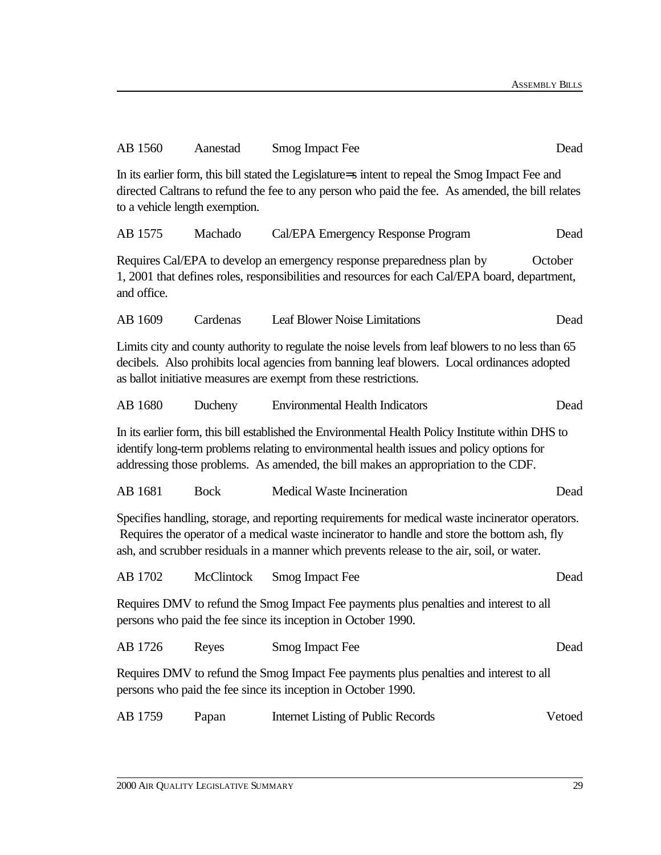| AB 1560                        | Aanestad          | Smog Impact Fee                                                                                                                                                                                                                                                                                | Dead    |
|--------------------------------|-------------------|------------------------------------------------------------------------------------------------------------------------------------------------------------------------------------------------------------------------------------------------------------------------------------------------|---------|
| to a vehicle length exemption. |                   | In its earlier form, this bill stated the Legislature=s intent to repeal the Smog Impact Fee and<br>directed Caltrans to refund the fee to any person who paid the fee. As amended, the bill relates                                                                                           |         |
| AB 1575                        | Machado           | Cal/EPA Emergency Response Program                                                                                                                                                                                                                                                             | Dead    |
| and office.                    |                   | Requires Cal/EPA to develop an emergency response preparedness plan by<br>1, 2001 that defines roles, responsibilities and resources for each Cal/EPA board, department,                                                                                                                       | October |
| AB 1609                        | Cardenas          | <b>Leaf Blower Noise Limitations</b>                                                                                                                                                                                                                                                           | Dead    |
|                                |                   | Limits city and county authority to regulate the noise levels from leaf blowers to no less than 65<br>decibels. Also prohibits local agencies from banning leaf blowers. Local ordinances adopted<br>as ballot initiative measures are exempt from these restrictions.                         |         |
| AB 1680                        | Ducheny           | <b>Environmental Health Indicators</b>                                                                                                                                                                                                                                                         | Dead    |
|                                |                   | In its earlier form, this bill established the Environmental Health Policy Institute within DHS to<br>identify long-term problems relating to environmental health issues and policy options for<br>addressing those problems. As amended, the bill makes an appropriation to the CDF.         |         |
| AB 1681                        | <b>Bock</b>       | <b>Medical Waste Incineration</b>                                                                                                                                                                                                                                                              | Dead    |
|                                |                   | Specifies handling, storage, and reporting requirements for medical waste incinerator operators.<br>Requires the operator of a medical waste incinerator to handle and store the bottom ash, fly<br>ash, and scrubber residuals in a manner which prevents release to the air, soil, or water. |         |
| AB 1702                        | <b>McClintock</b> | Smog Impact Fee                                                                                                                                                                                                                                                                                | Dead    |
|                                |                   | Requires DMV to refund the Smog Impact Fee payments plus penalties and interest to all<br>persons who paid the fee since its inception in October 1990.                                                                                                                                        |         |
| AB 1726                        | Reyes             | Smog Impact Fee                                                                                                                                                                                                                                                                                | Dead    |
|                                |                   | Requires DMV to refund the Smog Impact Fee payments plus penalties and interest to all<br>persons who paid the fee since its inception in October 1990.                                                                                                                                        |         |
| AB 1759                        | Papan             | <b>Internet Listing of Public Records</b>                                                                                                                                                                                                                                                      | Vetoed  |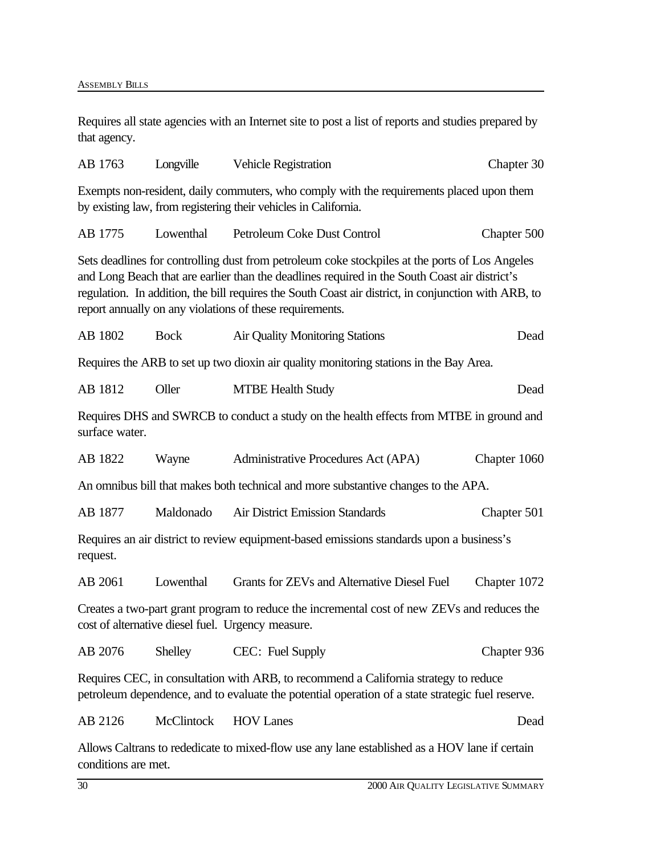Requires all state agencies with an Internet site to post a list of reports and studies prepared by that agency.

| AB 1763                                                                                                                                                                                  | Longville                                                                                                                                                                                                                                                                                                                                                           | Vehicle Registration                                                                     | Chapter 30   |  |  |
|------------------------------------------------------------------------------------------------------------------------------------------------------------------------------------------|---------------------------------------------------------------------------------------------------------------------------------------------------------------------------------------------------------------------------------------------------------------------------------------------------------------------------------------------------------------------|------------------------------------------------------------------------------------------|--------------|--|--|
| Exempts non-resident, daily commuters, who comply with the requirements placed upon them<br>by existing law, from registering their vehicles in California.                              |                                                                                                                                                                                                                                                                                                                                                                     |                                                                                          |              |  |  |
| AB 1775                                                                                                                                                                                  | Lowenthal                                                                                                                                                                                                                                                                                                                                                           | Petroleum Coke Dust Control                                                              | Chapter 500  |  |  |
|                                                                                                                                                                                          | Sets deadlines for controlling dust from petroleum coke stockpiles at the ports of Los Angeles<br>and Long Beach that are earlier than the deadlines required in the South Coast air district's<br>regulation. In addition, the bill requires the South Coast air district, in conjunction with ARB, to<br>report annually on any violations of these requirements. |                                                                                          |              |  |  |
| AB 1802                                                                                                                                                                                  | <b>Bock</b>                                                                                                                                                                                                                                                                                                                                                         | <b>Air Quality Monitoring Stations</b>                                                   | Dead         |  |  |
|                                                                                                                                                                                          |                                                                                                                                                                                                                                                                                                                                                                     | Requires the ARB to set up two dioxin air quality monitoring stations in the Bay Area.   |              |  |  |
| AB 1812                                                                                                                                                                                  | Oller                                                                                                                                                                                                                                                                                                                                                               | <b>MTBE Health Study</b>                                                                 | Dead         |  |  |
| surface water.                                                                                                                                                                           |                                                                                                                                                                                                                                                                                                                                                                     | Requires DHS and SWRCB to conduct a study on the health effects from MTBE in ground and  |              |  |  |
| AB 1822                                                                                                                                                                                  | Wayne                                                                                                                                                                                                                                                                                                                                                               | Administrative Procedures Act (APA)                                                      | Chapter 1060 |  |  |
|                                                                                                                                                                                          |                                                                                                                                                                                                                                                                                                                                                                     | An omnibus bill that makes both technical and more substantive changes to the APA.       |              |  |  |
| AB 1877                                                                                                                                                                                  | Maldonado                                                                                                                                                                                                                                                                                                                                                           | <b>Air District Emission Standards</b>                                                   | Chapter 501  |  |  |
| request.                                                                                                                                                                                 |                                                                                                                                                                                                                                                                                                                                                                     | Requires an air district to review equipment-based emissions standards upon a business's |              |  |  |
| AB 2061                                                                                                                                                                                  | Lowenthal                                                                                                                                                                                                                                                                                                                                                           | Grants for ZEVs and Alternative Diesel Fuel                                              | Chapter 1072 |  |  |
|                                                                                                                                                                                          | Creates a two-part grant program to reduce the incremental cost of new ZEVs and reduces the<br>cost of alternative diesel fuel. Urgency measure.                                                                                                                                                                                                                    |                                                                                          |              |  |  |
| AB 2076                                                                                                                                                                                  | Shelley                                                                                                                                                                                                                                                                                                                                                             | CEC: Fuel Supply                                                                         | Chapter 936  |  |  |
| Requires CEC, in consultation with ARB, to recommend a California strategy to reduce<br>petroleum dependence, and to evaluate the potential operation of a state strategic fuel reserve. |                                                                                                                                                                                                                                                                                                                                                                     |                                                                                          |              |  |  |
| AB 2126                                                                                                                                                                                  | <b>McClintock</b>                                                                                                                                                                                                                                                                                                                                                   | <b>HOV Lanes</b>                                                                         | Dead         |  |  |
| Allows Caltrans to rededicate to mixed-flow use any lane established as a HOV lane if certain<br>conditions are met.                                                                     |                                                                                                                                                                                                                                                                                                                                                                     |                                                                                          |              |  |  |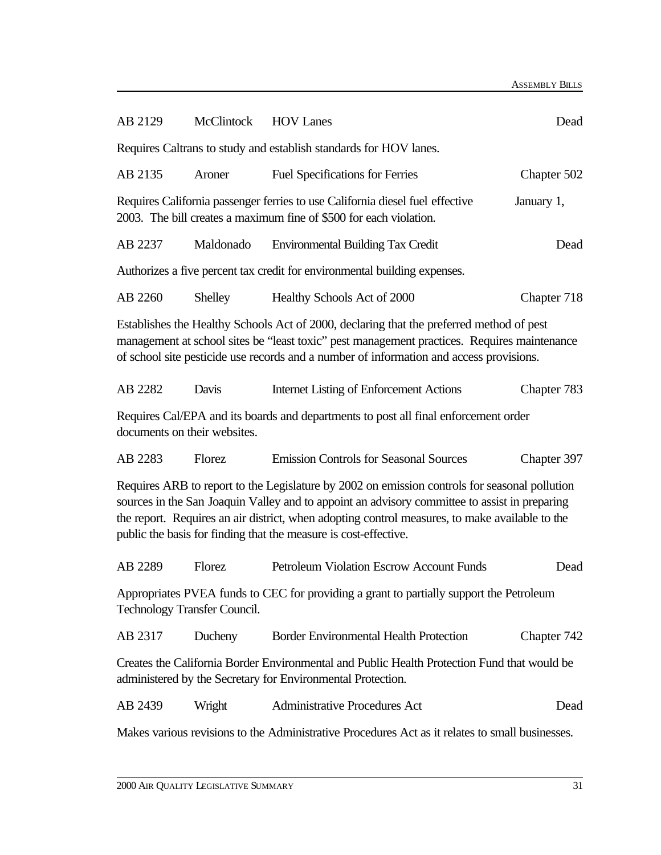| AB 2129                                                                                                                                                                                                                                                                                                                                                              | <b>McClintock</b>                                                                                                                                                                                                                                                                  | <b>HOV Lanes</b>                                                                                                                                    | Dead        |  |  |
|----------------------------------------------------------------------------------------------------------------------------------------------------------------------------------------------------------------------------------------------------------------------------------------------------------------------------------------------------------------------|------------------------------------------------------------------------------------------------------------------------------------------------------------------------------------------------------------------------------------------------------------------------------------|-----------------------------------------------------------------------------------------------------------------------------------------------------|-------------|--|--|
| Requires Caltrans to study and establish standards for HOV lanes.                                                                                                                                                                                                                                                                                                    |                                                                                                                                                                                                                                                                                    |                                                                                                                                                     |             |  |  |
| AB 2135                                                                                                                                                                                                                                                                                                                                                              | Aroner                                                                                                                                                                                                                                                                             | <b>Fuel Specifications for Ferries</b>                                                                                                              | Chapter 502 |  |  |
|                                                                                                                                                                                                                                                                                                                                                                      |                                                                                                                                                                                                                                                                                    | Requires California passenger ferries to use California diesel fuel effective<br>2003. The bill creates a maximum fine of \$500 for each violation. | January 1,  |  |  |
| AB 2237                                                                                                                                                                                                                                                                                                                                                              | Maldonado                                                                                                                                                                                                                                                                          | <b>Environmental Building Tax Credit</b>                                                                                                            | Dead        |  |  |
|                                                                                                                                                                                                                                                                                                                                                                      |                                                                                                                                                                                                                                                                                    | Authorizes a five percent tax credit for environmental building expenses.                                                                           |             |  |  |
| AB 2260                                                                                                                                                                                                                                                                                                                                                              | Shelley                                                                                                                                                                                                                                                                            | Healthy Schools Act of 2000                                                                                                                         | Chapter 718 |  |  |
|                                                                                                                                                                                                                                                                                                                                                                      | Establishes the Healthy Schools Act of 2000, declaring that the preferred method of pest<br>management at school sites be "least toxic" pest management practices. Requires maintenance<br>of school site pesticide use records and a number of information and access provisions. |                                                                                                                                                     |             |  |  |
| AB 2282                                                                                                                                                                                                                                                                                                                                                              | Davis                                                                                                                                                                                                                                                                              | Internet Listing of Enforcement Actions                                                                                                             | Chapter 783 |  |  |
| documents on their websites.                                                                                                                                                                                                                                                                                                                                         |                                                                                                                                                                                                                                                                                    | Requires Cal/EPA and its boards and departments to post all final enforcement order                                                                 |             |  |  |
| AB 2283                                                                                                                                                                                                                                                                                                                                                              | Florez                                                                                                                                                                                                                                                                             | <b>Emission Controls for Seasonal Sources</b>                                                                                                       | Chapter 397 |  |  |
| Requires ARB to report to the Legislature by 2002 on emission controls for seasonal pollution<br>sources in the San Joaquin Valley and to appoint an advisory committee to assist in preparing<br>the report. Requires an air district, when adopting control measures, to make available to the<br>public the basis for finding that the measure is cost-effective. |                                                                                                                                                                                                                                                                                    |                                                                                                                                                     |             |  |  |
| AB 2289                                                                                                                                                                                                                                                                                                                                                              | Florez                                                                                                                                                                                                                                                                             | <b>Petroleum Violation Escrow Account Funds</b>                                                                                                     | Dead        |  |  |
|                                                                                                                                                                                                                                                                                                                                                                      | Appropriates PVEA funds to CEC for providing a grant to partially support the Petroleum<br><b>Technology Transfer Council.</b>                                                                                                                                                     |                                                                                                                                                     |             |  |  |
| AB 2317                                                                                                                                                                                                                                                                                                                                                              | Ducheny                                                                                                                                                                                                                                                                            | Border Environmental Health Protection                                                                                                              | Chapter 742 |  |  |
|                                                                                                                                                                                                                                                                                                                                                                      | Creates the California Border Environmental and Public Health Protection Fund that would be<br>administered by the Secretary for Environmental Protection.                                                                                                                         |                                                                                                                                                     |             |  |  |
| AB 2439                                                                                                                                                                                                                                                                                                                                                              | Wright                                                                                                                                                                                                                                                                             | <b>Administrative Procedures Act</b>                                                                                                                | Dead        |  |  |
| Makes various revisions to the Administrative Procedures Act as it relates to small businesses.                                                                                                                                                                                                                                                                      |                                                                                                                                                                                                                                                                                    |                                                                                                                                                     |             |  |  |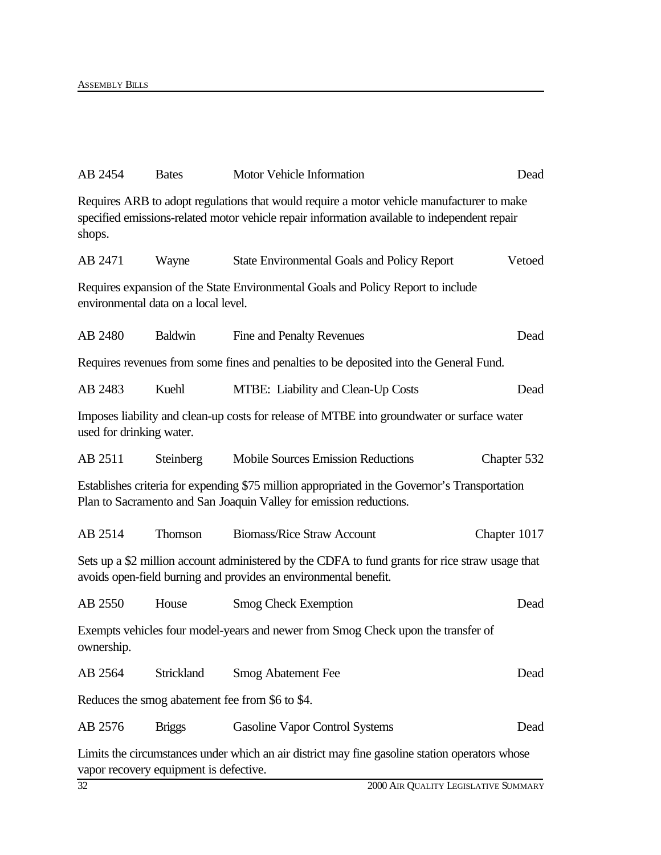| AB 2454                  | <b>Bates</b>                         | Motor Vehicle Information                                                                                                                                                                 | Dead         |
|--------------------------|--------------------------------------|-------------------------------------------------------------------------------------------------------------------------------------------------------------------------------------------|--------------|
| shops.                   |                                      | Requires ARB to adopt regulations that would require a motor vehicle manufacturer to make<br>specified emissions-related motor vehicle repair information available to independent repair |              |
| AB 2471                  | Wayne                                | <b>State Environmental Goals and Policy Report</b>                                                                                                                                        | Vetoed       |
|                          | environmental data on a local level. | Requires expansion of the State Environmental Goals and Policy Report to include                                                                                                          |              |
| AB 2480                  | Baldwin                              | Fine and Penalty Revenues                                                                                                                                                                 | Dead         |
|                          |                                      | Requires revenues from some fines and penalties to be deposited into the General Fund.                                                                                                    |              |
| AB 2483                  | Kuehl                                | MTBE: Liability and Clean-Up Costs                                                                                                                                                        | Dead         |
| used for drinking water. |                                      | Imposes liability and clean-up costs for release of MTBE into groundwater or surface water                                                                                                |              |
| AB 2511                  | <b>Steinberg</b>                     | <b>Mobile Sources Emission Reductions</b>                                                                                                                                                 | Chapter 532  |
|                          |                                      | Establishes criteria for expending \$75 million appropriated in the Governor's Transportation<br>Plan to Sacramento and San Joaquin Valley for emission reductions.                       |              |
| AB 2514                  | Thomson                              | <b>Biomass/Rice Straw Account</b>                                                                                                                                                         | Chapter 1017 |
|                          |                                      | Sets up a \$2 million account administered by the CDFA to fund grants for rice straw usage that<br>avoids open-field burning and provides an environmental benefit.                       |              |
| AB 2550                  | House                                | <b>Smog Check Exemption</b>                                                                                                                                                               | Dead         |
| ownership.               |                                      | Exempts vehicles four model-years and newer from Smog Check upon the transfer of                                                                                                          |              |
| AB 2564                  | Strickland                           | Smog Abatement Fee                                                                                                                                                                        | Dead         |
|                          |                                      | Reduces the smog abatement fee from \$6 to \$4.                                                                                                                                           |              |
| AB 2576                  | <b>Briggs</b>                        | <b>Gasoline Vapor Control Systems</b>                                                                                                                                                     | Dead         |
|                          |                                      | Limits the circumstances under which an air district may fine gasoline station operators whose                                                                                            |              |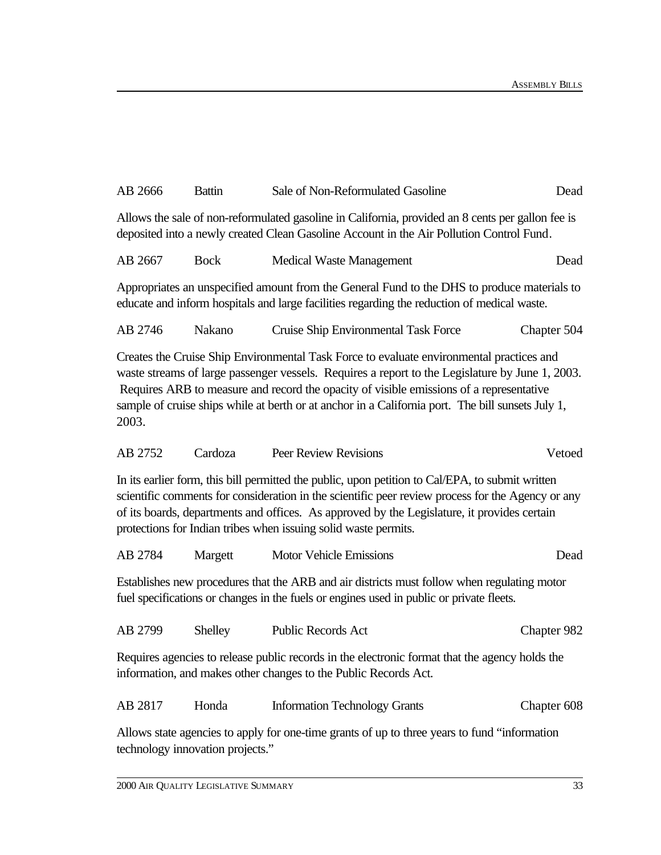| AB 2666                                                                                                                                                                                       | <b>Battin</b>                                                                                                                                                                                                                                                                                                                                                                               | Sale of Non-Reformulated Gasoline                                                                                                                                                          | Dead        |  |  |
|-----------------------------------------------------------------------------------------------------------------------------------------------------------------------------------------------|---------------------------------------------------------------------------------------------------------------------------------------------------------------------------------------------------------------------------------------------------------------------------------------------------------------------------------------------------------------------------------------------|--------------------------------------------------------------------------------------------------------------------------------------------------------------------------------------------|-------------|--|--|
| Allows the sale of non-reformulated gasoline in California, provided an 8 cents per gallon fee is<br>deposited into a newly created Clean Gasoline Account in the Air Pollution Control Fund. |                                                                                                                                                                                                                                                                                                                                                                                             |                                                                                                                                                                                            |             |  |  |
| AB 2667                                                                                                                                                                                       | <b>Bock</b>                                                                                                                                                                                                                                                                                                                                                                                 | <b>Medical Waste Management</b>                                                                                                                                                            | Dead        |  |  |
|                                                                                                                                                                                               |                                                                                                                                                                                                                                                                                                                                                                                             | Appropriates an unspecified amount from the General Fund to the DHS to produce materials to<br>educate and inform hospitals and large facilities regarding the reduction of medical waste. |             |  |  |
| AB 2746                                                                                                                                                                                       | Nakano                                                                                                                                                                                                                                                                                                                                                                                      | Cruise Ship Environmental Task Force                                                                                                                                                       | Chapter 504 |  |  |
| 2003.                                                                                                                                                                                         | Creates the Cruise Ship Environmental Task Force to evaluate environmental practices and<br>waste streams of large passenger vessels. Requires a report to the Legislature by June 1, 2003.<br>Requires ARB to measure and record the opacity of visible emissions of a representative<br>sample of cruise ships while at berth or at anchor in a California port. The bill sunsets July 1, |                                                                                                                                                                                            |             |  |  |
| AB 2752                                                                                                                                                                                       | Cardoza                                                                                                                                                                                                                                                                                                                                                                                     | <b>Peer Review Revisions</b>                                                                                                                                                               | Vetoed      |  |  |
|                                                                                                                                                                                               | In its earlier form, this bill permitted the public, upon petition to Cal/EPA, to submit written<br>scientific comments for consideration in the scientific peer review process for the Agency or any<br>of its boards, departments and offices. As approved by the Legislature, it provides certain<br>protections for Indian tribes when issuing solid waste permits.                     |                                                                                                                                                                                            |             |  |  |
| AB 2784                                                                                                                                                                                       | Margett                                                                                                                                                                                                                                                                                                                                                                                     | <b>Motor Vehicle Emissions</b>                                                                                                                                                             | Dead        |  |  |
| Establishes new procedures that the ARB and air districts must follow when regulating motor<br>fuel specifications or changes in the fuels or engines used in public or private fleets.       |                                                                                                                                                                                                                                                                                                                                                                                             |                                                                                                                                                                                            |             |  |  |
| AB 2799                                                                                                                                                                                       | Shelley                                                                                                                                                                                                                                                                                                                                                                                     | <b>Public Records Act</b>                                                                                                                                                                  | Chapter 982 |  |  |
| Requires agencies to release public records in the electronic format that the agency holds the<br>information, and makes other changes to the Public Records Act.                             |                                                                                                                                                                                                                                                                                                                                                                                             |                                                                                                                                                                                            |             |  |  |
| AB 2817                                                                                                                                                                                       | Honda                                                                                                                                                                                                                                                                                                                                                                                       | <b>Information Technology Grants</b>                                                                                                                                                       | Chapter 608 |  |  |
| Allows state agencies to apply for one-time grants of up to three years to fund "information"<br>technology innovation projects."                                                             |                                                                                                                                                                                                                                                                                                                                                                                             |                                                                                                                                                                                            |             |  |  |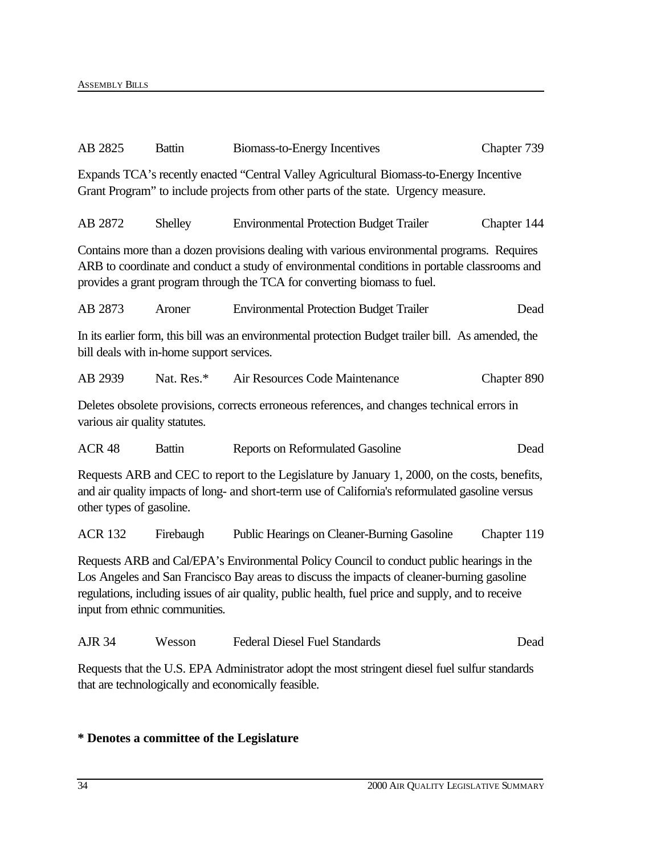| AB 2825                       | <b>Battin</b>                             | Biomass-to-Energy Incentives                                                                                                                                                                                                                                                                  | Chapter 739 |
|-------------------------------|-------------------------------------------|-----------------------------------------------------------------------------------------------------------------------------------------------------------------------------------------------------------------------------------------------------------------------------------------------|-------------|
|                               |                                           | Expands TCA's recently enacted "Central Valley Agricultural Biomass-to-Energy Incentive<br>Grant Program" to include projects from other parts of the state. Urgency measure.                                                                                                                 |             |
| AB 2872                       | Shelley                                   | <b>Environmental Protection Budget Trailer</b>                                                                                                                                                                                                                                                | Chapter 144 |
|                               |                                           | Contains more than a dozen provisions dealing with various environmental programs. Requires<br>ARB to coordinate and conduct a study of environmental conditions in portable classrooms and<br>provides a grant program through the TCA for converting biomass to fuel.                       |             |
| AB 2873                       | Aroner                                    | <b>Environmental Protection Budget Trailer</b>                                                                                                                                                                                                                                                | Dead        |
|                               | bill deals with in-home support services. | In its earlier form, this bill was an environmental protection Budget trailer bill. As amended, the                                                                                                                                                                                           |             |
| AB 2939                       | Nat. Res.*                                | Air Resources Code Maintenance                                                                                                                                                                                                                                                                | Chapter 890 |
| various air quality statutes. |                                           | Deletes obsolete provisions, corrects erroneous references, and changes technical errors in                                                                                                                                                                                                   |             |
| <b>ACR 48</b>                 | <b>Battin</b>                             | Reports on Reformulated Gasoline                                                                                                                                                                                                                                                              | Dead        |
| other types of gasoline.      |                                           | Requests ARB and CEC to report to the Legislature by January 1, 2000, on the costs, benefits,<br>and air quality impacts of long- and short-term use of California's reformulated gasoline versus                                                                                             |             |
| <b>ACR 132</b>                | Firebaugh                                 | Public Hearings on Cleaner-Burning Gasoline                                                                                                                                                                                                                                                   | Chapter 119 |
|                               | input from ethnic communities.            | Requests ARB and Cal/EPA's Environmental Policy Council to conduct public hearings in the<br>Los Angeles and San Francisco Bay areas to discuss the impacts of cleaner-burning gasoline<br>regulations, including issues of air quality, public health, fuel price and supply, and to receive |             |
| <b>AJR 34</b>                 | Wesson                                    | <b>Federal Diesel Fuel Standards</b>                                                                                                                                                                                                                                                          | Dead        |
|                               |                                           | $D$ concerted that the LLC EDA. Administration of out the present states and fixed field on the standards.                                                                                                                                                                                    |             |

Requests that the U.S. EPA Administrator adopt the most stringent diesel fuel sulfur standards that are technologically and economically feasible.

### **\* Denotes a committee of the Legislature**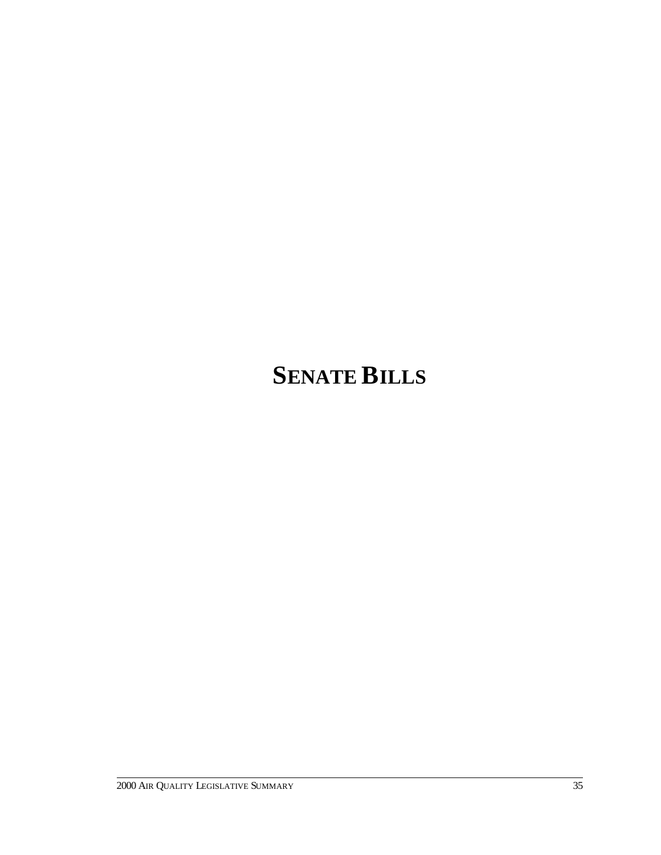# **SENATE BILLS**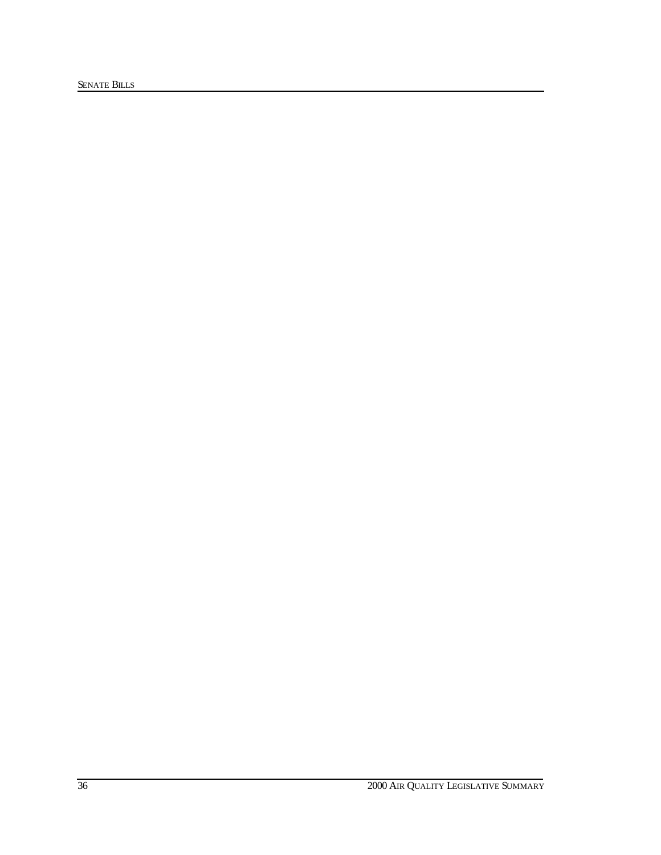SENATE BILLS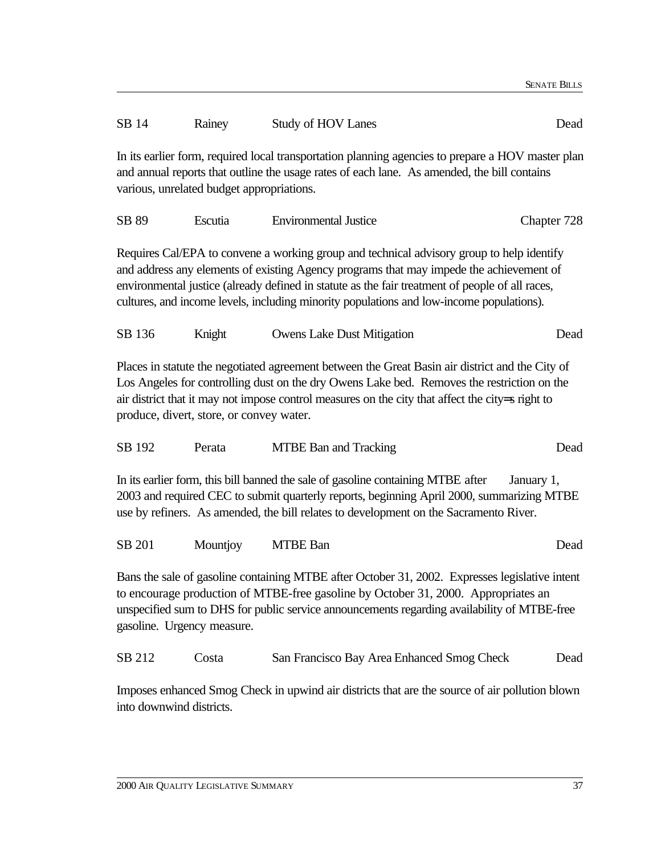| SB 14                      | Rainey                                    | <b>Study of HOV Lanes</b>                                                                                                                                                                                                                                                                                                                                                           | Dead        |
|----------------------------|-------------------------------------------|-------------------------------------------------------------------------------------------------------------------------------------------------------------------------------------------------------------------------------------------------------------------------------------------------------------------------------------------------------------------------------------|-------------|
|                            | various, unrelated budget appropriations. | In its earlier form, required local transportation planning agencies to prepare a HOV master plan<br>and annual reports that outline the usage rates of each lane. As amended, the bill contains                                                                                                                                                                                    |             |
| SB 89                      | Escutia                                   | <b>Environmental Justice</b>                                                                                                                                                                                                                                                                                                                                                        | Chapter 728 |
|                            |                                           | Requires Cal/EPA to convene a working group and technical advisory group to help identify<br>and address any elements of existing Agency programs that may impede the achievement of<br>environmental justice (already defined in statute as the fair treatment of people of all races,<br>cultures, and income levels, including minority populations and low-income populations). |             |
| SB 136                     | Knight                                    | <b>Owens Lake Dust Mitigation</b>                                                                                                                                                                                                                                                                                                                                                   | Dead        |
|                            | produce, divert, store, or convey water.  | Places in statute the negotiated agreement between the Great Basin air district and the City of<br>Los Angeles for controlling dust on the dry Owens Lake bed. Removes the restriction on the<br>air district that it may not impose control measures on the city that affect the city=s right to                                                                                   |             |
| SB 192                     | Perata                                    | <b>MTBE Ban and Tracking</b>                                                                                                                                                                                                                                                                                                                                                        | Dead        |
|                            |                                           | In its earlier form, this bill banned the sale of gasoline containing MTBE after<br>2003 and required CEC to submit quarterly reports, beginning April 2000, summarizing MTBE<br>use by refiners. As amended, the bill relates to development on the Sacramento River.                                                                                                              | January 1,  |
| SB 201                     | Mountjoy                                  | <b>MTBE Ban</b>                                                                                                                                                                                                                                                                                                                                                                     | Dead        |
| gasoline. Urgency measure. |                                           | Bans the sale of gasoline containing MTBE after October 31, 2002. Expresses legislative intent<br>to encourage production of MTBE-free gasoline by October 31, 2000. Appropriates an<br>unspecified sum to DHS for public service announcements regarding availability of MTBE-free                                                                                                 |             |
| SB 212                     | Costa                                     | San Francisco Bay Area Enhanced Smog Check                                                                                                                                                                                                                                                                                                                                          | Dead        |
| into downwind districts.   |                                           | Imposes enhanced Smog Check in upwind air districts that are the source of air pollution blown                                                                                                                                                                                                                                                                                      |             |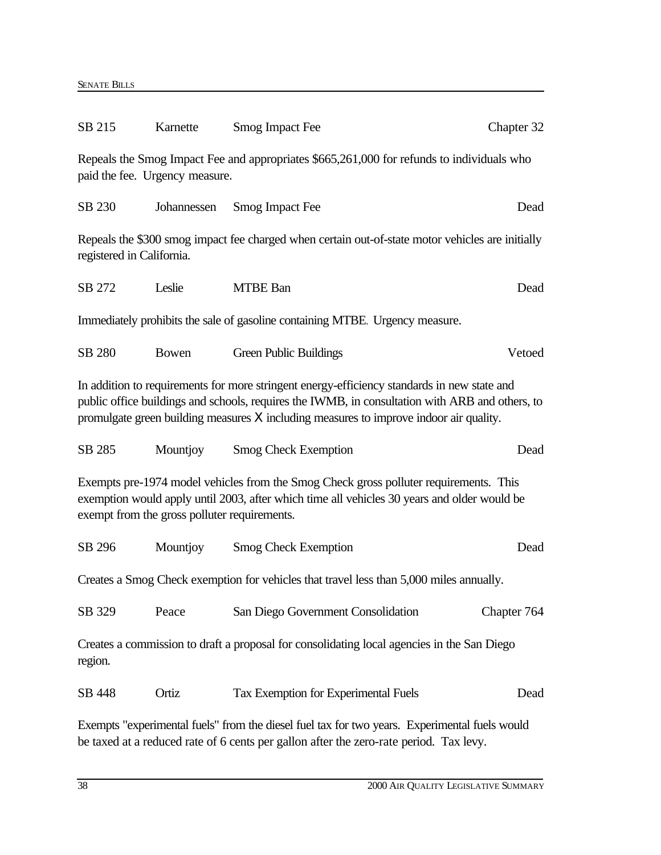| SB 215                                                                                                                      | Karnette                                                                                                                                                                                                                                                                                 | Smog Impact Fee                                                                                                                                                                      | Chapter 32  |  |  |
|-----------------------------------------------------------------------------------------------------------------------------|------------------------------------------------------------------------------------------------------------------------------------------------------------------------------------------------------------------------------------------------------------------------------------------|--------------------------------------------------------------------------------------------------------------------------------------------------------------------------------------|-------------|--|--|
| Repeals the Smog Impact Fee and appropriates \$665,261,000 for refunds to individuals who<br>paid the fee. Urgency measure. |                                                                                                                                                                                                                                                                                          |                                                                                                                                                                                      |             |  |  |
| SB 230                                                                                                                      | Johannessen                                                                                                                                                                                                                                                                              | Smog Impact Fee                                                                                                                                                                      | Dead        |  |  |
| registered in California.                                                                                                   |                                                                                                                                                                                                                                                                                          | Repeals the \$300 smog impact fee charged when certain out-of-state motor vehicles are initially                                                                                     |             |  |  |
| SB 272                                                                                                                      | Leslie                                                                                                                                                                                                                                                                                   | <b>MTBE Ban</b>                                                                                                                                                                      | Dead        |  |  |
|                                                                                                                             |                                                                                                                                                                                                                                                                                          | Immediately prohibits the sale of gasoline containing MTBE. Urgency measure.                                                                                                         |             |  |  |
| SB 280                                                                                                                      | Bowen                                                                                                                                                                                                                                                                                    | <b>Green Public Buildings</b>                                                                                                                                                        | Vetoed      |  |  |
|                                                                                                                             | In addition to requirements for more stringent energy-efficiency standards in new state and<br>public office buildings and schools, requires the IWMB, in consultation with ARB and others, to<br>promulgate green building measures X including measures to improve indoor air quality. |                                                                                                                                                                                      |             |  |  |
| SB 285                                                                                                                      | Mountjoy                                                                                                                                                                                                                                                                                 | <b>Smog Check Exemption</b>                                                                                                                                                          | Dead        |  |  |
|                                                                                                                             | exempt from the gross polluter requirements.                                                                                                                                                                                                                                             | Exempts pre-1974 model vehicles from the Smog Check gross polluter requirements. This<br>exemption would apply until 2003, after which time all vehicles 30 years and older would be |             |  |  |
| SB 296                                                                                                                      | Mountjoy                                                                                                                                                                                                                                                                                 | <b>Smog Check Exemption</b>                                                                                                                                                          | Dead        |  |  |
|                                                                                                                             |                                                                                                                                                                                                                                                                                          | Creates a Smog Check exemption for vehicles that travel less than 5,000 miles annually.                                                                                              |             |  |  |
| SB 329                                                                                                                      | Peace                                                                                                                                                                                                                                                                                    | San Diego Government Consolidation                                                                                                                                                   | Chapter 764 |  |  |
| region.                                                                                                                     |                                                                                                                                                                                                                                                                                          | Creates a commission to draft a proposal for consolidating local agencies in the San Diego                                                                                           |             |  |  |
| SB 448                                                                                                                      | Ortiz                                                                                                                                                                                                                                                                                    | Tax Exemption for Experimental Fuels                                                                                                                                                 | Dead        |  |  |
|                                                                                                                             | Exempts "experimental fuels" from the diesel fuel tax for two years. Experimental fuels would<br>be taxed at a reduced rate of 6 cents per gallon after the zero-rate period. Tax levy.                                                                                                  |                                                                                                                                                                                      |             |  |  |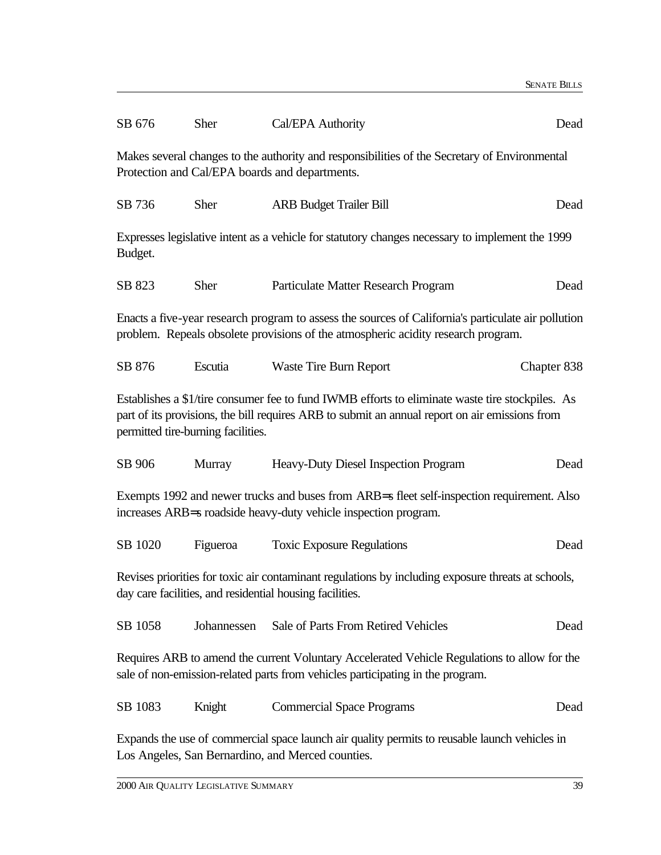| SB 676                                                                                                                                                                         | Sher                               | Cal/EPA Authority                                                                                                                                                                                 | Dead        |  |
|--------------------------------------------------------------------------------------------------------------------------------------------------------------------------------|------------------------------------|---------------------------------------------------------------------------------------------------------------------------------------------------------------------------------------------------|-------------|--|
| Makes several changes to the authority and responsibilities of the Secretary of Environmental<br>Protection and Cal/EPA boards and departments.                                |                                    |                                                                                                                                                                                                   |             |  |
| SB 736                                                                                                                                                                         | <b>Sher</b>                        | <b>ARB Budget Trailer Bill</b>                                                                                                                                                                    | Dead        |  |
| Budget.                                                                                                                                                                        |                                    | Expresses legislative intent as a vehicle for statutory changes necessary to implement the 1999                                                                                                   |             |  |
| SB 823                                                                                                                                                                         | <b>Sher</b>                        | Particulate Matter Research Program                                                                                                                                                               | Dead        |  |
|                                                                                                                                                                                |                                    | Enacts a five-year research program to assess the sources of California's particulate air pollution<br>problem. Repeals obsolete provisions of the atmospheric acidity research program.          |             |  |
| SB 876                                                                                                                                                                         | Escutia                            | Waste Tire Burn Report                                                                                                                                                                            | Chapter 838 |  |
|                                                                                                                                                                                | permitted tire-burning facilities. | Establishes a \$1/tire consumer fee to fund IWMB efforts to eliminate waste tire stockpiles. As<br>part of its provisions, the bill requires ARB to submit an annual report on air emissions from |             |  |
| SB 906                                                                                                                                                                         | Murray                             | Heavy-Duty Diesel Inspection Program                                                                                                                                                              | Dead        |  |
|                                                                                                                                                                                |                                    | Exempts 1992 and newer trucks and buses from ARB=s fleet self-inspection requirement. Also<br>increases ARB=s roadside heavy-duty vehicle inspection program.                                     |             |  |
| SB 1020                                                                                                                                                                        | Figueroa                           | <b>Toxic Exposure Regulations</b>                                                                                                                                                                 | Dead        |  |
| Revises priorities for toxic air contaminant regulations by including exposure threats at schools,<br>day care facilities, and residential housing facilities.                 |                                    |                                                                                                                                                                                                   |             |  |
| SB 1058                                                                                                                                                                        | Johannessen                        | Sale of Parts From Retired Vehicles                                                                                                                                                               | Dead        |  |
| Requires ARB to amend the current Voluntary Accelerated Vehicle Regulations to allow for the<br>sale of non-emission-related parts from vehicles participating in the program. |                                    |                                                                                                                                                                                                   |             |  |
| SB 1083                                                                                                                                                                        | Knight                             | <b>Commercial Space Programs</b>                                                                                                                                                                  | Dead        |  |
| Expands the use of commercial space launch air quality permits to reusable launch vehicles in<br>Los Angeles, San Bernardino, and Merced counties.                             |                                    |                                                                                                                                                                                                   |             |  |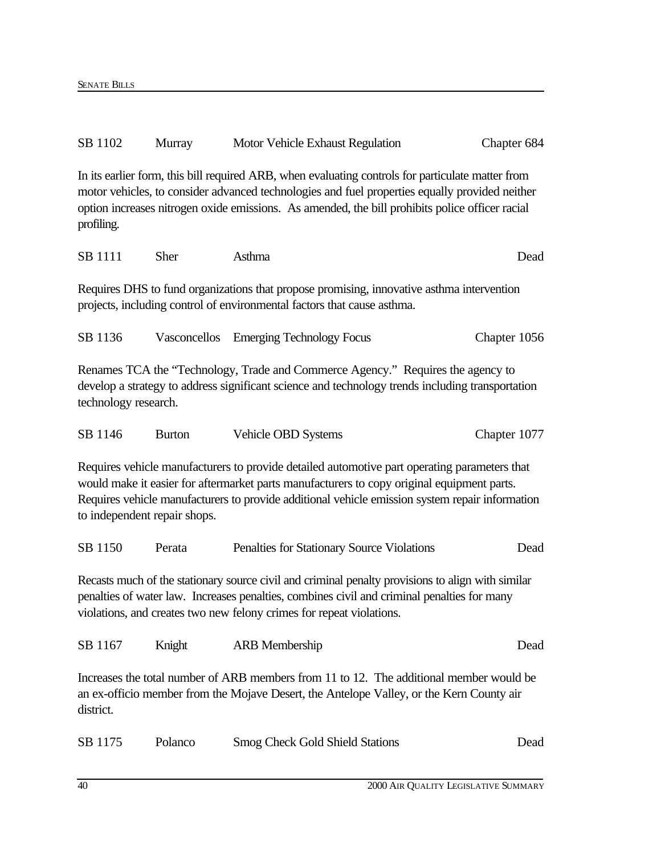| SB 1102                                                                                                                                                                                                                                                                  | Murray        | Motor Vehicle Exhaust Regulation                                                                                                                                                                                                                                                                       | Chapter 684  |  |
|--------------------------------------------------------------------------------------------------------------------------------------------------------------------------------------------------------------------------------------------------------------------------|---------------|--------------------------------------------------------------------------------------------------------------------------------------------------------------------------------------------------------------------------------------------------------------------------------------------------------|--------------|--|
| profiling.                                                                                                                                                                                                                                                               |               | In its earlier form, this bill required ARB, when evaluating controls for particulate matter from<br>motor vehicles, to consider advanced technologies and fuel properties equally provided neither<br>option increases nitrogen oxide emissions. As amended, the bill prohibits police officer racial |              |  |
| SB 1111                                                                                                                                                                                                                                                                  | Sher          | Asthma                                                                                                                                                                                                                                                                                                 | Dead         |  |
|                                                                                                                                                                                                                                                                          |               | Requires DHS to fund organizations that propose promising, innovative asthma intervention<br>projects, including control of environmental factors that cause asthma.                                                                                                                                   |              |  |
| SB 1136                                                                                                                                                                                                                                                                  |               | Vasconcellos Emerging Technology Focus                                                                                                                                                                                                                                                                 | Chapter 1056 |  |
| technology research.                                                                                                                                                                                                                                                     |               | Renames TCA the "Technology, Trade and Commerce Agency." Requires the agency to<br>develop a strategy to address significant science and technology trends including transportation                                                                                                                    |              |  |
| SB 1146                                                                                                                                                                                                                                                                  | <b>Burton</b> | Vehicle OBD Systems                                                                                                                                                                                                                                                                                    | Chapter 1077 |  |
| to independent repair shops.                                                                                                                                                                                                                                             |               | Requires vehicle manufacturers to provide detailed automotive part operating parameters that<br>would make it easier for aftermarket parts manufacturers to copy original equipment parts.<br>Requires vehicle manufacturers to provide additional vehicle emission system repair information          |              |  |
| SB 1150                                                                                                                                                                                                                                                                  | Perata        | Penalties for Stationary Source Violations                                                                                                                                                                                                                                                             | Dead         |  |
| Recasts much of the stationary source civil and criminal penalty provisions to align with similar<br>penalties of water law. Increases penalties, combines civil and criminal penalties for many<br>violations, and creates two new felony crimes for repeat violations. |               |                                                                                                                                                                                                                                                                                                        |              |  |
| SB 1167                                                                                                                                                                                                                                                                  | Knight        | <b>ARB</b> Membership                                                                                                                                                                                                                                                                                  | Dead         |  |
| district.                                                                                                                                                                                                                                                                |               | Increases the total number of ARB members from 11 to 12. The additional member would be<br>an ex-officio member from the Mojave Desert, the Antelope Valley, or the Kern County air                                                                                                                    |              |  |
| SB 1175                                                                                                                                                                                                                                                                  | Polanco       | <b>Smog Check Gold Shield Stations</b>                                                                                                                                                                                                                                                                 | Dead         |  |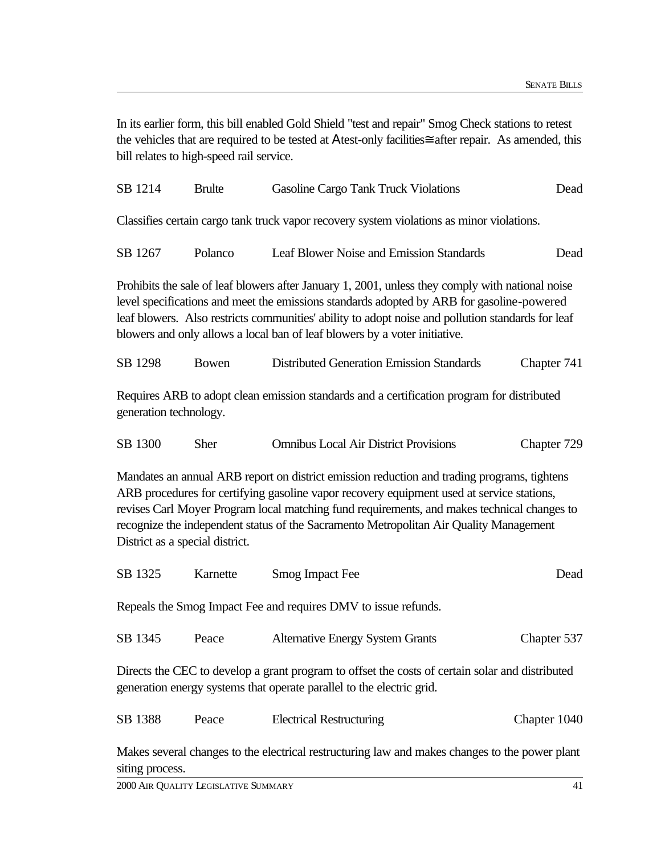In its earlier form, this bill enabled Gold Shield "test and repair" Smog Check stations to retest the vehicles that are required to be tested at Αtest-only facilities≅ after repair. As amended, this bill relates to high-speed rail service.

| SB 1214                         | <b>Brulte</b> | <b>Gasoline Cargo Tank Truck Violations</b>                                                                                                                                                                                                                                                                                                                                       | Dead         |
|---------------------------------|---------------|-----------------------------------------------------------------------------------------------------------------------------------------------------------------------------------------------------------------------------------------------------------------------------------------------------------------------------------------------------------------------------------|--------------|
|                                 |               | Classifies certain cargo tank truck vapor recovery system violations as minor violations.                                                                                                                                                                                                                                                                                         |              |
| SB 1267                         | Polanco       | <b>Leaf Blower Noise and Emission Standards</b>                                                                                                                                                                                                                                                                                                                                   | Dead         |
|                                 |               | Prohibits the sale of leaf blowers after January 1, 2001, unless they comply with national noise<br>level specifications and meet the emissions standards adopted by ARB for gasoline-powered<br>leaf blowers. Also restricts communities' ability to adopt noise and pollution standards for leaf<br>blowers and only allows a local ban of leaf blowers by a voter initiative.  |              |
| SB 1298                         | Bowen         | <b>Distributed Generation Emission Standards</b>                                                                                                                                                                                                                                                                                                                                  | Chapter 741  |
| generation technology.          |               | Requires ARB to adopt clean emission standards and a certification program for distributed                                                                                                                                                                                                                                                                                        |              |
| SB 1300                         | <b>Sher</b>   | <b>Omnibus Local Air District Provisions</b>                                                                                                                                                                                                                                                                                                                                      | Chapter 729  |
| District as a special district. |               | Mandates an annual ARB report on district emission reduction and trading programs, tightens<br>ARB procedures for certifying gasoline vapor recovery equipment used at service stations,<br>revises Carl Moyer Program local matching fund requirements, and makes technical changes to<br>recognize the independent status of the Sacramento Metropolitan Air Quality Management |              |
| SB 1325                         | Karnette      | Smog Impact Fee                                                                                                                                                                                                                                                                                                                                                                   | Dead         |
|                                 |               | Repeals the Smog Impact Fee and requires DMV to issue refunds.                                                                                                                                                                                                                                                                                                                    |              |
| SB 1345                         | Peace         | <b>Alternative Energy System Grants</b>                                                                                                                                                                                                                                                                                                                                           | Chapter 537  |
|                                 |               | Directs the CEC to develop a grant program to offset the costs of certain solar and distributed<br>generation energy systems that operate parallel to the electric grid.                                                                                                                                                                                                          |              |
| SB 1388                         | Peace         | <b>Electrical Restructuring</b>                                                                                                                                                                                                                                                                                                                                                   | Chapter 1040 |
|                                 |               | Makes several changes to the electrical restructuring law and makes changes to the power plant                                                                                                                                                                                                                                                                                    |              |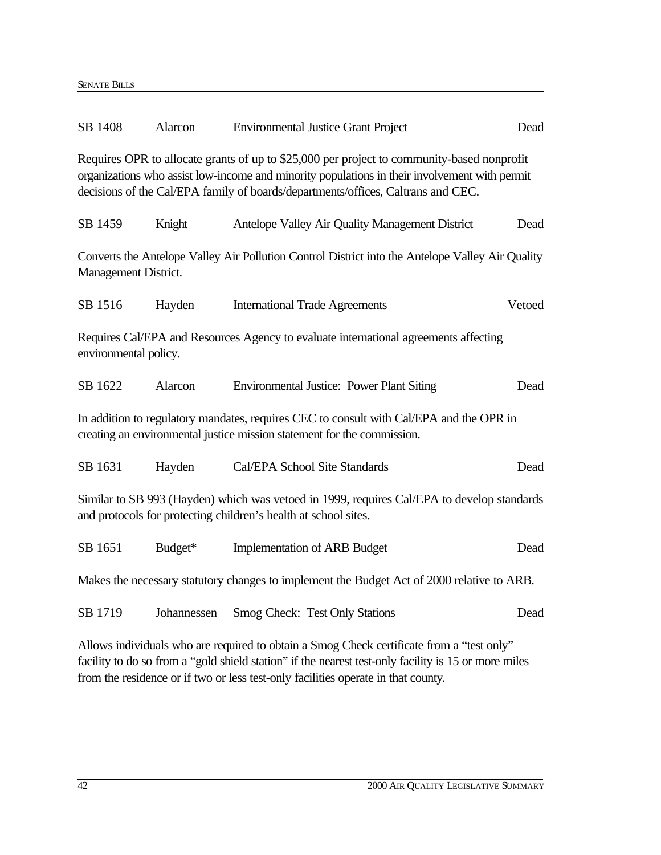| SB 1408               | Alarcon     | <b>Environmental Justice Grant Project</b>                                                                                                                                                                                                                                      | Dead   |
|-----------------------|-------------|---------------------------------------------------------------------------------------------------------------------------------------------------------------------------------------------------------------------------------------------------------------------------------|--------|
|                       |             | Requires OPR to allocate grants of up to \$25,000 per project to community-based nonprofit<br>organizations who assist low-income and minority populations in their involvement with permit<br>decisions of the Cal/EPA family of boards/departments/offices, Caltrans and CEC. |        |
| SB 1459               | Knight      | Antelope Valley Air Quality Management District                                                                                                                                                                                                                                 | Dead   |
| Management District.  |             | Converts the Antelope Valley Air Pollution Control District into the Antelope Valley Air Quality                                                                                                                                                                                |        |
| SB 1516               | Hayden      | <b>International Trade Agreements</b>                                                                                                                                                                                                                                           | Vetoed |
| environmental policy. |             | Requires Cal/EPA and Resources Agency to evaluate international agreements affecting                                                                                                                                                                                            |        |
| SB 1622               | Alarcon     | <b>Environmental Justice: Power Plant Siting</b>                                                                                                                                                                                                                                | Dead   |
|                       |             | In addition to regulatory mandates, requires CEC to consult with Cal/EPA and the OPR in<br>creating an environmental justice mission statement for the commission.                                                                                                              |        |
| SB 1631               | Hayden      | Cal/EPA School Site Standards                                                                                                                                                                                                                                                   | Dead   |
|                       |             | Similar to SB 993 (Hayden) which was vetoed in 1999, requires Cal/EPA to develop standards<br>and protocols for protecting children's health at school sites.                                                                                                                   |        |
| SB 1651               | Budget*     | <b>Implementation of ARB Budget</b>                                                                                                                                                                                                                                             | Dead   |
|                       |             | Makes the necessary statutory changes to implement the Budget Act of 2000 relative to ARB.                                                                                                                                                                                      |        |
| SB 1719               | Johannessen | <b>Smog Check: Test Only Stations</b>                                                                                                                                                                                                                                           | Dead   |
|                       |             | Allows individuals who are required to obtain a Smoo Cheek extitients from a "toot only"                                                                                                                                                                                        |        |

Allows individuals who are required to obtain a Smog Check certificate from a "test only" facility to do so from a "gold shield station" if the nearest test-only facility is 15 or more miles from the residence or if two or less test-only facilities operate in that county.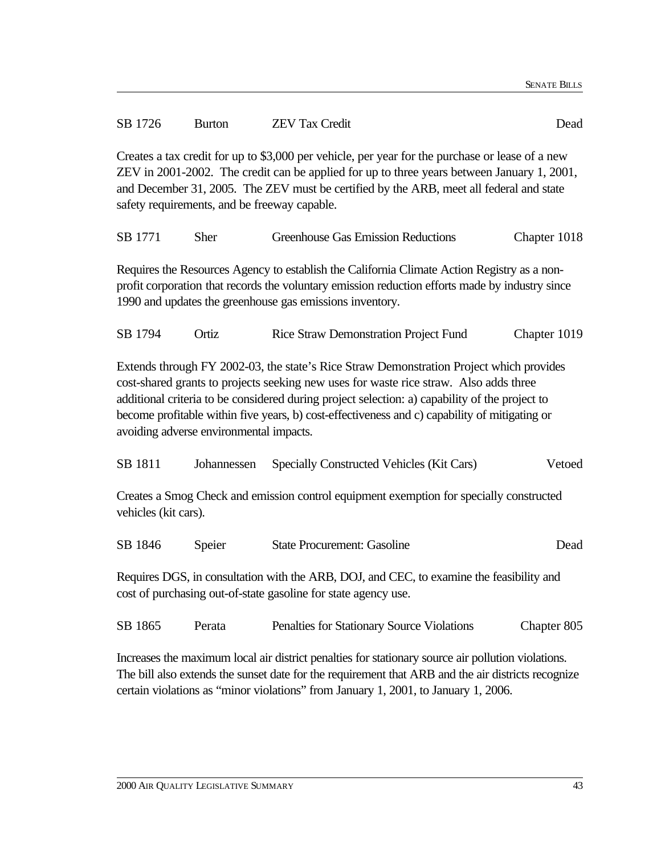| SB 1726                                                                                                                                                                                                                                                                                                                                                                                                                        | <b>Burton</b> | <b>ZEV Tax Credit</b>                      | Dead         |
|--------------------------------------------------------------------------------------------------------------------------------------------------------------------------------------------------------------------------------------------------------------------------------------------------------------------------------------------------------------------------------------------------------------------------------|---------------|--------------------------------------------|--------------|
| Creates a tax credit for up to \$3,000 per vehicle, per year for the purchase or lease of a new<br>ZEV in 2001-2002. The credit can be applied for up to three years between January 1, 2001,<br>and December 31, 2005. The ZEV must be certified by the ARB, meet all federal and state<br>safety requirements, and be freeway capable.                                                                                       |               |                                            |              |
| SB 1771                                                                                                                                                                                                                                                                                                                                                                                                                        | <b>Sher</b>   | <b>Greenhouse Gas Emission Reductions</b>  | Chapter 1018 |
| Requires the Resources Agency to establish the California Climate Action Registry as a non-<br>profit corporation that records the voluntary emission reduction efforts made by industry since<br>1990 and updates the greenhouse gas emissions inventory.                                                                                                                                                                     |               |                                            |              |
| SB 1794                                                                                                                                                                                                                                                                                                                                                                                                                        | Ortiz         | Rice Straw Demonstration Project Fund      | Chapter 1019 |
| Extends through FY 2002-03, the state's Rice Straw Demonstration Project which provides<br>cost-shared grants to projects seeking new uses for waste rice straw. Also adds three<br>additional criteria to be considered during project selection: a) capability of the project to<br>become profitable within five years, b) cost-effectiveness and c) capability of mitigating or<br>avoiding adverse environmental impacts. |               |                                            |              |
| SB 1811                                                                                                                                                                                                                                                                                                                                                                                                                        | Johannessen   | Specially Constructed Vehicles (Kit Cars)  | Vetoed       |
| Creates a Smog Check and emission control equipment exemption for specially constructed<br>vehicles (kit cars).                                                                                                                                                                                                                                                                                                                |               |                                            |              |
| SB 1846                                                                                                                                                                                                                                                                                                                                                                                                                        | Speier        | <b>State Procurement: Gasoline</b>         | Dead         |
| Requires DGS, in consultation with the ARB, DOJ, and CEC, to examine the feasibility and<br>cost of purchasing out-of-state gasoline for state agency use.                                                                                                                                                                                                                                                                     |               |                                            |              |
| SB 1865                                                                                                                                                                                                                                                                                                                                                                                                                        | Perata        | Penalties for Stationary Source Violations | Chapter 805  |
| Increases the maximum local air district penalties for stationary source air pollution violations.<br>The bill also extends the sunset date for the requirement that ARB and the air districts recognize<br>certain violations as "minor violations" from January 1, 2001, to January 1, 2006.                                                                                                                                 |               |                                            |              |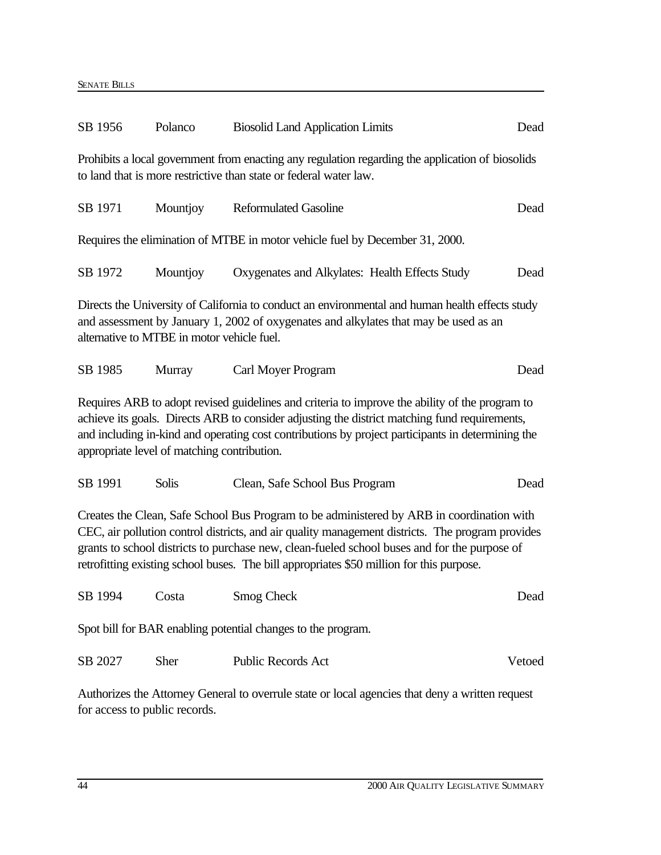| SB 1956                                                                                                                                                                                                                                                                                                                                                                                   | Polanco       | <b>Biosolid Land Application Limits</b>                                                                                                                               | Dead   |
|-------------------------------------------------------------------------------------------------------------------------------------------------------------------------------------------------------------------------------------------------------------------------------------------------------------------------------------------------------------------------------------------|---------------|-----------------------------------------------------------------------------------------------------------------------------------------------------------------------|--------|
|                                                                                                                                                                                                                                                                                                                                                                                           |               | Prohibits a local government from enacting any regulation regarding the application of biosolids<br>to land that is more restrictive than state or federal water law. |        |
| SB 1971                                                                                                                                                                                                                                                                                                                                                                                   | Mountjoy      | <b>Reformulated Gasoline</b>                                                                                                                                          | Dead   |
|                                                                                                                                                                                                                                                                                                                                                                                           |               | Requires the elimination of MTBE in motor vehicle fuel by December 31, 2000.                                                                                          |        |
| SB 1972                                                                                                                                                                                                                                                                                                                                                                                   | Mountjoy      | Oxygenates and Alkylates: Health Effects Study                                                                                                                        | Dead   |
| Directs the University of California to conduct an environmental and human health effects study<br>and assessment by January 1, 2002 of oxygenates and alkylates that may be used as an<br>alternative to MTBE in motor vehicle fuel.                                                                                                                                                     |               |                                                                                                                                                                       |        |
| SB 1985                                                                                                                                                                                                                                                                                                                                                                                   | <b>Murray</b> | Carl Moyer Program                                                                                                                                                    | Dead   |
| Requires ARB to adopt revised guidelines and criteria to improve the ability of the program to<br>achieve its goals. Directs ARB to consider adjusting the district matching fund requirements,<br>and including in-kind and operating cost contributions by project participants in determining the<br>appropriate level of matching contribution.                                       |               |                                                                                                                                                                       |        |
| SB 1991                                                                                                                                                                                                                                                                                                                                                                                   | Solis         | Clean, Safe School Bus Program                                                                                                                                        | Dead   |
| Creates the Clean, Safe School Bus Program to be administered by ARB in coordination with<br>CEC, air pollution control districts, and air quality management districts. The program provides<br>grants to school districts to purchase new, clean-fueled school buses and for the purpose of<br>retrofitting existing school buses. The bill appropriates \$50 million for this purpose. |               |                                                                                                                                                                       |        |
| SB 1994                                                                                                                                                                                                                                                                                                                                                                                   | Costa         | <b>Smog Check</b>                                                                                                                                                     | Dead   |
| Spot bill for BAR enabling potential changes to the program.                                                                                                                                                                                                                                                                                                                              |               |                                                                                                                                                                       |        |
| SB 2027                                                                                                                                                                                                                                                                                                                                                                                   | <b>Sher</b>   | <b>Public Records Act</b>                                                                                                                                             | Vetoed |
| Authorizes the Attorney General to overrule state or local agencies that deny a written request<br>for access to public records.                                                                                                                                                                                                                                                          |               |                                                                                                                                                                       |        |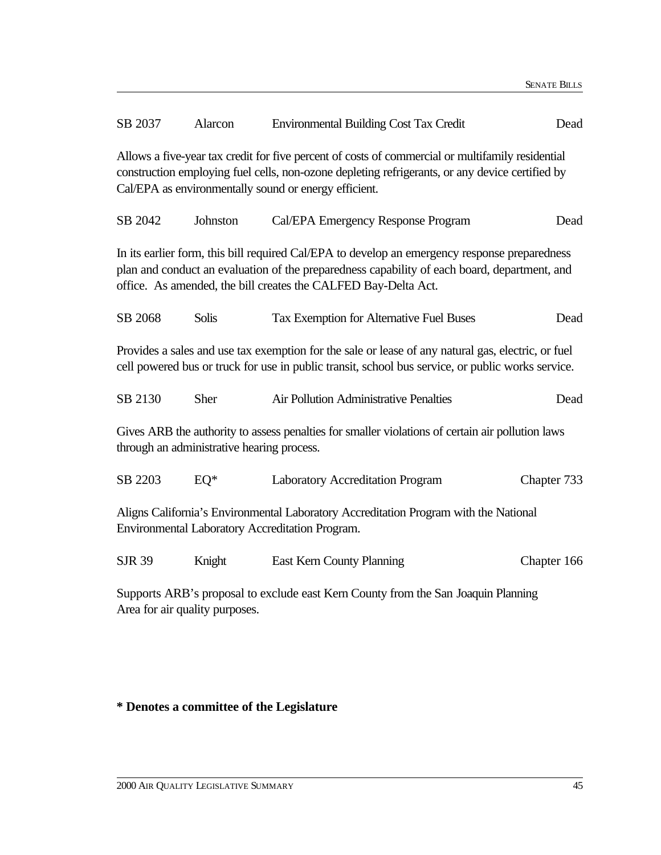|                                                                                                                                                                                                                                                                 | Alarcon  | <b>Environmental Building Cost Tax Credit</b>                                                                                           | Dead        |
|-----------------------------------------------------------------------------------------------------------------------------------------------------------------------------------------------------------------------------------------------------------------|----------|-----------------------------------------------------------------------------------------------------------------------------------------|-------------|
| Allows a five-year tax credit for five percent of costs of commercial or multifamily residential<br>construction employing fuel cells, non-ozone depleting refrigerants, or any device certified by<br>Cal/EPA as environmentally sound or energy efficient.    |          |                                                                                                                                         |             |
| SB 2042                                                                                                                                                                                                                                                         | Johnston | Cal/EPA Emergency Response Program                                                                                                      | Dead        |
| In its earlier form, this bill required Cal/EPA to develop an emergency response preparedness<br>plan and conduct an evaluation of the preparedness capability of each board, department, and<br>office. As amended, the bill creates the CALFED Bay-Delta Act. |          |                                                                                                                                         |             |
| SB 2068                                                                                                                                                                                                                                                         | Solis    | Tax Exemption for Alternative Fuel Buses                                                                                                | Dead        |
| Provides a sales and use tax exemption for the sale or lease of any natural gas, electric, or fuel<br>cell powered bus or truck for use in public transit, school bus service, or public works service.                                                         |          |                                                                                                                                         |             |
| SB 2130                                                                                                                                                                                                                                                         | Sher     | <b>Air Pollution Administrative Penalties</b>                                                                                           | Dead        |
| Gives ARB the authority to assess penalties for smaller violations of certain air pollution laws<br>through an administrative hearing process.                                                                                                                  |          |                                                                                                                                         |             |
|                                                                                                                                                                                                                                                                 |          |                                                                                                                                         |             |
| SB 2203                                                                                                                                                                                                                                                         | EQ*      | Laboratory Accreditation Program                                                                                                        | Chapter 733 |
|                                                                                                                                                                                                                                                                 |          | Aligns California's Environmental Laboratory Accreditation Program with the National<br>Environmental Laboratory Accreditation Program. |             |
| <b>SJR 39</b>                                                                                                                                                                                                                                                   | Knight   | <b>East Kern County Planning</b>                                                                                                        | Chapter 166 |

### **\* Denotes a committee of the Legislature**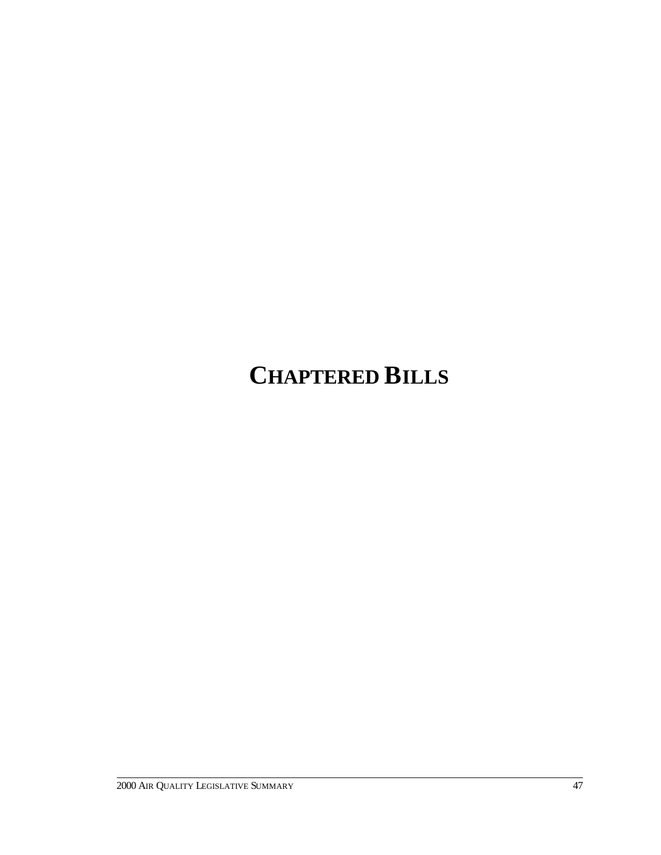# **CHAPTERED BILLS**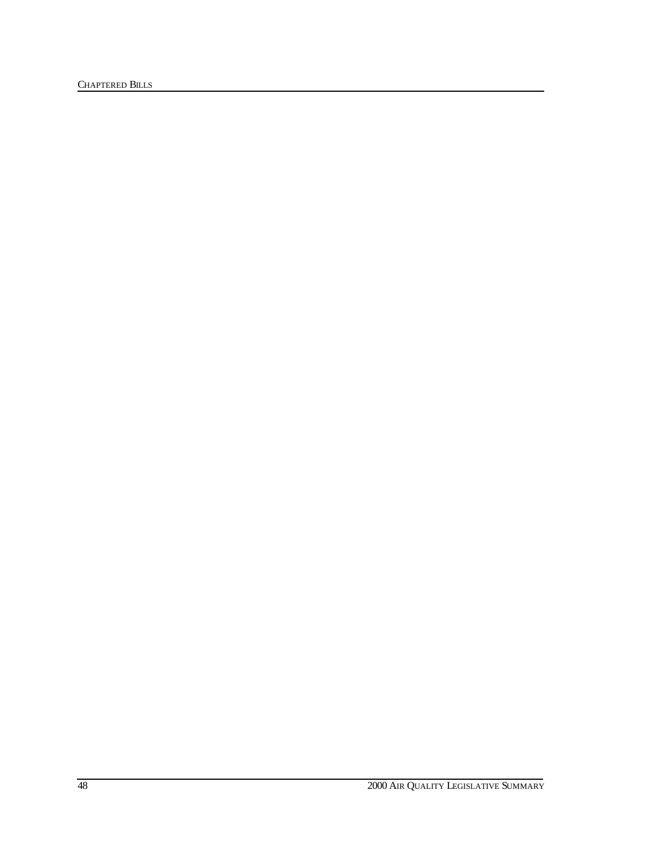CHAPTERED BILLS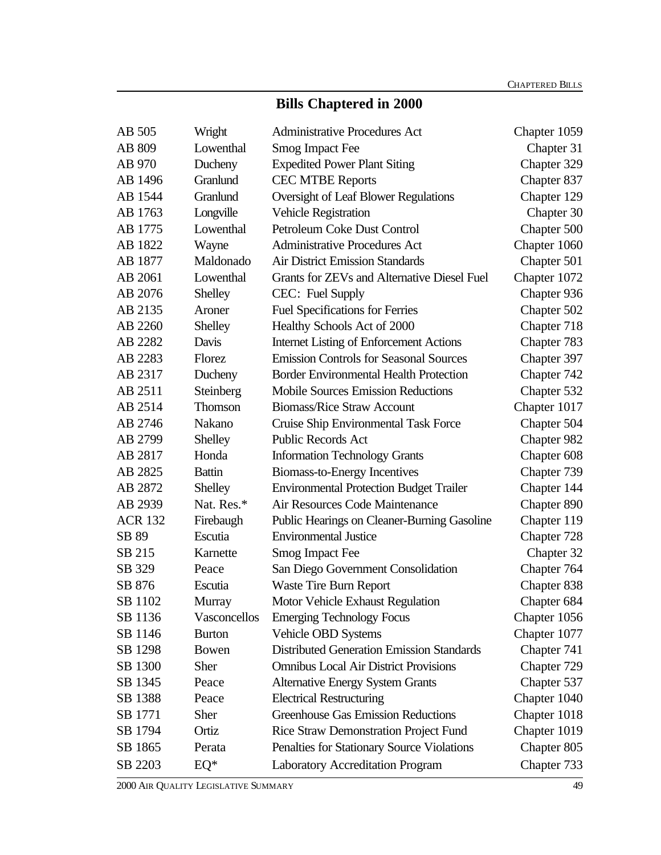## **Bills Chaptered in 2000**

| AB 505         | Wright         | <b>Administrative Procedures Act</b>             | Chapter 1059 |
|----------------|----------------|--------------------------------------------------|--------------|
| AB 809         | Lowenthal      | Smog Impact Fee                                  | Chapter 31   |
| AB 970         | Ducheny        | <b>Expedited Power Plant Siting</b>              | Chapter 329  |
| AB 1496        | Granlund       | <b>CEC MTBE Reports</b>                          | Chapter 837  |
| AB 1544        | Granlund       | <b>Oversight of Leaf Blower Regulations</b>      | Chapter 129  |
| AB 1763        | Longville      | Vehicle Registration                             | Chapter 30   |
| AB 1775        | Lowenthal      | Petroleum Coke Dust Control                      | Chapter 500  |
| AB 1822        | Wayne          | <b>Administrative Procedures Act</b>             | Chapter 1060 |
| AB 1877        | Maldonado      | <b>Air District Emission Standards</b>           | Chapter 501  |
| AB 2061        | Lowenthal      | Grants for ZEVs and Alternative Diesel Fuel      | Chapter 1072 |
| AB 2076        | Shelley        | CEC: Fuel Supply                                 | Chapter 936  |
| AB 2135        | Aroner         | <b>Fuel Specifications for Ferries</b>           | Chapter 502  |
| AB 2260        | Shelley        | Healthy Schools Act of 2000                      | Chapter 718  |
| AB 2282        | Davis          | <b>Internet Listing of Enforcement Actions</b>   | Chapter 783  |
| AB 2283        | Florez         | <b>Emission Controls for Seasonal Sources</b>    | Chapter 397  |
| AB 2317        | Ducheny        | <b>Border Environmental Health Protection</b>    | Chapter 742  |
| AB 2511        | Steinberg      | <b>Mobile Sources Emission Reductions</b>        | Chapter 532  |
| AB 2514        | <b>Thomson</b> | <b>Biomass/Rice Straw Account</b>                | Chapter 1017 |
| AB 2746        | <b>Nakano</b>  | Cruise Ship Environmental Task Force             | Chapter 504  |
| AB 2799        | Shelley        | <b>Public Records Act</b>                        | Chapter 982  |
| AB 2817        | Honda          | <b>Information Technology Grants</b>             | Chapter 608  |
| AB 2825        | <b>Battin</b>  | Biomass-to-Energy Incentives                     | Chapter 739  |
| AB 2872        | Shelley        | <b>Environmental Protection Budget Trailer</b>   | Chapter 144  |
| AB 2939        | Nat. Res.*     | Air Resources Code Maintenance                   | Chapter 890  |
| <b>ACR 132</b> | Firebaugh      | Public Hearings on Cleaner-Burning Gasoline      | Chapter 119  |
| SB 89          | Escutia        | <b>Environmental Justice</b>                     | Chapter 728  |
| SB 215         | Karnette       | Smog Impact Fee                                  | Chapter 32   |
| SB 329         | Peace          | San Diego Government Consolidation               | Chapter 764  |
| SB 876         | Escutia        | <b>Waste Tire Burn Report</b>                    | Chapter 838  |
| SB 1102        | Murray         | Motor Vehicle Exhaust Regulation                 | Chapter 684  |
| SB 1136        | Vasconcellos   | <b>Emerging Technology Focus</b>                 | Chapter 1056 |
| SB 1146        | <b>Burton</b>  | Vehicle OBD Systems                              | Chapter 1077 |
| SB 1298        | Bowen          | <b>Distributed Generation Emission Standards</b> | Chapter 741  |
| SB 1300        | Sher           | <b>Omnibus Local Air District Provisions</b>     | Chapter 729  |
| SB 1345        | Peace          | <b>Alternative Energy System Grants</b>          | Chapter 537  |
| SB 1388        | Peace          | <b>Electrical Restructuring</b>                  | Chapter 1040 |
| SB 1771        | Sher           | <b>Greenhouse Gas Emission Reductions</b>        | Chapter 1018 |
| SB 1794        | Ortiz          | Rice Straw Demonstration Project Fund            | Chapter 1019 |
| SB 1865        | Perata         | Penalties for Stationary Source Violations       | Chapter 805  |
| SB 2203        | EQ*            | <b>Laboratory Accreditation Program</b>          | Chapter 733  |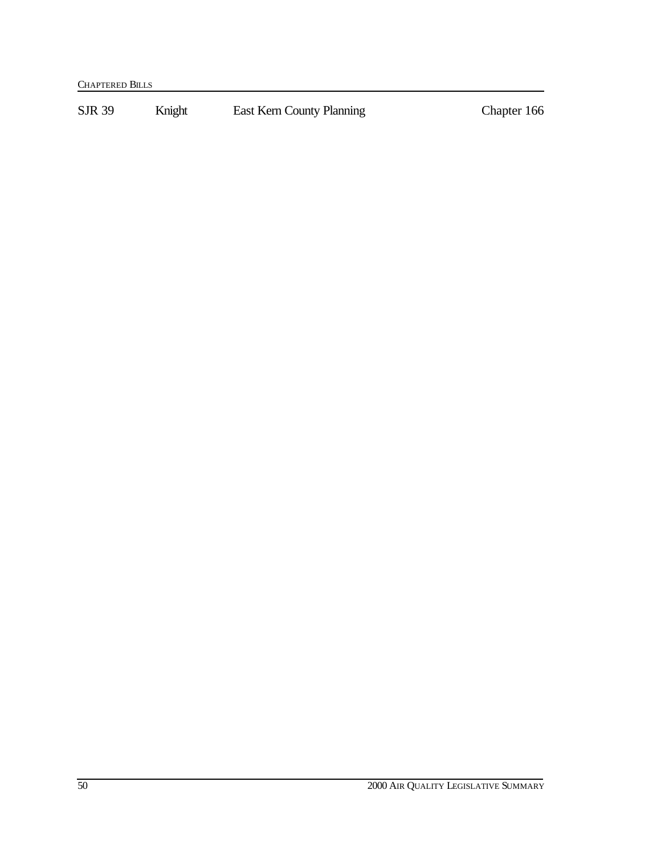CHAPTERED BILLS

SJR 39 Knight East Kern County Planning Chapter 166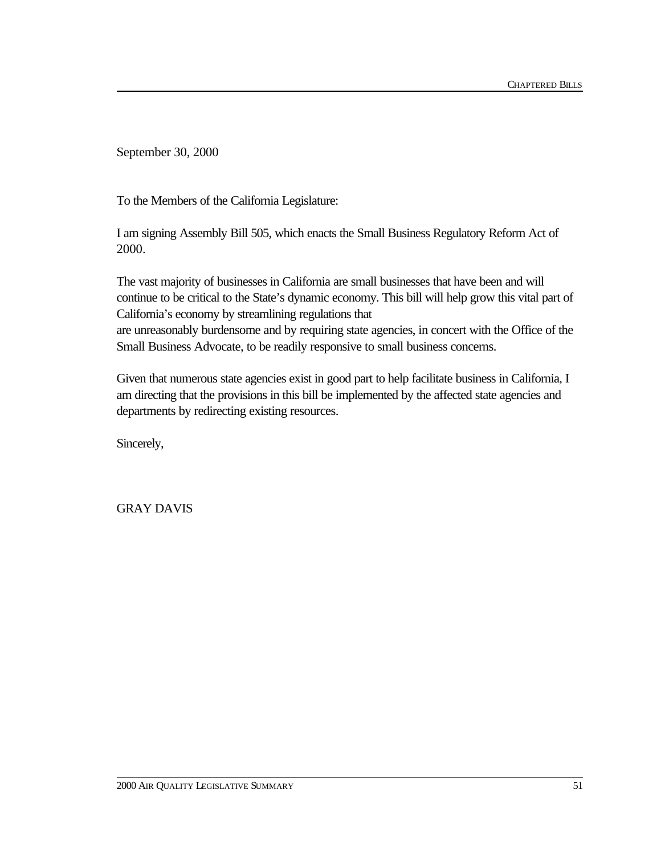September 30, 2000

To the Members of the California Legislature:

I am signing Assembly Bill 505, which enacts the Small Business Regulatory Reform Act of 2000.

The vast majority of businesses in California are small businesses that have been and will continue to be critical to the State's dynamic economy. This bill will help grow this vital part of California's economy by streamlining regulations that are unreasonably burdensome and by requiring state agencies, in concert with the Office of the Small Business Advocate, to be readily responsive to small business concerns.

Given that numerous state agencies exist in good part to help facilitate business in California, I am directing that the provisions in this bill be implemented by the affected state agencies and departments by redirecting existing resources.

Sincerely,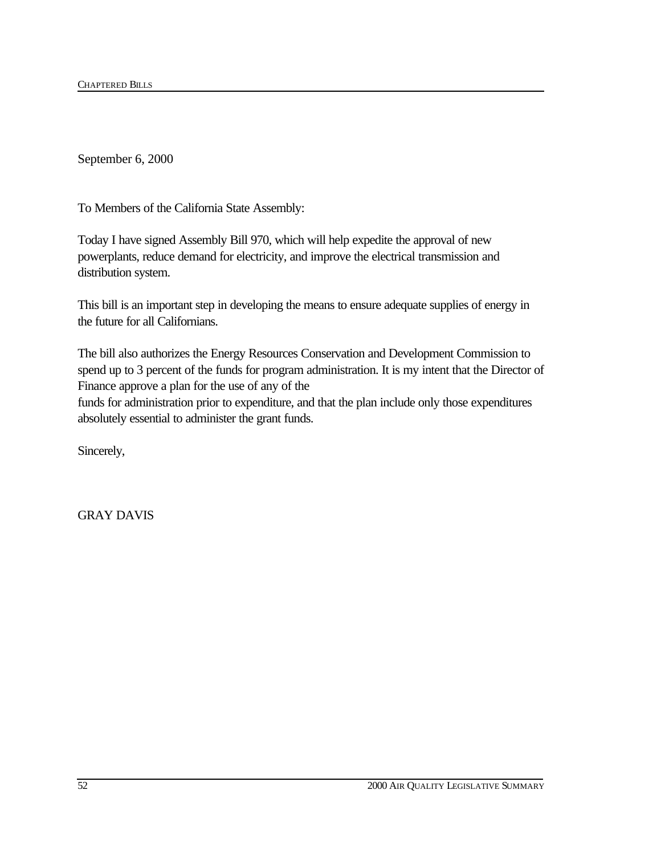September 6, 2000

To Members of the California State Assembly:

Today I have signed Assembly Bill 970, which will help expedite the approval of new powerplants, reduce demand for electricity, and improve the electrical transmission and distribution system.

This bill is an important step in developing the means to ensure adequate supplies of energy in the future for all Californians.

The bill also authorizes the Energy Resources Conservation and Development Commission to spend up to 3 percent of the funds for program administration. It is my intent that the Director of Finance approve a plan for the use of any of the

funds for administration prior to expenditure, and that the plan include only those expenditures absolutely essential to administer the grant funds.

Sincerely,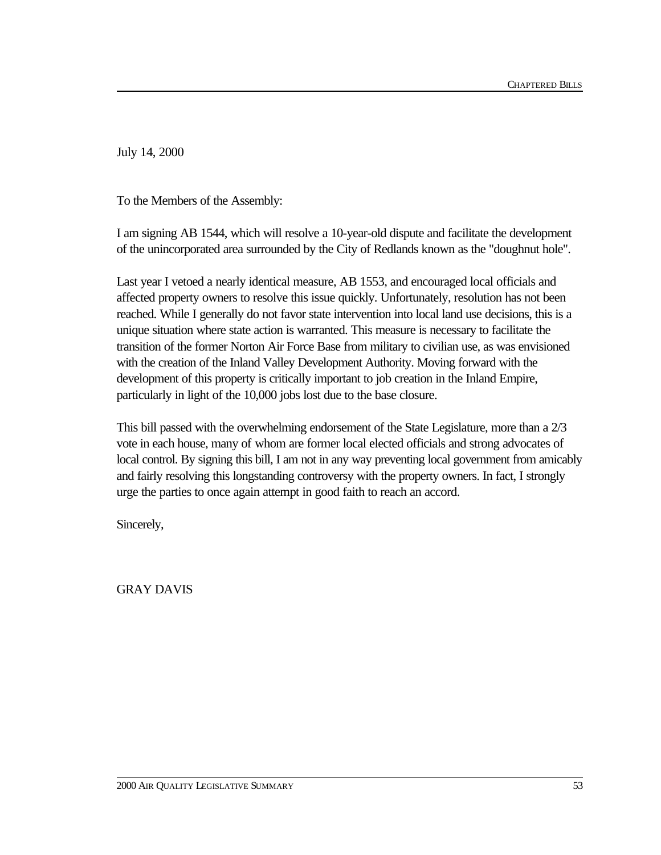July 14, 2000

To the Members of the Assembly:

I am signing AB 1544, which will resolve a 10-year-old dispute and facilitate the development of the unincorporated area surrounded by the City of Redlands known as the "doughnut hole".

Last year I vetoed a nearly identical measure, AB 1553, and encouraged local officials and affected property owners to resolve this issue quickly. Unfortunately, resolution has not been reached. While I generally do not favor state intervention into local land use decisions, this is a unique situation where state action is warranted. This measure is necessary to facilitate the transition of the former Norton Air Force Base from military to civilian use, as was envisioned with the creation of the Inland Valley Development Authority. Moving forward with the development of this property is critically important to job creation in the Inland Empire, particularly in light of the 10,000 jobs lost due to the base closure.

This bill passed with the overwhelming endorsement of the State Legislature, more than a 2/3 vote in each house, many of whom are former local elected officials and strong advocates of local control. By signing this bill, I am not in any way preventing local government from amicably and fairly resolving this longstanding controversy with the property owners. In fact, I strongly urge the parties to once again attempt in good faith to reach an accord.

Sincerely,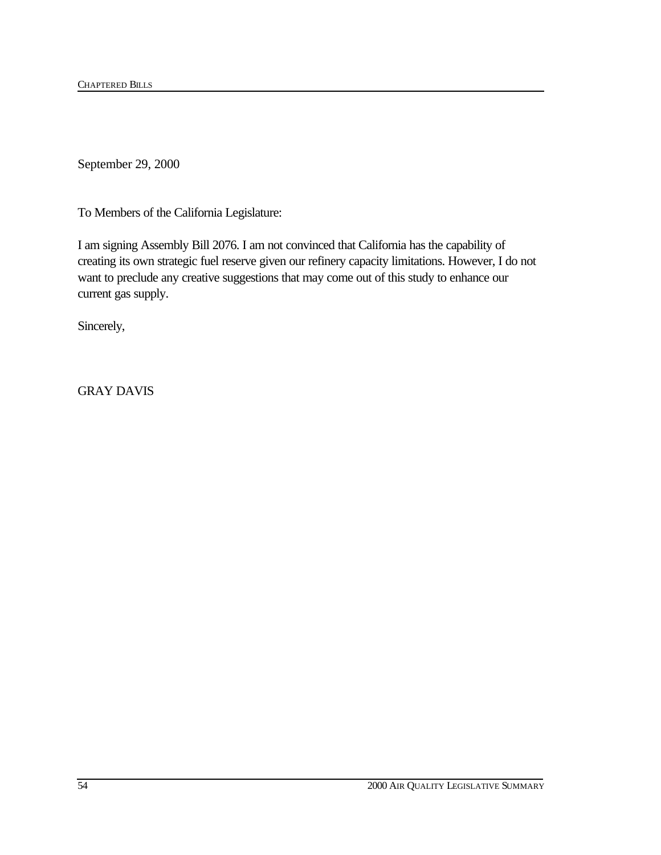September 29, 2000

To Members of the California Legislature:

I am signing Assembly Bill 2076. I am not convinced that California has the capability of creating its own strategic fuel reserve given our refinery capacity limitations. However, I do not want to preclude any creative suggestions that may come out of this study to enhance our current gas supply.

Sincerely,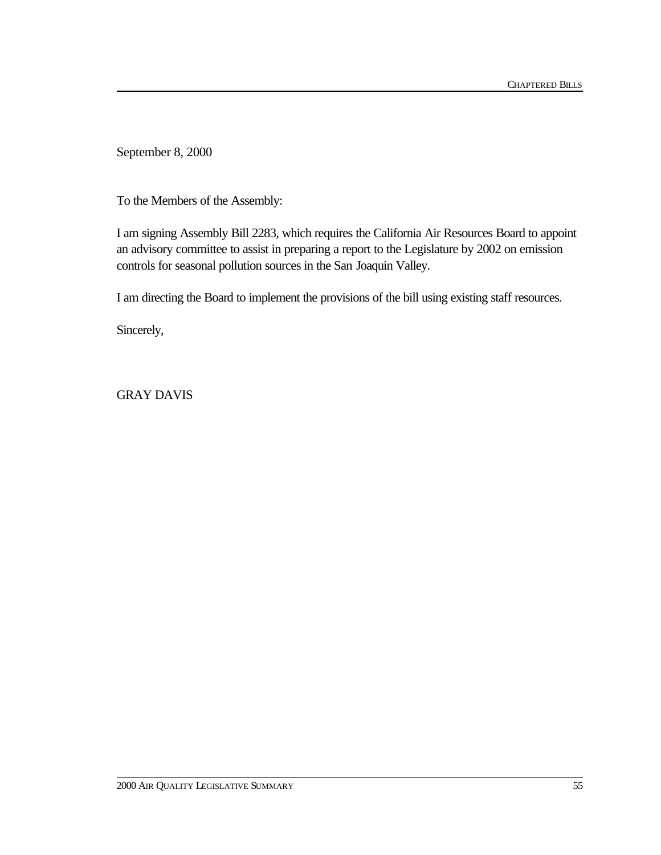September 8, 2000

To the Members of the Assembly:

I am signing Assembly Bill 2283, which requires the California Air Resources Board to appoint an advisory committee to assist in preparing a report to the Legislature by 2002 on emission controls for seasonal pollution sources in the San Joaquin Valley.

I am directing the Board to implement the provisions of the bill using existing staff resources.

Sincerely,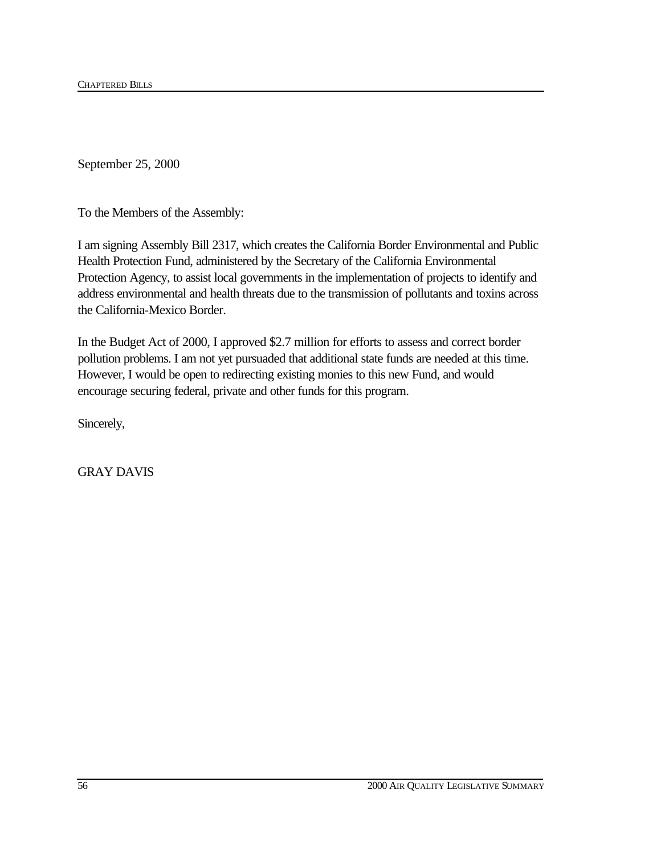September 25, 2000

To the Members of the Assembly:

I am signing Assembly Bill 2317, which creates the California Border Environmental and Public Health Protection Fund, administered by the Secretary of the California Environmental Protection Agency, to assist local governments in the implementation of projects to identify and address environmental and health threats due to the transmission of pollutants and toxins across the California-Mexico Border.

In the Budget Act of 2000, I approved \$2.7 million for efforts to assess and correct border pollution problems. I am not yet pursuaded that additional state funds are needed at this time. However, I would be open to redirecting existing monies to this new Fund, and would encourage securing federal, private and other funds for this program.

Sincerely,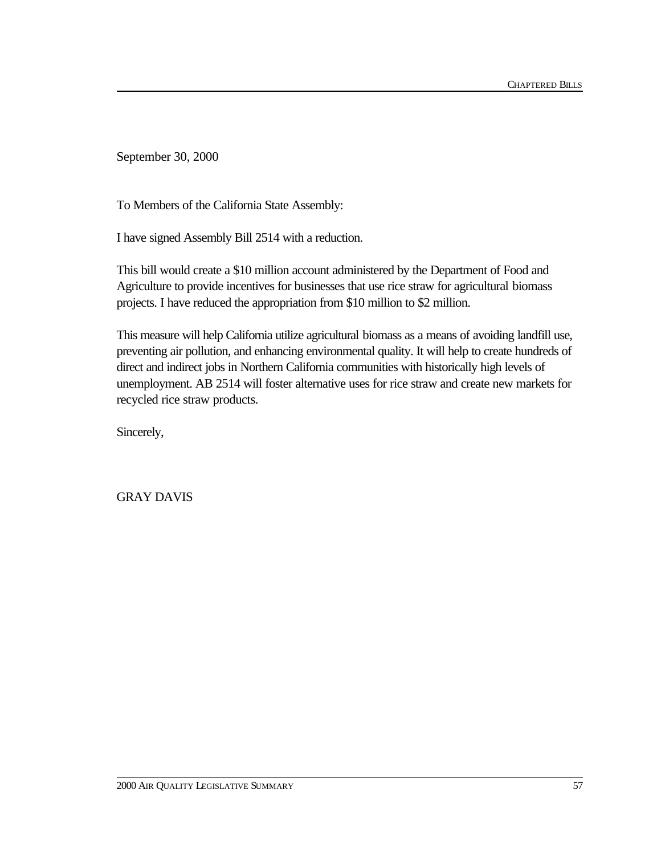September 30, 2000

To Members of the California State Assembly:

I have signed Assembly Bill 2514 with a reduction.

This bill would create a \$10 million account administered by the Department of Food and Agriculture to provide incentives for businesses that use rice straw for agricultural biomass projects. I have reduced the appropriation from \$10 million to \$2 million.

This measure will help California utilize agricultural biomass as a means of avoiding landfill use, preventing air pollution, and enhancing environmental quality. It will help to create hundreds of direct and indirect jobs in Northern California communities with historically high levels of unemployment. AB 2514 will foster alternative uses for rice straw and create new markets for recycled rice straw products.

Sincerely,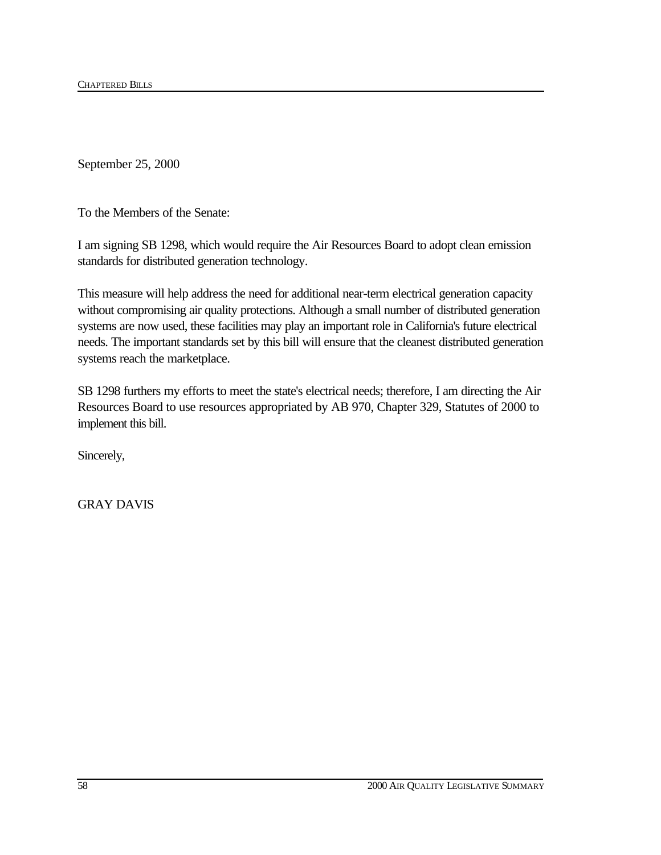September 25, 2000

To the Members of the Senate:

I am signing SB 1298, which would require the Air Resources Board to adopt clean emission standards for distributed generation technology.

This measure will help address the need for additional near-term electrical generation capacity without compromising air quality protections. Although a small number of distributed generation systems are now used, these facilities may play an important role in California's future electrical needs. The important standards set by this bill will ensure that the cleanest distributed generation systems reach the marketplace.

SB 1298 furthers my efforts to meet the state's electrical needs; therefore, I am directing the Air Resources Board to use resources appropriated by AB 970, Chapter 329, Statutes of 2000 to implement this bill.

Sincerely,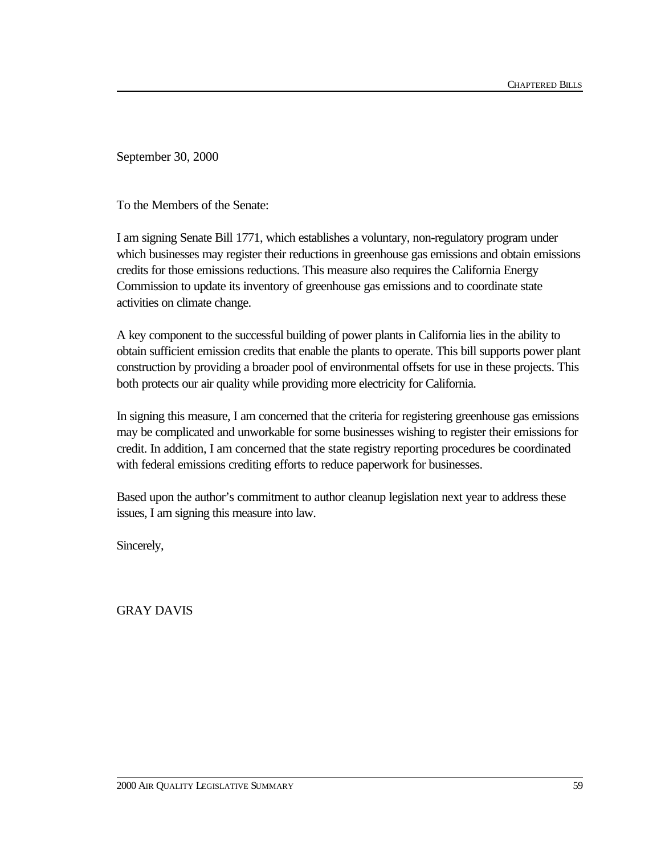September 30, 2000

To the Members of the Senate:

I am signing Senate Bill 1771, which establishes a voluntary, non-regulatory program under which businesses may register their reductions in greenhouse gas emissions and obtain emissions credits for those emissions reductions. This measure also requires the California Energy Commission to update its inventory of greenhouse gas emissions and to coordinate state activities on climate change.

A key component to the successful building of power plants in California lies in the ability to obtain sufficient emission credits that enable the plants to operate. This bill supports power plant construction by providing a broader pool of environmental offsets for use in these projects. This both protects our air quality while providing more electricity for California.

In signing this measure, I am concerned that the criteria for registering greenhouse gas emissions may be complicated and unworkable for some businesses wishing to register their emissions for credit. In addition, I am concerned that the state registry reporting procedures be coordinated with federal emissions crediting efforts to reduce paperwork for businesses.

Based upon the author's commitment to author cleanup legislation next year to address these issues, I am signing this measure into law.

Sincerely,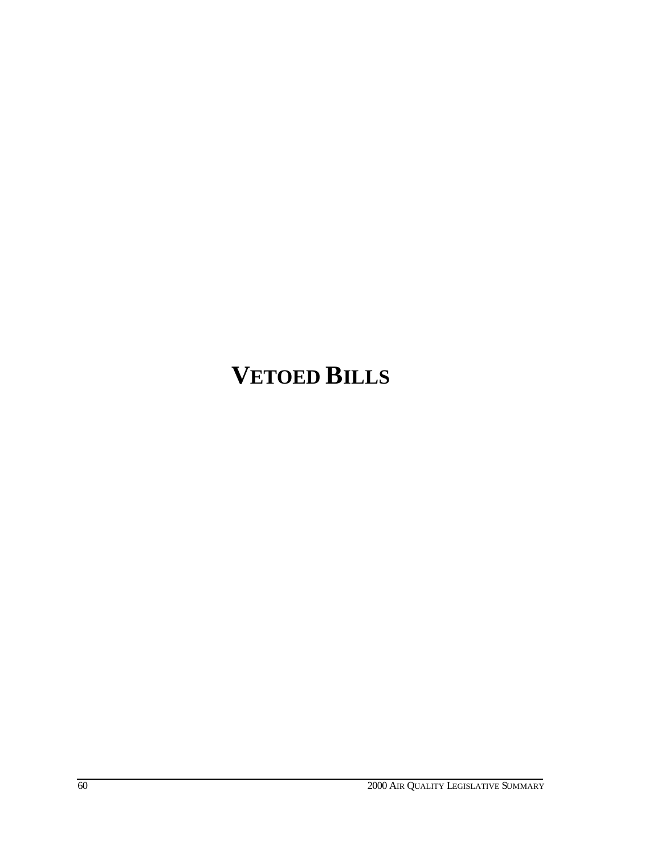# **VETOED BILLS**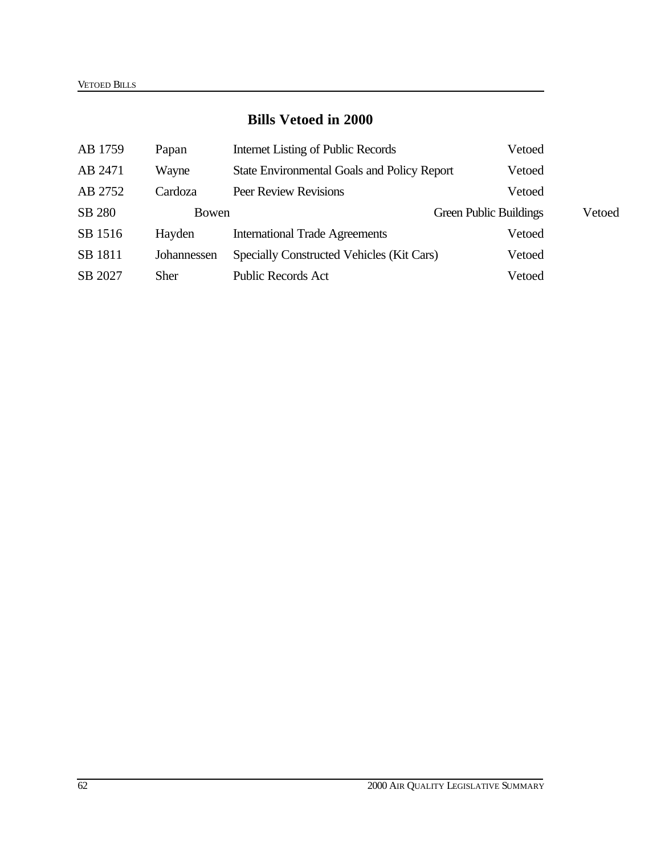### **Bills Vetoed in 2000**

| AB 1759 | Papan        | Internet Listing of Public Records                 | Vetoed                        |        |
|---------|--------------|----------------------------------------------------|-------------------------------|--------|
| AB 2471 | Wayne        | <b>State Environmental Goals and Policy Report</b> | Vetoed                        |        |
| AB 2752 | Cardoza      | <b>Peer Review Revisions</b>                       | Vetoed                        |        |
| SB 280  | <b>Bowen</b> |                                                    | <b>Green Public Buildings</b> | Vetoed |
| SB 1516 | Hayden       | <b>International Trade Agreements</b>              | Vetoed                        |        |
| SB 1811 | Johannessen  | Specially Constructed Vehicles (Kit Cars)          | Vetoed                        |        |
| SB 2027 | <b>Sher</b>  | <b>Public Records Act</b>                          | Vetoed                        |        |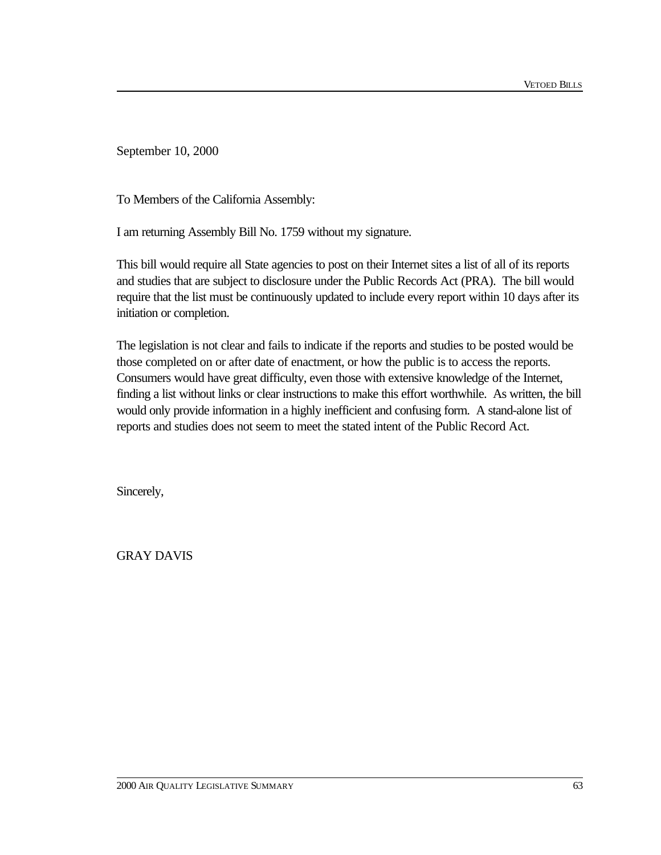September 10, 2000

To Members of the California Assembly:

I am returning Assembly Bill No. 1759 without my signature.

This bill would require all State agencies to post on their Internet sites a list of all of its reports and studies that are subject to disclosure under the Public Records Act (PRA). The bill would require that the list must be continuously updated to include every report within 10 days after its initiation or completion.

The legislation is not clear and fails to indicate if the reports and studies to be posted would be those completed on or after date of enactment, or how the public is to access the reports. Consumers would have great difficulty, even those with extensive knowledge of the Internet, finding a list without links or clear instructions to make this effort worthwhile. As written, the bill would only provide information in a highly inefficient and confusing form. A stand-alone list of reports and studies does not seem to meet the stated intent of the Public Record Act.

Sincerely,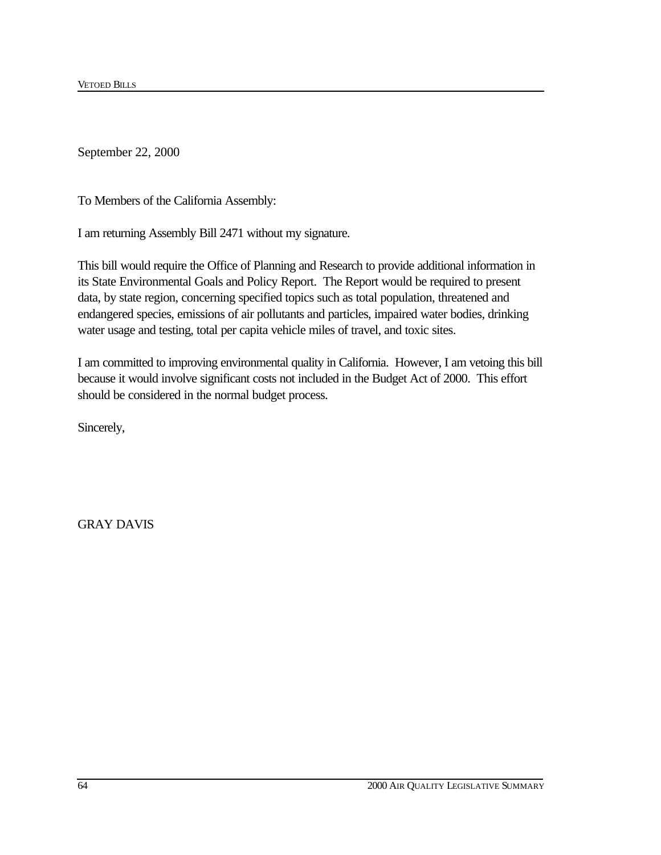September 22, 2000

To Members of the California Assembly:

I am returning Assembly Bill 2471 without my signature.

This bill would require the Office of Planning and Research to provide additional information in its State Environmental Goals and Policy Report. The Report would be required to present data, by state region, concerning specified topics such as total population, threatened and endangered species, emissions of air pollutants and particles, impaired water bodies, drinking water usage and testing, total per capita vehicle miles of travel, and toxic sites.

I am committed to improving environmental quality in California. However, I am vetoing this bill because it would involve significant costs not included in the Budget Act of 2000. This effort should be considered in the normal budget process.

Sincerely,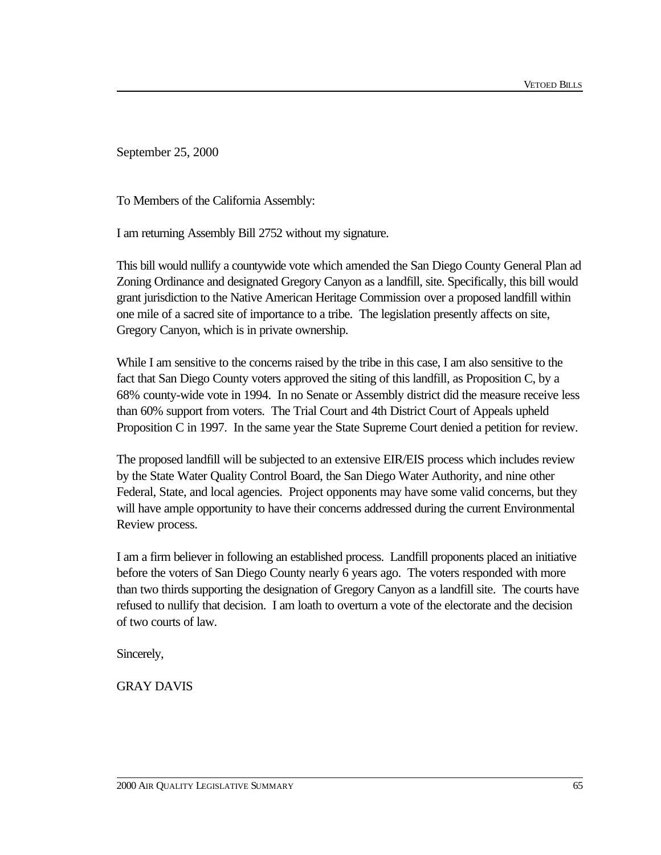September 25, 2000

To Members of the California Assembly:

I am returning Assembly Bill 2752 without my signature.

This bill would nullify a countywide vote which amended the San Diego County General Plan ad Zoning Ordinance and designated Gregory Canyon as a landfill, site. Specifically, this bill would grant jurisdiction to the Native American Heritage Commission over a proposed landfill within one mile of a sacred site of importance to a tribe. The legislation presently affects on site, Gregory Canyon, which is in private ownership.

While I am sensitive to the concerns raised by the tribe in this case, I am also sensitive to the fact that San Diego County voters approved the siting of this landfill, as Proposition C, by a 68% county-wide vote in 1994. In no Senate or Assembly district did the measure receive less than 60% support from voters. The Trial Court and 4th District Court of Appeals upheld Proposition C in 1997. In the same year the State Supreme Court denied a petition for review.

The proposed landfill will be subjected to an extensive EIR/EIS process which includes review by the State Water Quality Control Board, the San Diego Water Authority, and nine other Federal, State, and local agencies. Project opponents may have some valid concerns, but they will have ample opportunity to have their concerns addressed during the current Environmental Review process.

I am a firm believer in following an established process. Landfill proponents placed an initiative before the voters of San Diego County nearly 6 years ago. The voters responded with more than two thirds supporting the designation of Gregory Canyon as a landfill site. The courts have refused to nullify that decision. I am loath to overturn a vote of the electorate and the decision of two courts of law.

Sincerely,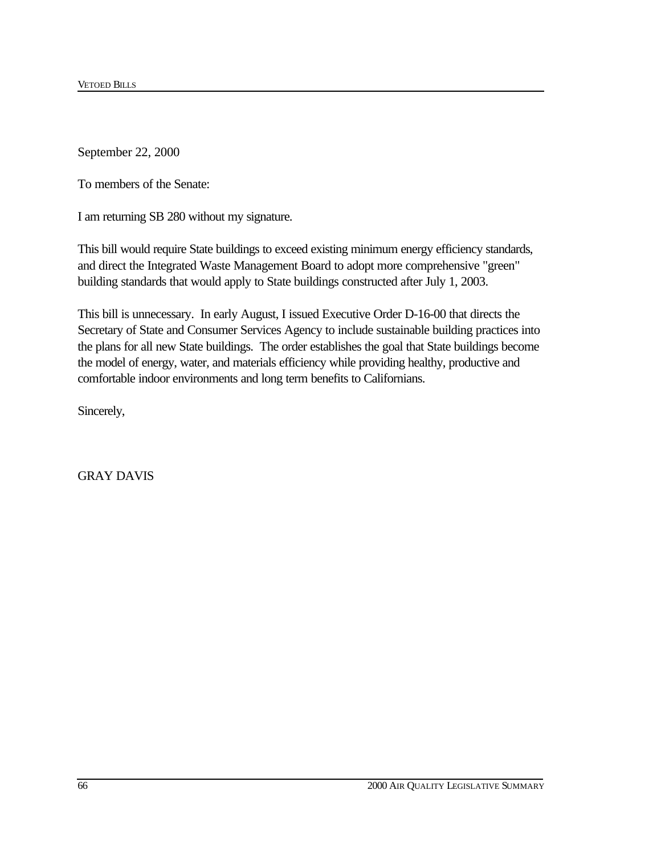September 22, 2000

To members of the Senate:

I am returning SB 280 without my signature.

This bill would require State buildings to exceed existing minimum energy efficiency standards, and direct the Integrated Waste Management Board to adopt more comprehensive "green" building standards that would apply to State buildings constructed after July 1, 2003.

This bill is unnecessary. In early August, I issued Executive Order D-16-00 that directs the Secretary of State and Consumer Services Agency to include sustainable building practices into the plans for all new State buildings. The order establishes the goal that State buildings become the model of energy, water, and materials efficiency while providing healthy, productive and comfortable indoor environments and long term benefits to Californians.

Sincerely,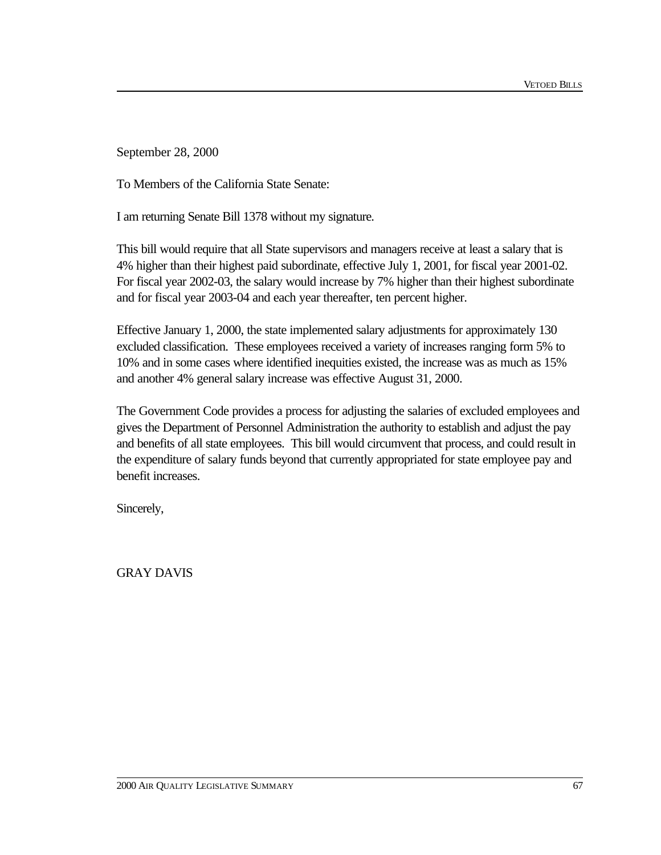September 28, 2000

To Members of the California State Senate:

I am returning Senate Bill 1378 without my signature.

This bill would require that all State supervisors and managers receive at least a salary that is 4% higher than their highest paid subordinate, effective July 1, 2001, for fiscal year 2001-02. For fiscal year 2002-03, the salary would increase by 7% higher than their highest subordinate and for fiscal year 2003-04 and each year thereafter, ten percent higher.

Effective January 1, 2000, the state implemented salary adjustments for approximately 130 excluded classification. These employees received a variety of increases ranging form 5% to 10% and in some cases where identified inequities existed, the increase was as much as 15% and another 4% general salary increase was effective August 31, 2000.

The Government Code provides a process for adjusting the salaries of excluded employees and gives the Department of Personnel Administration the authority to establish and adjust the pay and benefits of all state employees. This bill would circumvent that process, and could result in the expenditure of salary funds beyond that currently appropriated for state employee pay and benefit increases.

Sincerely,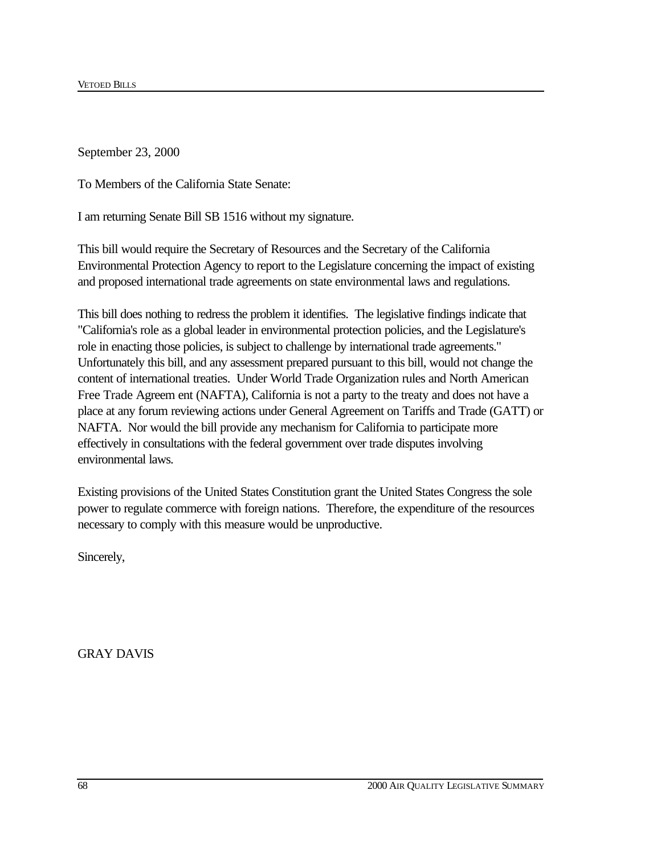September 23, 2000

To Members of the California State Senate:

I am returning Senate Bill SB 1516 without my signature.

This bill would require the Secretary of Resources and the Secretary of the California Environmental Protection Agency to report to the Legislature concerning the impact of existing and proposed international trade agreements on state environmental laws and regulations.

This bill does nothing to redress the problem it identifies. The legislative findings indicate that "California's role as a global leader in environmental protection policies, and the Legislature's role in enacting those policies, is subject to challenge by international trade agreements." Unfortunately this bill, and any assessment prepared pursuant to this bill, would not change the content of international treaties. Under World Trade Organization rules and North American Free Trade Agreem ent (NAFTA), California is not a party to the treaty and does not have a place at any forum reviewing actions under General Agreement on Tariffs and Trade (GATT) or NAFTA. Nor would the bill provide any mechanism for California to participate more effectively in consultations with the federal government over trade disputes involving environmental laws.

Existing provisions of the United States Constitution grant the United States Congress the sole power to regulate commerce with foreign nations. Therefore, the expenditure of the resources necessary to comply with this measure would be unproductive.

Sincerely,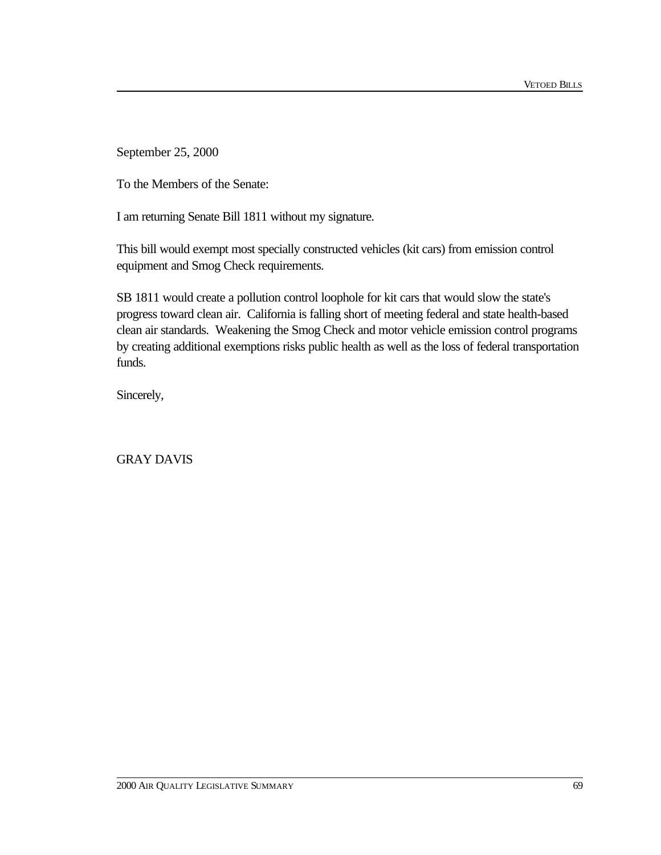September 25, 2000

To the Members of the Senate:

I am returning Senate Bill 1811 without my signature.

This bill would exempt most specially constructed vehicles (kit cars) from emission control equipment and Smog Check requirements.

SB 1811 would create a pollution control loophole for kit cars that would slow the state's progress toward clean air. California is falling short of meeting federal and state health-based clean air standards. Weakening the Smog Check and motor vehicle emission control programs by creating additional exemptions risks public health as well as the loss of federal transportation funds.

Sincerely,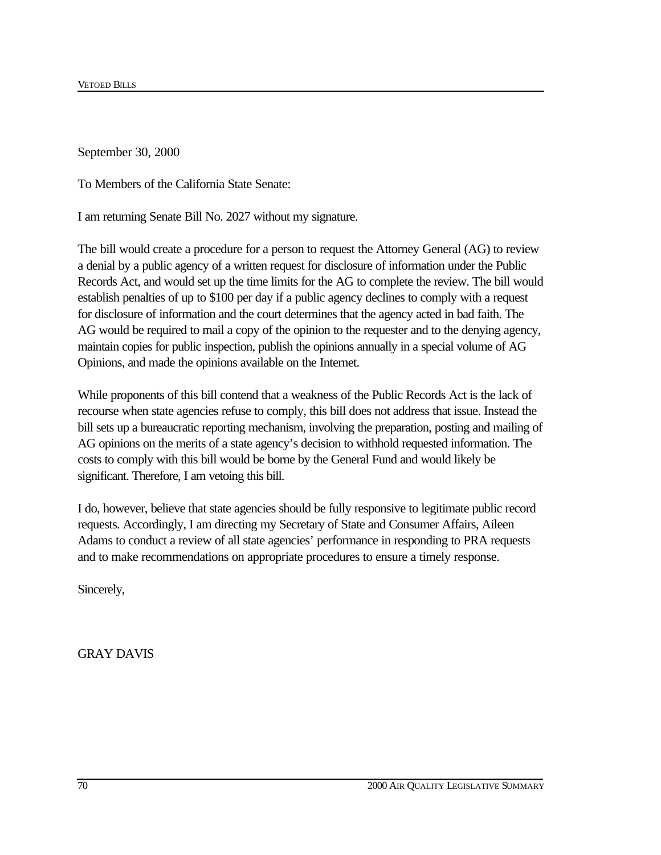September 30, 2000

To Members of the California State Senate:

I am returning Senate Bill No. 2027 without my signature.

The bill would create a procedure for a person to request the Attorney General (AG) to review a denial by a public agency of a written request for disclosure of information under the Public Records Act, and would set up the time limits for the AG to complete the review. The bill would establish penalties of up to \$100 per day if a public agency declines to comply with a request for disclosure of information and the court determines that the agency acted in bad faith. The AG would be required to mail a copy of the opinion to the requester and to the denying agency, maintain copies for public inspection, publish the opinions annually in a special volume of AG Opinions, and made the opinions available on the Internet.

While proponents of this bill contend that a weakness of the Public Records Act is the lack of recourse when state agencies refuse to comply, this bill does not address that issue. Instead the bill sets up a bureaucratic reporting mechanism, involving the preparation, posting and mailing of AG opinions on the merits of a state agency's decision to withhold requested information. The costs to comply with this bill would be borne by the General Fund and would likely be significant. Therefore, I am vetoing this bill.

I do, however, believe that state agencies should be fully responsive to legitimate public record requests. Accordingly, I am directing my Secretary of State and Consumer Affairs, Aileen Adams to conduct a review of all state agencies' performance in responding to PRA requests and to make recommendations on appropriate procedures to ensure a timely response.

Sincerely,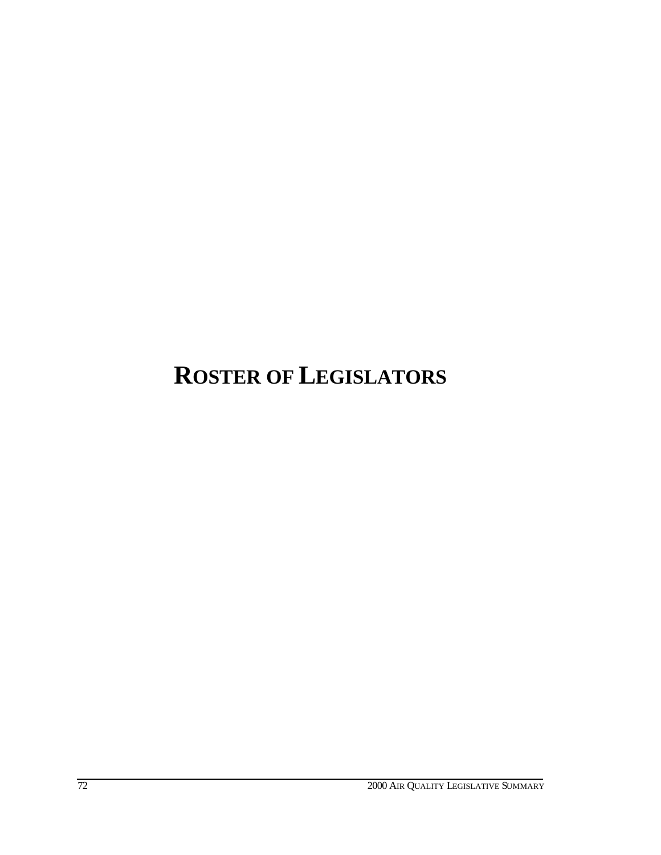# **ROSTER OF LEGISLATORS**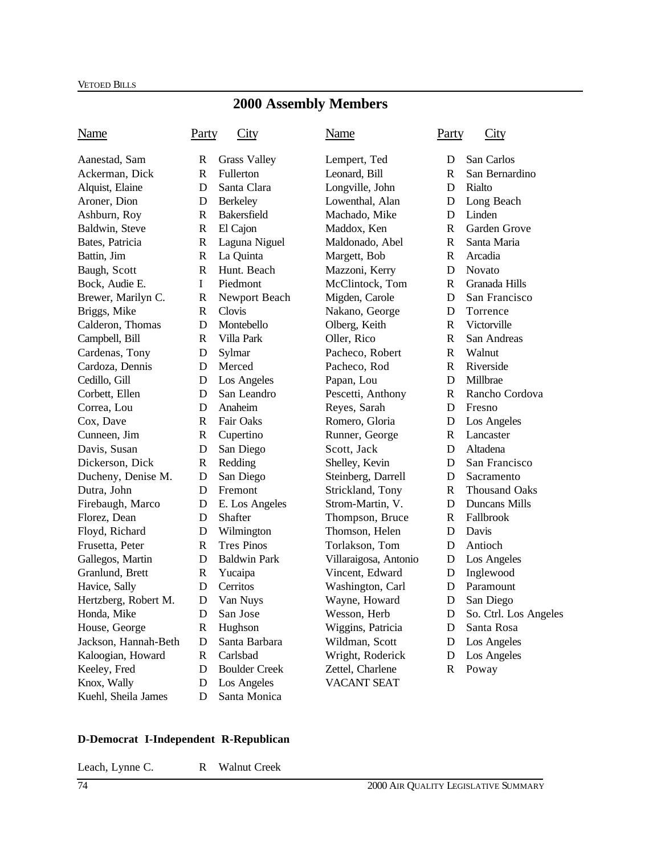## **2000 Assembly Members**

| Name                 | Party        | City                 | Name                  | Party                         | City                  |
|----------------------|--------------|----------------------|-----------------------|-------------------------------|-----------------------|
| Aanestad, Sam        | R            | <b>Grass Valley</b>  | Lempert, Ted          | D                             | San Carlos            |
| Ackerman, Dick       | $\mathbb{R}$ | Fullerton            | Leonard, Bill         | $\mathbf{R}$                  | San Bernardino        |
| Alquist, Elaine      | D            | Santa Clara          | Longville, John       | D                             | Rialto                |
| Aroner, Dion         | D            | Berkeley             | Lowenthal, Alan       | D                             | Long Beach            |
| Ashburn, Roy         | R            | <b>Bakersfield</b>   | Machado, Mike         | D                             | Linden                |
| Baldwin, Steve       | R            | El Cajon             | Maddox, Ken           | R                             | Garden Grove          |
| Bates, Patricia      | R            | Laguna Niguel        | Maldonado, Abel       | R                             | Santa Maria           |
| Battin, Jim          | R            | La Quinta            | Margett, Bob          | R                             | Arcadia               |
| Baugh, Scott         | R            | Hunt. Beach          | Mazzoni, Kerry        | D                             | <b>Novato</b>         |
| Bock, Audie E.       | I            | Piedmont             | McClintock, Tom       | Granada Hills<br>$\mathbb{R}$ |                       |
| Brewer, Marilyn C.   | R            | Newport Beach        | Migden, Carole        | D                             | San Francisco         |
| Briggs, Mike         | R            | Clovis               | Nakano, George        | D                             | Torrence              |
| Calderon, Thomas     | D            | Montebello           | Olberg, Keith         | R                             | Victorville           |
| Campbell, Bill       | R.           | Villa Park           | Oller, Rico           | $\mathbf{R}$                  | San Andreas           |
| Cardenas, Tony       | D            | Sylmar               | Pacheco, Robert       | R                             | Walnut                |
| Cardoza, Dennis      | D            | Merced               | Pacheco, Rod          | R.                            | Riverside             |
| Cedillo, Gill        | D            | Los Angeles          | Papan, Lou            | D                             | Millbrae              |
| Corbett, Ellen       | D            | San Leandro          | Pescetti, Anthony     | $\mathbb{R}$                  | Rancho Cordova        |
| Correa, Lou          | D            | Anaheim              | Reyes, Sarah          | D                             | Fresno                |
| Cox, Dave            | R            | Fair Oaks            | Romero, Gloria        | D                             | Los Angeles           |
| Cunneen, Jim         | $\mathbb{R}$ | Cupertino            | Runner, George        | R                             | Lancaster             |
| Davis, Susan         | D            | San Diego            | Scott, Jack           | D                             | Altadena              |
| Dickerson, Dick      | R            | Redding              | Shelley, Kevin        | D                             | San Francisco         |
| Ducheny, Denise M.   | D            | San Diego            | Steinberg, Darrell    | D                             | Sacramento            |
| Dutra, John          | D            | Fremont              | Strickland, Tony      | $\mathbb{R}$                  | <b>Thousand Oaks</b>  |
| Firebaugh, Marco     | D            | E. Los Angeles       | Strom-Martin, V.      | D                             | Duncans Mills         |
| Florez, Dean         | D            | Shafter              | Thompson, Bruce       | R                             | Fallbrook             |
| Floyd, Richard       | D            | Wilmington           | Thomson, Helen        | D                             | Davis                 |
| Frusetta, Peter      | R            | <b>Tres Pinos</b>    | Torlakson, Tom        | D                             | Antioch               |
| Gallegos, Martin     | D            | <b>Baldwin Park</b>  | Villaraigosa, Antonio | D                             | Los Angeles           |
| Granlund, Brett      | R            | Yucaipa              | Vincent, Edward       | D                             | Inglewood             |
| Havice, Sally        | D            | Cerritos             | Washington, Carl      | D                             | Paramount             |
| Hertzberg, Robert M. | D            | Van Nuys             | Wayne, Howard         | D                             | San Diego             |
| Honda, Mike          | D            | San Jose             | Wesson, Herb          | D                             | So. Ctrl. Los Angeles |
| House, George        | R            | Hughson              | Wiggins, Patricia     | D                             | Santa Rosa            |
| Jackson, Hannah-Beth | D            | Santa Barbara        | Wildman, Scott        | D                             | Los Angeles           |
| Kaloogian, Howard    | R            | Carlsbad             | Wright, Roderick      | D                             | Los Angeles           |
| Keeley, Fred         | D            | <b>Boulder Creek</b> | Zettel, Charlene      | $\mathbf R$                   | Poway                 |
| Knox, Wally          | D            | Los Angeles          | VACANT SEAT           |                               |                       |
| Kuehl, Sheila James  | D            | Santa Monica         |                       |                               |                       |

#### **D-Democrat I-Independent R-Republican**

Leach, Lynne C. <br>R Walnut Creek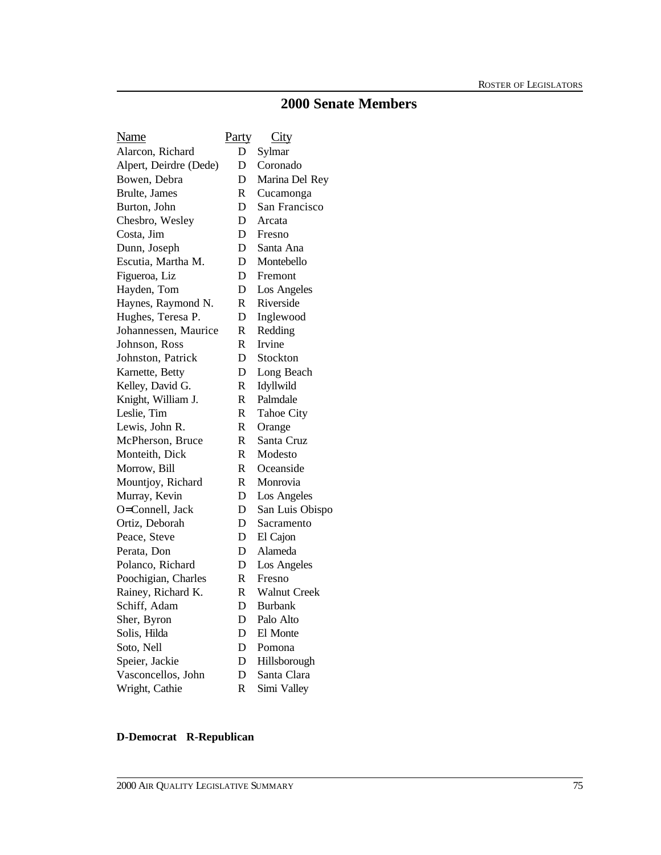### **2000 Senate Members**

| <b>Name</b>            | Party | City                |
|------------------------|-------|---------------------|
| Alarcon, Richard       | D     | Sylmar              |
| Alpert, Deirdre (Dede) | D     | Coronado            |
| Bowen, Debra           | D     | Marina Del Rey      |
| Brulte, James          | R     | Cucamonga           |
| Burton, John           | D     | San Francisco       |
| Chesbro, Wesley        | D     | Arcata              |
| Costa, Jim             | D     | Fresno              |
| Dunn, Joseph           | D     | Santa Ana           |
| Escutia, Martha M.     | D     | Montebello          |
| Figueroa, Liz          | D     | Fremont             |
| Hayden, Tom            | D     | Los Angeles         |
| Haynes, Raymond N.     | R     | Riverside           |
| Hughes, Teresa P.      | D     | Inglewood           |
| Johannessen, Maurice   | R     | Redding             |
| Johnson, Ross          | R     | Irvine              |
| Johnston, Patrick      | D     | Stockton            |
| Karnette, Betty        | D     | Long Beach          |
| Kelley, David G.       | R     | Idyllwild           |
| Knight, William J.     | R     | Palmdale            |
| Leslie, Tim            | R     | <b>Tahoe City</b>   |
| Lewis, John R.         | R     | Orange              |
| McPherson, Bruce       | R     | Santa Cruz          |
| Monteith, Dick         | R     | Modesto             |
| Morrow, Bill           | R     | Oceanside           |
| Mountjoy, Richard      | R     | Monrovia            |
| Murray, Kevin          | D     | Los Angeles         |
| O=Connell, Jack        | D     | San Luis Obispo     |
| Ortiz, Deborah         | D     | Sacramento          |
| Peace, Steve           | D     | El Cajon            |
| Perata, Don            | D     | Alameda             |
| Polanco, Richard       | D     | Los Angeles         |
| Poochigian, Charles    | R     | Fresno              |
| Rainey, Richard K.     | R     | <b>Walnut Creek</b> |
| Schiff, Adam           | D     | <b>Burbank</b>      |
| Sher, Byron            | D     | Palo Alto           |
| Solis, Hilda           | D     | El Monte            |
| Soto, Nell             | D     | Pomona              |
| Speier, Jackie         | D     | Hillsborough        |
| Vasconcellos, John     | D     | Santa Clara         |
| Wright, Cathie         | R     | Simi Valley         |

#### **D-Democrat R-Republican**